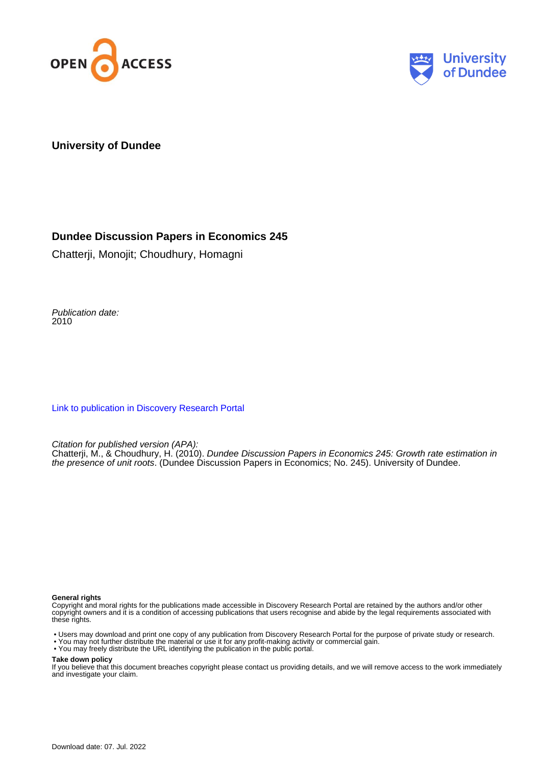



## **University of Dundee**

## **Dundee Discussion Papers in Economics 245**

Chatterji, Monojit; Choudhury, Homagni

Publication date: 2010

[Link to publication in Discovery Research Portal](https://discovery.dundee.ac.uk/en/publications/47b79e2e-2363-4605-8460-c4945fc7e875)

Citation for published version (APA):

Chatterji, M., & Choudhury, H. (2010). Dundee Discussion Papers in Economics 245: Growth rate estimation in the presence of unit roots. (Dundee Discussion Papers in Economics; No. 245). University of Dundee.

#### **General rights**

Copyright and moral rights for the publications made accessible in Discovery Research Portal are retained by the authors and/or other copyright owners and it is a condition of accessing publications that users recognise and abide by the legal requirements associated with these rights.

• Users may download and print one copy of any publication from Discovery Research Portal for the purpose of private study or research.

- You may not further distribute the material or use it for any profit-making activity or commercial gain.
- You may freely distribute the URL identifying the publication in the public portal.

#### **Take down policy**

If you believe that this document breaches copyright please contact us providing details, and we will remove access to the work immediately and investigate your claim.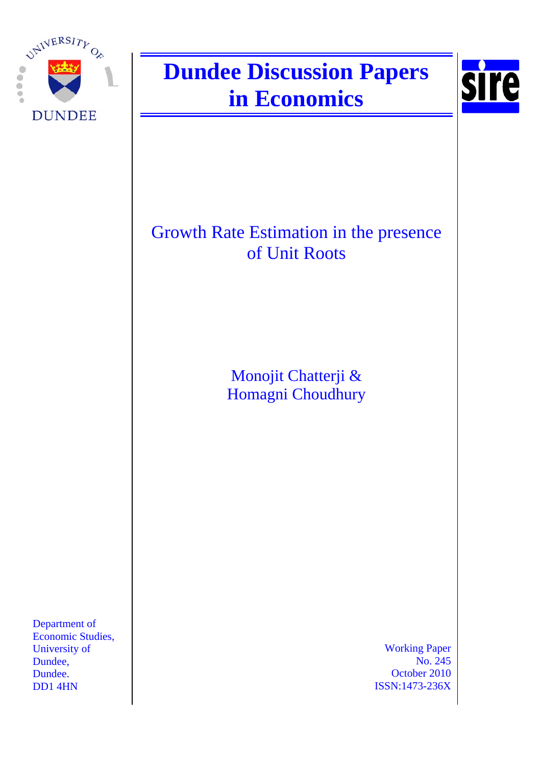

# **Dundee Discussion Papers in Economics**



## Growth Rate Estimation in the presence of Unit Roots

Monojit Chatterji & Homagni Choudhury

Department of Economic Studies, University of Dundee, Dundee. DD1 4HN

Working Paper No. 245 October 2010 ISSN:1473-236X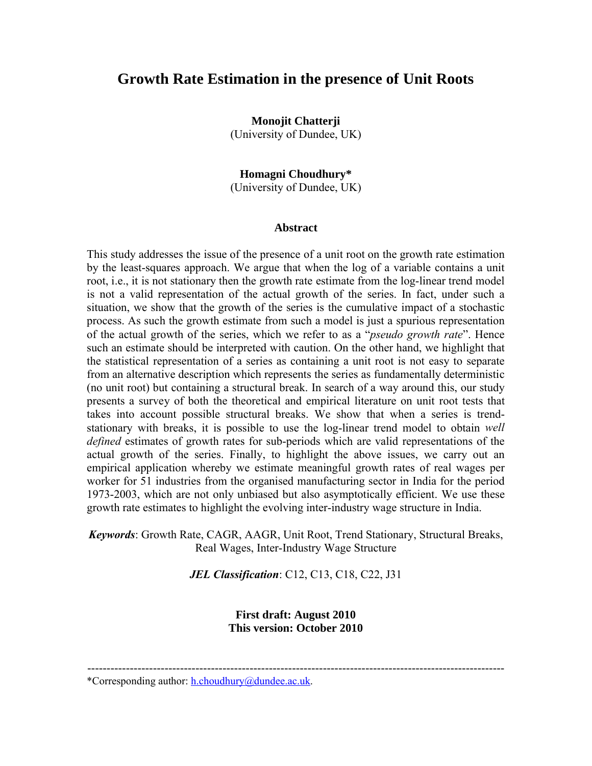## **Growth Rate Estimation in the presence of Unit Roots**

**Monojit Chatterji** (University of Dundee, UK)

**Homagni Choudhury\*** (University of Dundee, UK)

#### **Abstract**

This study addresses the issue of the presence of a unit root on the growth rate estimation by the least-squares approach. We argue that when the log of a variable contains a unit root, i.e., it is not stationary then the growth rate estimate from the log-linear trend model is not a valid representation of the actual growth of the series. In fact, under such a situation, we show that the growth of the series is the cumulative impact of a stochastic process. As such the growth estimate from such a model is just a spurious representation of the actual growth of the series, which we refer to as a "*pseudo growth rate*". Hence such an estimate should be interpreted with caution. On the other hand, we highlight that the statistical representation of a series as containing a unit root is not easy to separate from an alternative description which represents the series as fundamentally deterministic (no unit root) but containing a structural break. In search of a way around this, our study presents a survey of both the theoretical and empirical literature on unit root tests that takes into account possible structural breaks. We show that when a series is trendstationary with breaks, it is possible to use the log-linear trend model to obtain *well defined* estimates of growth rates for sub-periods which are valid representations of the actual growth of the series. Finally, to highlight the above issues, we carry out an empirical application whereby we estimate meaningful growth rates of real wages per worker for 51 industries from the organised manufacturing sector in India for the period 1973-2003, which are not only unbiased but also asymptotically efficient. We use these growth rate estimates to highlight the evolving inter-industry wage structure in India.

*Keywords*: Growth Rate, CAGR, AAGR, Unit Root, Trend Stationary, Structural Breaks, Real Wages, Inter-Industry Wage Structure

*JEL Classification*: C12, C13, C18, C22, J31

**First draft: August 2010 This version: October 2010**

\*Corresponding author: h.choudhury@dundee.ac.uk.

<sup>------------------------------------------------------------------------------------------------------------</sup>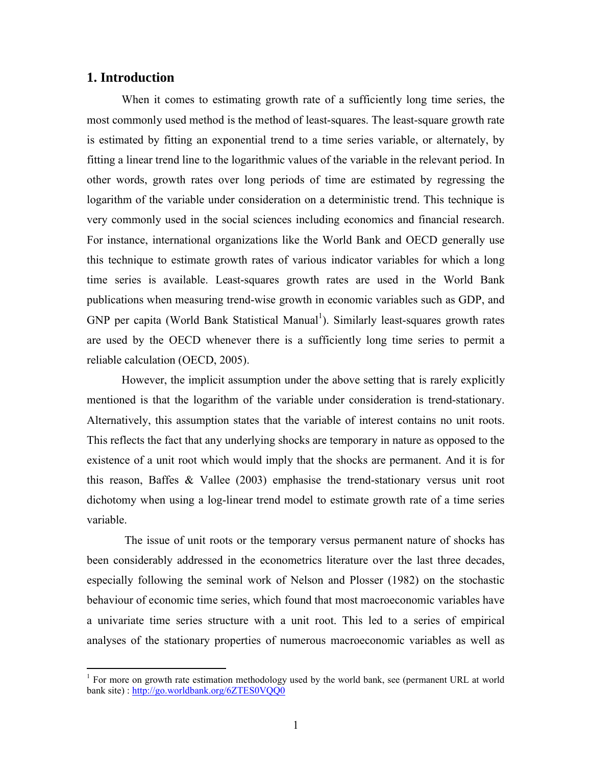## **1. Introduction**

 $\overline{a}$ 

When it comes to estimating growth rate of a sufficiently long time series, the most commonly used method is the method of least-squares. The least-square growth rate is estimated by fitting an exponential trend to a time series variable, or alternately, by fitting a linear trend line to the logarithmic values of the variable in the relevant period. In other words, growth rates over long periods of time are estimated by regressing the logarithm of the variable under consideration on a deterministic trend. This technique is very commonly used in the social sciences including economics and financial research. For instance, international organizations like the World Bank and OECD generally use this technique to estimate growth rates of various indicator variables for which a long time series is available. Least-squares growth rates are used in the World Bank publications when measuring trend-wise growth in economic variables such as GDP, and  $GNP$  per capita (World Bank Statistical Manual<sup>1</sup>). Similarly least-squares growth rates are used by the OECD whenever there is a sufficiently long time series to permit a reliable calculation (OECD, 2005).

However, the implicit assumption under the above setting that is rarely explicitly mentioned is that the logarithm of the variable under consideration is trend-stationary. Alternatively, this assumption states that the variable of interest contains no unit roots. This reflects the fact that any underlying shocks are temporary in nature as opposed to the existence of a unit root which would imply that the shocks are permanent. And it is for this reason, Baffes & Vallee (2003) emphasise the trend-stationary versus unit root dichotomy when using a log-linear trend model to estimate growth rate of a time series variable.

The issue of unit roots or the temporary versus permanent nature of shocks has been considerably addressed in the econometrics literature over the last three decades, especially following the seminal work of Nelson and Plosser (1982) on the stochastic behaviour of economic time series, which found that most macroeconomic variables have a univariate time series structure with a unit root. This led to a series of empirical analyses of the stationary properties of numerous macroeconomic variables as well as

 $1$  For more on growth rate estimation methodology used by the world bank, see (permanent URL at world bank site) : http://go.worldbank.org/6ZTES0VQQ0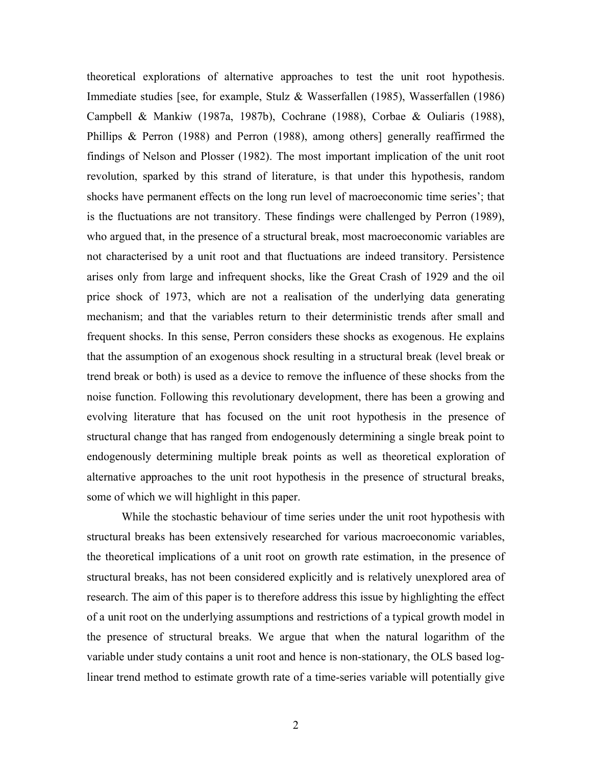theoretical explorations of alternative approaches to test the unit root hypothesis. Immediate studies [see, for example, Stulz & Wasserfallen (1985), Wasserfallen (1986) Campbell & Mankiw (1987a, 1987b), Cochrane (1988), Corbae & Ouliaris (1988), Phillips & Perron (1988) and Perron (1988), among others] generally reaffirmed the findings of Nelson and Plosser (1982). The most important implication of the unit root revolution, sparked by this strand of literature, is that under this hypothesis, random shocks have permanent effects on the long run level of macroeconomic time series'; that is the fluctuations are not transitory. These findings were challenged by Perron (1989), who argued that, in the presence of a structural break, most macroeconomic variables are not characterised by a unit root and that fluctuations are indeed transitory. Persistence arises only from large and infrequent shocks, like the Great Crash of 1929 and the oil price shock of 1973, which are not a realisation of the underlying data generating mechanism; and that the variables return to their deterministic trends after small and frequent shocks. In this sense, Perron considers these shocks as exogenous. He explains that the assumption of an exogenous shock resulting in a structural break (level break or trend break or both) is used as a device to remove the influence of these shocks from the noise function. Following this revolutionary development, there has been a growing and evolving literature that has focused on the unit root hypothesis in the presence of structural change that has ranged from endogenously determining a single break point to endogenously determining multiple break points as well as theoretical exploration of alternative approaches to the unit root hypothesis in the presence of structural breaks, some of which we will highlight in this paper.

While the stochastic behaviour of time series under the unit root hypothesis with structural breaks has been extensively researched for various macroeconomic variables, the theoretical implications of a unit root on growth rate estimation, in the presence of structural breaks, has not been considered explicitly and is relatively unexplored area of research. The aim of this paper is to therefore address this issue by highlighting the effect of a unit root on the underlying assumptions and restrictions of a typical growth model in the presence of structural breaks. We argue that when the natural logarithm of the variable under study contains a unit root and hence is non-stationary, the OLS based loglinear trend method to estimate growth rate of a time-series variable will potentially give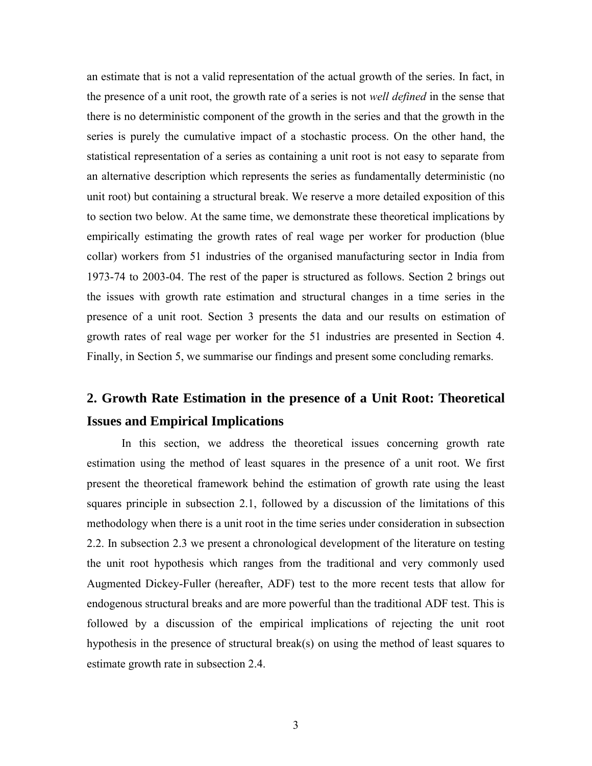an estimate that is not a valid representation of the actual growth of the series. In fact, in the presence of a unit root, the growth rate of a series is not *well defined* in the sense that there is no deterministic component of the growth in the series and that the growth in the series is purely the cumulative impact of a stochastic process. On the other hand, the statistical representation of a series as containing a unit root is not easy to separate from an alternative description which represents the series as fundamentally deterministic (no unit root) but containing a structural break. We reserve a more detailed exposition of this to section two below. At the same time, we demonstrate these theoretical implications by empirically estimating the growth rates of real wage per worker for production (blue collar) workers from 51 industries of the organised manufacturing sector in India from 1973-74 to 2003-04. The rest of the paper is structured as follows. Section 2 brings out the issues with growth rate estimation and structural changes in a time series in the presence of a unit root. Section 3 presents the data and our results on estimation of growth rates of real wage per worker for the 51 industries are presented in Section 4. Finally, in Section 5, we summarise our findings and present some concluding remarks.

## **2. Growth Rate Estimation in the presence of a Unit Root: Theoretical Issues and Empirical Implications**

In this section, we address the theoretical issues concerning growth rate estimation using the method of least squares in the presence of a unit root. We first present the theoretical framework behind the estimation of growth rate using the least squares principle in subsection 2.1, followed by a discussion of the limitations of this methodology when there is a unit root in the time series under consideration in subsection 2.2. In subsection 2.3 we present a chronological development of the literature on testing the unit root hypothesis which ranges from the traditional and very commonly used Augmented Dickey-Fuller (hereafter, ADF) test to the more recent tests that allow for endogenous structural breaks and are more powerful than the traditional ADF test. This is followed by a discussion of the empirical implications of rejecting the unit root hypothesis in the presence of structural break(s) on using the method of least squares to estimate growth rate in subsection 2.4.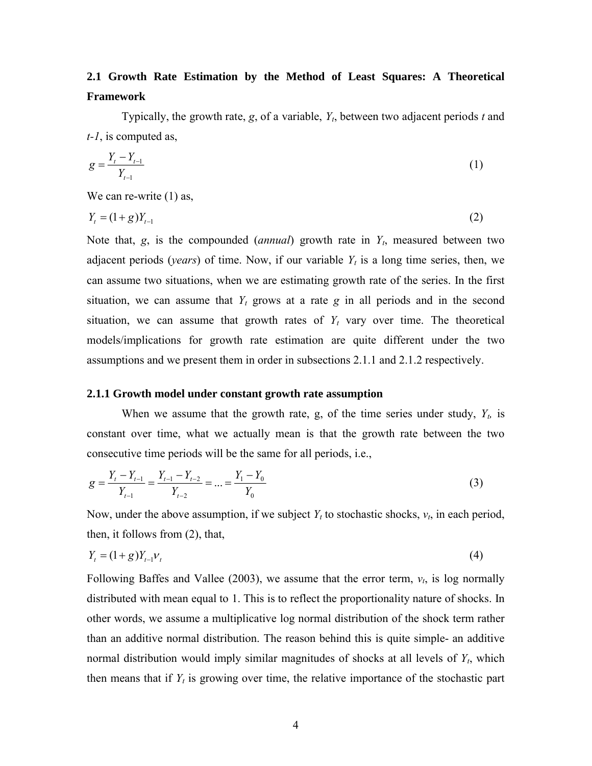## **2.1 Growth Rate Estimation by the Method of Least Squares: A Theoretical Framework**

Typically, the growth rate, *g*, of a variable, *Yt*, between two adjacent periods *t* and *t-1*, is computed as,

$$
g = \frac{Y_t - Y_{t-1}}{Y_{t-1}}
$$
 (1)

We can re-write  $(1)$  as,

$$
Y_t = (1+g)Y_{t-1}
$$
 (2)

Note that, *g*, is the compounded (*annual*) growth rate in *Yt*, measured between two adjacent periods (*years*) of time. Now, if our variable  $Y_t$  is a long time series, then, we can assume two situations, when we are estimating growth rate of the series. In the first situation, we can assume that  $Y_t$  grows at a rate g in all periods and in the second situation, we can assume that growth rates of  $Y_t$  vary over time. The theoretical models/implications for growth rate estimation are quite different under the two assumptions and we present them in order in subsections 2.1.1 and 2.1.2 respectively.

## **2.1.1 Growth model under constant growth rate assumption**

When we assume that the growth rate, g, of the time series under study,  $Y_t$ , is constant over time, what we actually mean is that the growth rate between the two consecutive time periods will be the same for all periods, i.e.,

$$
g = \frac{Y_t - Y_{t-1}}{Y_{t-1}} = \frac{Y_{t-1} - Y_{t-2}}{Y_{t-2}} = \dots = \frac{Y_1 - Y_0}{Y_0}
$$
\n
$$
\tag{3}
$$

Now, under the above assumption, if we subject  $Y_t$  to stochastic shocks,  $v_t$ , in each period, then, it follows from (2), that,

$$
Y_t = (1+g)Y_{t-1}V_t
$$
\n(4)

Following Baffes and Vallee (2003), we assume that the error term, *νt*, is log normally distributed with mean equal to 1. This is to reflect the proportionality nature of shocks. In other words, we assume a multiplicative log normal distribution of the shock term rather than an additive normal distribution. The reason behind this is quite simple- an additive normal distribution would imply similar magnitudes of shocks at all levels of *Yt*, which then means that if  $Y_t$  is growing over time, the relative importance of the stochastic part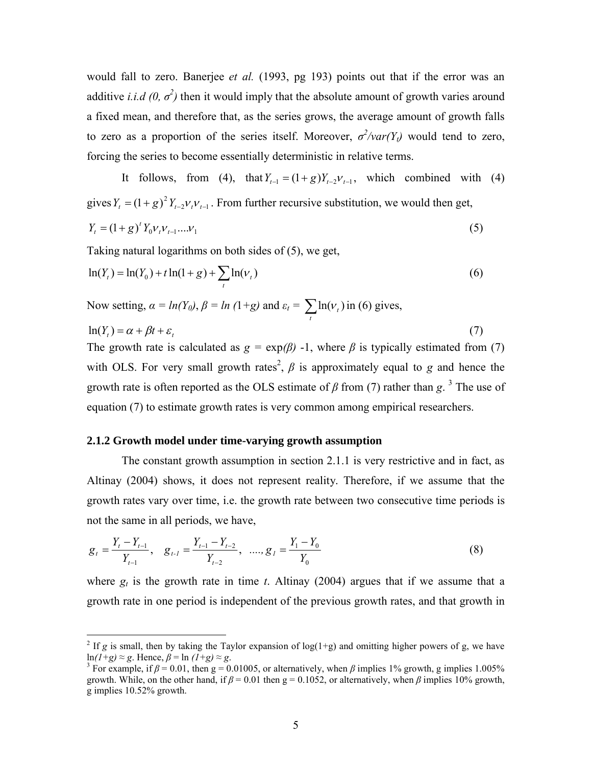would fall to zero. Banerjee *et al.* (1993, pg 193) points out that if the error was an additive *i.i.d*  $(0, \sigma^2)$  then it would imply that the absolute amount of growth varies around a fixed mean, and therefore that, as the series grows, the average amount of growth falls to zero as a proportion of the series itself. Moreover,  $\sigma^2$ /*var*(Y<sub>t</sub>) would tend to zero, forcing the series to become essentially deterministic in relative terms.

It follows, from (4), that  $Y_{t-1} = (1+g) Y_{t-2} V_{t-1}$ , which combined with (4) gives  $Y_t = (1 + g)^2 Y_{t-2} V_t V_{t-1}$ . From further recursive substitution, we would then get,

$$
Y_t = (1+g)^t Y_0 V_t V_{t-1} \dots V_1
$$
\n(5)

Taking natural logarithms on both sides of (5), we get,

$$
\ln(Y_t) = \ln(Y_0) + t \ln(1+g) + \sum_t \ln(v_t)
$$
\n(6)

Now setting,  $\alpha = ln(Y_0)$ ,  $\beta = ln(1+g)$  and  $\varepsilon_t = \sum_t ln(v_t)$  in (6) gives,  $\ln(Y_{\epsilon}) = \alpha + \beta t + \varepsilon$ , (7)

The growth rate is calculated as  $g = \exp(\beta)$  -1, where  $\beta$  is typically estimated from (7) with OLS. For very small growth rates<sup>2</sup>,  $\beta$  is approximately equal to *g* and hence the growth rate is often reported as the OLS estimate of  $\beta$  from (7) rather than g.<sup>3</sup> The use of equation (7) to estimate growth rates is very common among empirical researchers.

### **2.1.2 Growth model under time-varying growth assumption**

The constant growth assumption in section 2.1.1 is very restrictive and in fact, as Altinay (2004) shows, it does not represent reality. Therefore, if we assume that the growth rates vary over time, i.e. the growth rate between two consecutive time periods is not the same in all periods, we have,

$$
g_{t} = \frac{Y_{t} - Y_{t-1}}{Y_{t-1}}, \quad g_{t-1} = \frac{Y_{t-1} - Y_{t-2}}{Y_{t-2}}, \quad \dots, g_{t} = \frac{Y_{t} - Y_{0}}{Y_{0}}
$$
(8)

where  $g_t$  is the growth rate in time *t*. Altinay (2004) argues that if we assume that a growth rate in one period is independent of the previous growth rates, and that growth in

<sup>&</sup>lt;sup>2</sup> If *g* is small, then by taking the Taylor expansion of log(1+g) and omitting higher powers of g, we have ln $(1+g) \approx g$ . Hence,  $\beta = \ln (1+g) \approx g$ .<br><sup>3</sup> For example, if  $\beta = 0.01$ , then g = 0.01005, or alternatively, when  $\beta$  implies 1% growth, g implies 1.005%

growth. While, on the other hand, if  $\beta = 0.01$  then  $g = 0.1052$ , or alternatively, when  $\beta$  implies 10% growth, g implies 10.52% growth.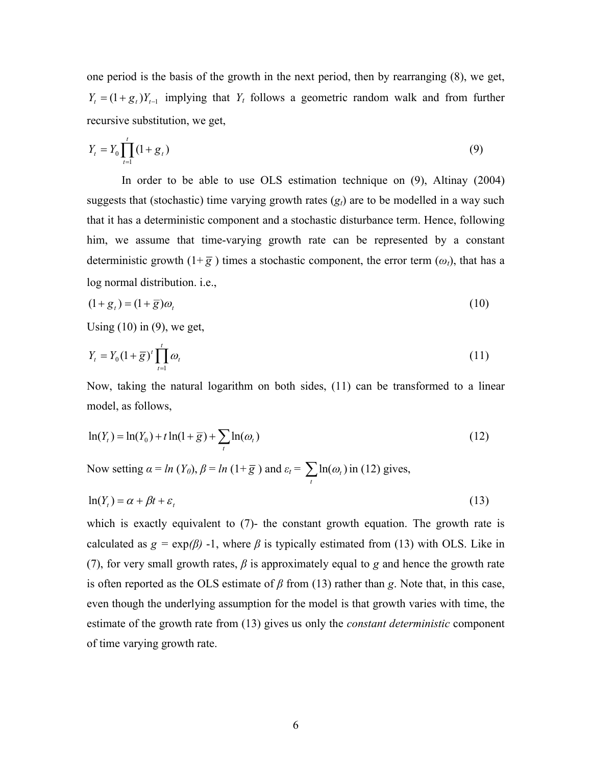one period is the basis of the growth in the next period, then by rearranging (8), we get,  $Y_t = (1 + g_t) Y_{t-1}$  implying that  $Y_t$  follows a geometric random walk and from further recursive substitution, we get,

$$
Y_t = Y_0 \prod_{t=1}^t (1 + g_t)
$$
\n(9)

In order to be able to use OLS estimation technique on (9), Altinay (2004) suggests that (stochastic) time varying growth rates  $(g<sub>i</sub>)$  are to be modelled in a way such that it has a deterministic component and a stochastic disturbance term. Hence, following him, we assume that time-varying growth rate can be represented by a constant deterministic growth  $(1+\overline{g})$  times a stochastic component, the error term  $(\omega_t)$ , that has a log normal distribution. i.e.,

$$
(1+gt) = (1+\overline{g})\omegat
$$
\n(10)

Using  $(10)$  in  $(9)$ , we get,

$$
Y_t = Y_0 \left(1 + \overline{g}\right)^t \prod_{t=1}^t \omega_t \tag{11}
$$

Now, taking the natural logarithm on both sides, (11) can be transformed to a linear model, as follows,

$$
\ln(Y_t) = \ln(Y_0) + t \ln(1 + \overline{g}) + \sum_t \ln(\omega_t)
$$
\n(12)

Now setting  $\alpha = ln(Y_0)$ ,  $\beta = ln(1+\overline{g})$  and  $\varepsilon_t = \sum_t ln(\omega_t)$  in (12) gives,

$$
\ln(Y_t) = \alpha + \beta t + \varepsilon_t \tag{13}
$$

which is exactly equivalent to (7)- the constant growth equation. The growth rate is calculated as  $g = \exp(\beta)$  -1, where  $\beta$  is typically estimated from (13) with OLS. Like in (7), for very small growth rates, *β* is approximately equal to *g* and hence the growth rate is often reported as the OLS estimate of  $\beta$  from (13) rather than *g*. Note that, in this case, even though the underlying assumption for the model is that growth varies with time, the estimate of the growth rate from (13) gives us only the *constant deterministic* component of time varying growth rate.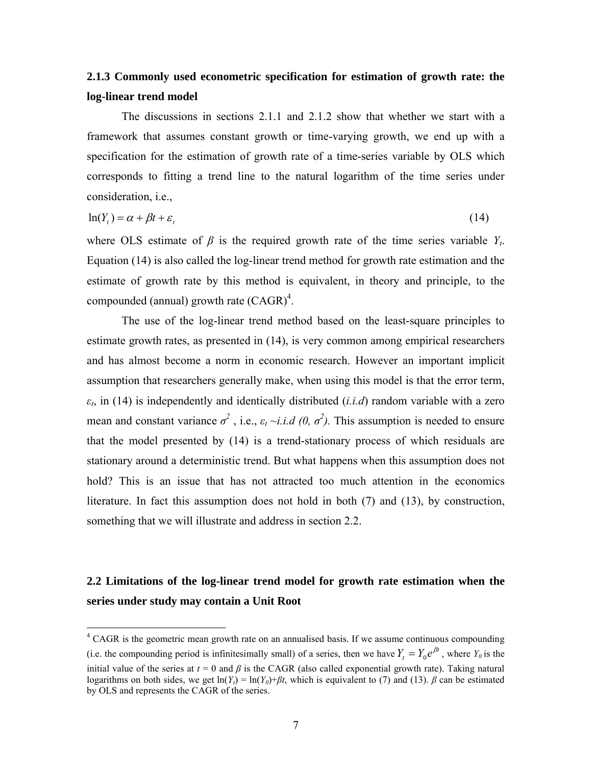## **2.1.3 Commonly used econometric specification for estimation of growth rate: the log-linear trend model**

The discussions in sections 2.1.1 and 2.1.2 show that whether we start with a framework that assumes constant growth or time-varying growth, we end up with a specification for the estimation of growth rate of a time-series variable by OLS which corresponds to fitting a trend line to the natural logarithm of the time series under consideration, i.e.,

$$
\ln(Y_t) = \alpha + \beta t + \varepsilon_t \tag{14}
$$

where OLS estimate of  $\beta$  is the required growth rate of the time series variable  $Y_t$ . Equation (14) is also called the log-linear trend method for growth rate estimation and the estimate of growth rate by this method is equivalent, in theory and principle, to the compounded (annual) growth rate  $(CAGR)^4$ .

The use of the log-linear trend method based on the least-square principles to estimate growth rates, as presented in (14), is very common among empirical researchers and has almost become a norm in economic research. However an important implicit assumption that researchers generally make, when using this model is that the error term, *εt*, in (14) is independently and identically distributed (*i.i.d*) random variable with a zero mean and constant variance  $\sigma^2$ , i.e.,  $\varepsilon_t \sim i.i.d$  (0,  $\sigma^2$ ). This assumption is needed to ensure that the model presented by (14) is a trend-stationary process of which residuals are stationary around a deterministic trend. But what happens when this assumption does not hold? This is an issue that has not attracted too much attention in the economics literature. In fact this assumption does not hold in both (7) and (13), by construction, something that we will illustrate and address in section 2.2.

## **2.2 Limitations of the log-linear trend model for growth rate estimation when the series under study may contain a Unit Root**

<sup>&</sup>lt;sup>4</sup> CAGR is the geometric mean growth rate on an annualised basis. If we assume continuous compounding (i.e. the compounding period is infinitesimally small) of a series, then we have  $Y_t = Y_0 e^{\beta t}$ , where  $Y_0$  is the initial value of the series at  $t = 0$  and  $\beta$  is the CAGR (also called exponential growth rate). Taking natural logarithms on both sides, we get  $\ln(Y_t) = \ln(Y_0) + \beta t$ , which is equivalent to (7) and (13). *β* can be estimated by OLS and represents the CAGR of the series.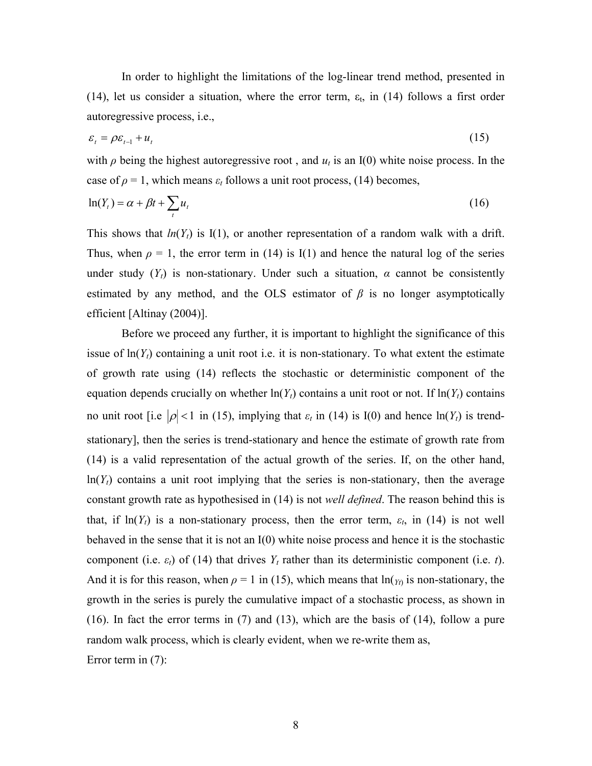In order to highlight the limitations of the log-linear trend method, presented in (14), let us consider a situation, where the error term,  $\varepsilon_t$ , in (14) follows a first order autoregressive process, i.e.,

$$
\varepsilon_t = \rho \varepsilon_{t-1} + u_t \tag{15}
$$

with  $\rho$  being the highest autoregressive root, and  $u_t$  is an I(0) white noise process. In the case of  $\rho = 1$ , which means  $\varepsilon_t$  follows a unit root process, (14) becomes,

$$
\ln(Y_t) = \alpha + \beta t + \sum_t u_t \tag{16}
$$

This shows that  $ln(Y_t)$  is I(1), or another representation of a random walk with a drift. Thus, when  $\rho = 1$ , the error term in (14) is I(1) and hence the natural log of the series under study  $(Y_t)$  is non-stationary. Under such a situation,  $\alpha$  cannot be consistently estimated by any method, and the OLS estimator of  $\beta$  is no longer asymptotically efficient [Altinay (2004)].

Before we proceed any further, it is important to highlight the significance of this issue of  $\ln(Y_t)$  containing a unit root i.e. it is non-stationary. To what extent the estimate of growth rate using (14) reflects the stochastic or deterministic component of the equation depends crucially on whether  $ln(Y_t)$  contains a unit root or not. If  $ln(Y_t)$  contains no unit root [i.e  $|\rho| < 1$  in (15), implying that  $\varepsilon_t$  in (14) is I(0) and hence  $\ln(Y_t)$  is trendstationary], then the series is trend-stationary and hence the estimate of growth rate from (14) is a valid representation of the actual growth of the series. If, on the other hand,  $ln(Y<sub>t</sub>)$  contains a unit root implying that the series is non-stationary, then the average constant growth rate as hypothesised in (14) is not *well defined*. The reason behind this is that, if  $\ln(Y_t)$  is a non-stationary process, then the error term,  $\varepsilon_t$ , in (14) is not well behaved in the sense that it is not an I(0) white noise process and hence it is the stochastic component (i.e.  $\varepsilon_t$ ) of (14) that drives  $Y_t$  rather than its deterministic component (i.e. *t*). And it is for this reason, when  $\rho = 1$  in (15), which means that  $\ln(y_0)$  is non-stationary, the growth in the series is purely the cumulative impact of a stochastic process, as shown in (16). In fact the error terms in (7) and (13), which are the basis of (14), follow a pure random walk process, which is clearly evident, when we re-write them as, Error term in (7):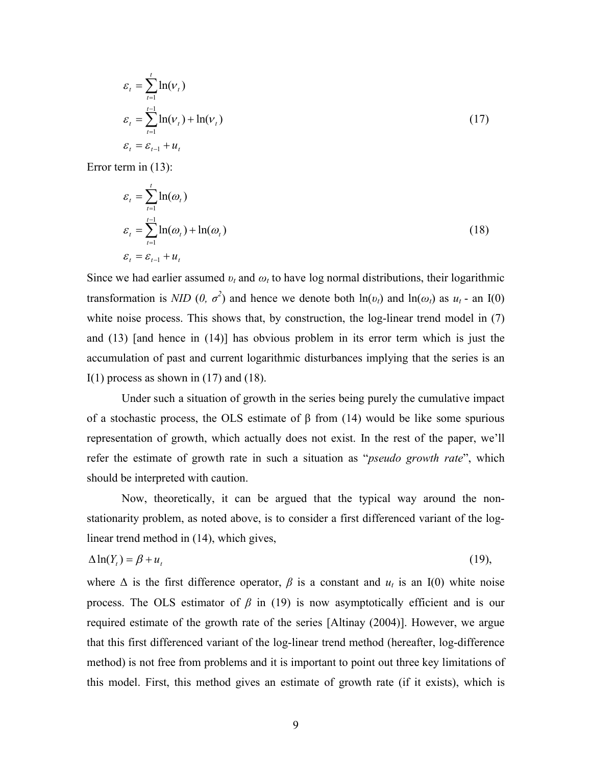$$
\varepsilon_{t} = \sum_{t=1}^{t} \ln(\nu_{t})
$$
  
\n
$$
\varepsilon_{t} = \sum_{t=1}^{t-1} \ln(\nu_{t}) + \ln(\nu_{t})
$$
  
\n
$$
\varepsilon_{t} = \varepsilon_{t-1} + u_{t}
$$
\n(17)

Error term in (13):

$$
\varepsilon_{t} = \sum_{t=1}^{t} \ln(\omega_{t})
$$
\n
$$
\varepsilon_{t} = \sum_{t=1}^{t-1} \ln(\omega_{t}) + \ln(\omega_{t})
$$
\n
$$
\varepsilon_{t} = \varepsilon_{t-1} + u_{t}
$$
\n(18)

Since we had earlier assumed  $v_t$  and  $\omega_t$  to have log normal distributions, their logarithmic transformation is *NID* (0,  $\sigma^2$ ) and hence we denote both  $\ln(v_t)$  and  $\ln(\omega_t)$  as  $u_t$  - an I(0) white noise process. This shows that, by construction, the log-linear trend model in (7) and (13) [and hence in (14)] has obvious problem in its error term which is just the accumulation of past and current logarithmic disturbances implying that the series is an I(1) process as shown in  $(17)$  and  $(18)$ .

Under such a situation of growth in the series being purely the cumulative impact of a stochastic process, the OLS estimate of β from (14) would be like some spurious representation of growth, which actually does not exist. In the rest of the paper, we'll refer the estimate of growth rate in such a situation as "*pseudo growth rate*", which should be interpreted with caution.

Now, theoretically, it can be argued that the typical way around the nonstationarity problem, as noted above, is to consider a first differenced variant of the loglinear trend method in (14), which gives,

$$
\Delta \ln(Y_t) = \beta + u_t \tag{19}
$$

where  $\Delta$  is the first difference operator,  $\beta$  is a constant and  $u_t$  is an I(0) white noise process. The OLS estimator of  $\beta$  in (19) is now asymptotically efficient and is our required estimate of the growth rate of the series [Altinay (2004)]. However, we argue that this first differenced variant of the log-linear trend method (hereafter, log-difference method) is not free from problems and it is important to point out three key limitations of this model. First, this method gives an estimate of growth rate (if it exists), which is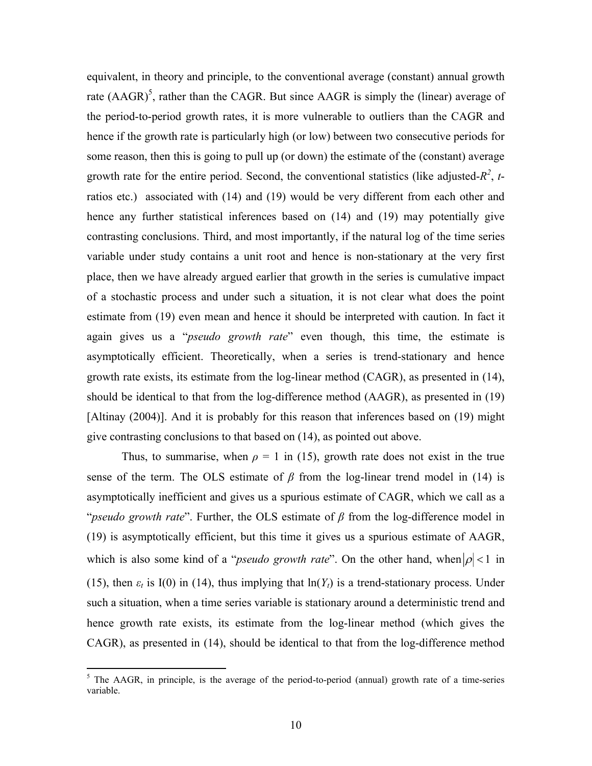equivalent, in theory and principle, to the conventional average (constant) annual growth rate  $(AAGR)^5$ , rather than the CAGR. But since AAGR is simply the (linear) average of the period-to-period growth rates, it is more vulnerable to outliers than the CAGR and hence if the growth rate is particularly high (or low) between two consecutive periods for some reason, then this is going to pull up (or down) the estimate of the (constant) average growth rate for the entire period. Second, the conventional statistics (like adjusted- $R^2$ , tratios etc.) associated with (14) and (19) would be very different from each other and hence any further statistical inferences based on (14) and (19) may potentially give contrasting conclusions. Third, and most importantly, if the natural log of the time series variable under study contains a unit root and hence is non-stationary at the very first place, then we have already argued earlier that growth in the series is cumulative impact of a stochastic process and under such a situation, it is not clear what does the point estimate from (19) even mean and hence it should be interpreted with caution. In fact it again gives us a "*pseudo growth rate*" even though, this time, the estimate is asymptotically efficient. Theoretically, when a series is trend-stationary and hence growth rate exists, its estimate from the log-linear method (CAGR), as presented in (14), should be identical to that from the log-difference method (AAGR), as presented in (19) [Altinay (2004)]. And it is probably for this reason that inferences based on (19) might give contrasting conclusions to that based on (14), as pointed out above.

Thus, to summarise, when  $\rho = 1$  in (15), growth rate does not exist in the true sense of the term. The OLS estimate of  $\beta$  from the log-linear trend model in (14) is asymptotically inefficient and gives us a spurious estimate of CAGR, which we call as a "*pseudo growth rate*". Further, the OLS estimate of *β* from the log-difference model in (19) is asymptotically efficient, but this time it gives us a spurious estimate of AAGR, which is also some kind of a "*pseudo growth rate*". On the other hand, when  $|\rho|$  < 1 in (15), then  $\varepsilon_t$  is I(0) in (14), thus implying that  $\ln(Y_t)$  is a trend-stationary process. Under such a situation, when a time series variable is stationary around a deterministic trend and hence growth rate exists, its estimate from the log-linear method (which gives the CAGR), as presented in (14), should be identical to that from the log-difference method

 $<sup>5</sup>$  The AAGR, in principle, is the average of the period-to-period (annual) growth rate of a time-series</sup> variable.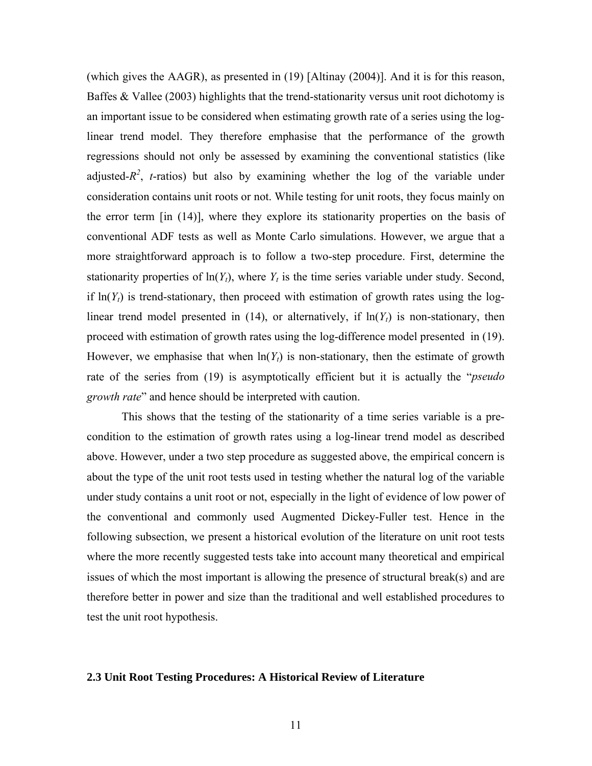(which gives the AAGR), as presented in (19) [Altinay (2004)]. And it is for this reason, Baffes & Vallee (2003) highlights that the trend-stationarity versus unit root dichotomy is an important issue to be considered when estimating growth rate of a series using the loglinear trend model. They therefore emphasise that the performance of the growth regressions should not only be assessed by examining the conventional statistics (like adjusted- $R^2$ , *t*-ratios) but also by examining whether the log of the variable under consideration contains unit roots or not. While testing for unit roots, they focus mainly on the error term [in (14)], where they explore its stationarity properties on the basis of conventional ADF tests as well as Monte Carlo simulations. However, we argue that a more straightforward approach is to follow a two-step procedure. First, determine the stationarity properties of  $\ln(Y_t)$ , where  $Y_t$  is the time series variable under study. Second, if  $ln(Y_t)$  is trend-stationary, then proceed with estimation of growth rates using the loglinear trend model presented in (14), or alternatively, if  $\ln(Y_t)$  is non-stationary, then proceed with estimation of growth rates using the log-difference model presented in (19). However, we emphasise that when  $ln(Y_t)$  is non-stationary, then the estimate of growth rate of the series from (19) is asymptotically efficient but it is actually the "*pseudo growth rate*" and hence should be interpreted with caution.

This shows that the testing of the stationarity of a time series variable is a precondition to the estimation of growth rates using a log-linear trend model as described above. However, under a two step procedure as suggested above, the empirical concern is about the type of the unit root tests used in testing whether the natural log of the variable under study contains a unit root or not, especially in the light of evidence of low power of the conventional and commonly used Augmented Dickey-Fuller test. Hence in the following subsection, we present a historical evolution of the literature on unit root tests where the more recently suggested tests take into account many theoretical and empirical issues of which the most important is allowing the presence of structural break(s) and are therefore better in power and size than the traditional and well established procedures to test the unit root hypothesis.

### **2.3 Unit Root Testing Procedures: A Historical Review of Literature**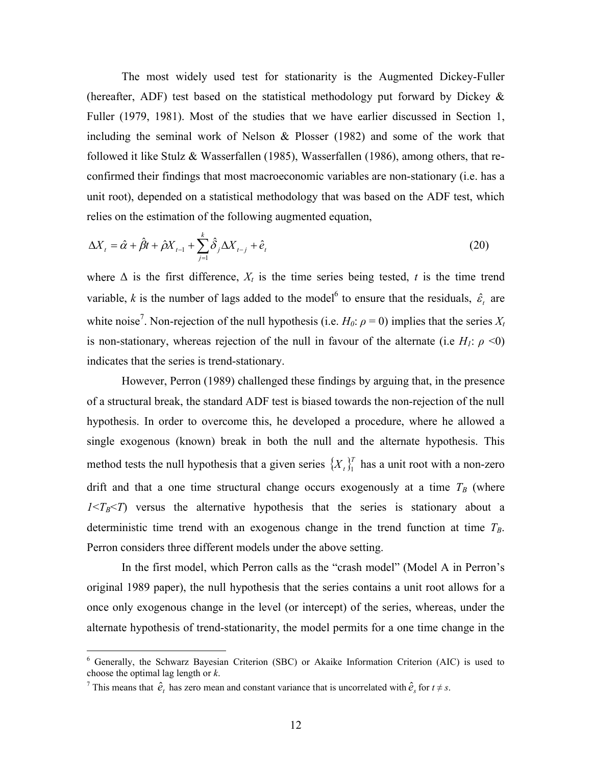The most widely used test for stationarity is the Augmented Dickey-Fuller (hereafter, ADF) test based on the statistical methodology put forward by Dickey  $\&$ Fuller (1979, 1981). Most of the studies that we have earlier discussed in Section 1, including the seminal work of Nelson & Plosser (1982) and some of the work that followed it like Stulz & Wasserfallen (1985), Wasserfallen (1986), among others, that reconfirmed their findings that most macroeconomic variables are non-stationary (i.e. has a unit root), depended on a statistical methodology that was based on the ADF test, which relies on the estimation of the following augmented equation,

$$
\Delta X_t = \hat{\alpha} + \hat{\beta}t + \hat{\beta}X_{t-1} + \sum_{j=1}^k \hat{\delta}_j \Delta X_{t-j} + \hat{e}_t
$$
\n(20)

where  $\Delta$  is the first difference,  $X_t$  is the time series being tested, *t* is the time trend variable, k is the number of lags added to the model<sup>6</sup> to ensure that the residuals,  $\hat{\varepsilon}_t$  are white noise<sup>7</sup>. Non-rejection of the null hypothesis (i.e.  $H_0: \rho = 0$ ) implies that the series  $X_t$ is non-stationary, whereas rejection of the null in favour of the alternate (i.e  $H_1$ :  $\rho \le 0$ ) indicates that the series is trend-stationary.

However, Perron (1989) challenged these findings by arguing that, in the presence of a structural break, the standard ADF test is biased towards the non-rejection of the null hypothesis. In order to overcome this, he developed a procedure, where he allowed a single exogenous (known) break in both the null and the alternate hypothesis. This method tests the null hypothesis that a given series  $\{X_t\}_{t=1}^T$  has a unit root with a non-zero drift and that a one time structural change occurs exogenously at a time  $T_B$  (where  $1 < T_B < T$ ) versus the alternative hypothesis that the series is stationary about a deterministic time trend with an exogenous change in the trend function at time  $T_B$ . Perron considers three different models under the above setting.

In the first model, which Perron calls as the "crash model" (Model A in Perron's original 1989 paper), the null hypothesis that the series contains a unit root allows for a once only exogenous change in the level (or intercept) of the series, whereas, under the alternate hypothesis of trend-stationarity, the model permits for a one time change in the

<sup>&</sup>lt;sup>6</sup> Generally, the Schwarz Bayesian Criterion (SBC) or Akaike Information Criterion (AIC) is used to choose the optimal lag length or *k*.

<sup>&</sup>lt;sup>7</sup> This means that  $\hat{e}_t$  has zero mean and constant variance that is uncorrelated with  $\hat{e}_s$  for  $t \neq s$ .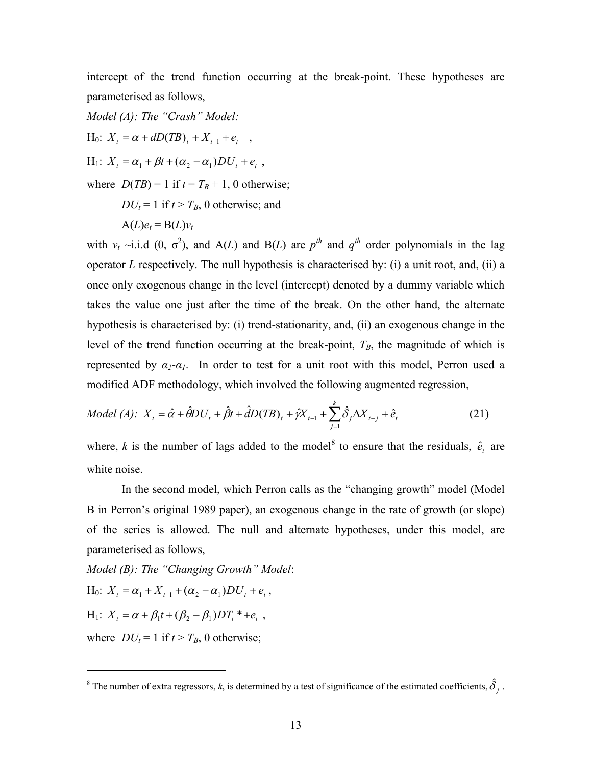intercept of the trend function occurring at the break-point. These hypotheses are parameterised as follows,

*Model (A): The "Crash" Model:*  $H_0: X_t = \alpha + dD(TB)_t + X_{t-1} + e_t$ ,  $H_1$ :  $X_t = \alpha_1 + \beta t + (\alpha_2 - \alpha_1)DU_t + e_t$ , where  $D(TB) = 1$  if  $t = T_B + 1$ , 0 otherwise;  $DU_t = 1$  if  $t > T_B$ , 0 otherwise; and  $A(L)e_t = B(L)v_t$ 

with  $v_t \sim i.i.d$  (0,  $\sigma^2$ ), and A(*L*) and B(*L*) are  $p^{th}$  and  $q^{th}$  order polynomials in the lag operator *L* respectively. The null hypothesis is characterised by: (i) a unit root, and, (ii) a once only exogenous change in the level (intercept) denoted by a dummy variable which takes the value one just after the time of the break. On the other hand, the alternate hypothesis is characterised by: (i) trend-stationarity, and, (ii) an exogenous change in the level of the trend function occurring at the break-point,  $T_B$ , the magnitude of which is represented by  $α_2$ - $α_1$ . In order to test for a unit root with this model, Perron used a modified ADF methodology, which involved the following augmented regression,

Model (A): 
$$
X_t = \hat{\alpha} + \hat{\theta}DU_t + \hat{\beta}t + \hat{d}D(TB)_t + \hat{\gamma}X_{t-1} + \sum_{j=1}^k \hat{\delta}_j \Delta X_{t-j} + \hat{e}_t
$$
 (21)

where, *k* is the number of lags added to the model<sup>8</sup> to ensure that the residuals,  $\hat{e}_t$  are white noise.

In the second model, which Perron calls as the "changing growth" model (Model B in Perron's original 1989 paper), an exogenous change in the rate of growth (or slope) of the series is allowed. The null and alternate hypotheses, under this model, are parameterised as follows,

*Model (B): The "Changing Growth" Model*:  $H_0: X_t = \alpha_1 + X_{t-1} + (\alpha_2 - \alpha_1)DU_t + e_t$  $H_1$ :  $X_t = \alpha + \beta_1 t + (\beta_2 - \beta_1) D T_t^* + e_t$ ,

where  $DU_t = 1$  if  $t > T_B$ , 0 otherwise;

<sup>&</sup>lt;sup>8</sup> The number of extra regressors, *k*, is determined by a test of significance of the estimated coefficients,  $\hat{\delta}_j$ .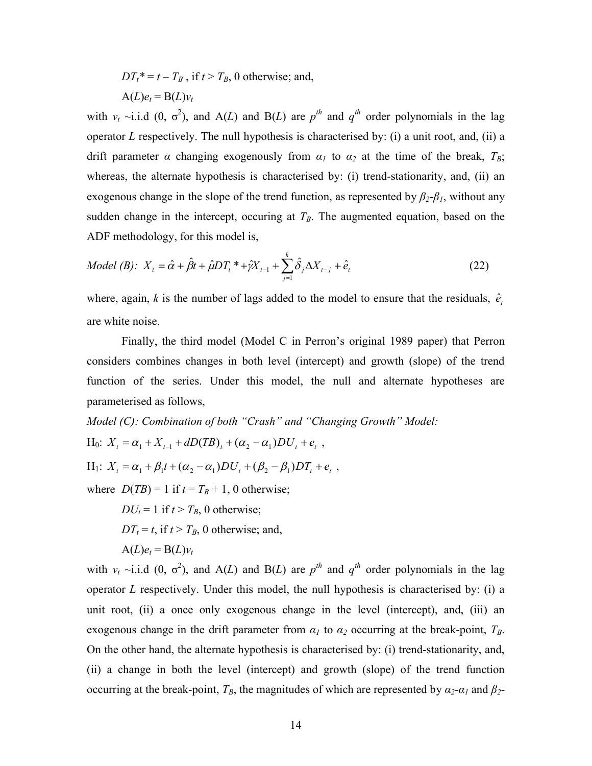$DT_t^* = t - T_B$ , if  $t > T_B$ , 0 otherwise; and,  $A(L)e_t = B(L)v_t$ 

with  $v_t \sim i.i.d$  (0,  $\sigma^2$ ), and A(*L*) and B(*L*) are  $p^{th}$  and  $q^{th}$  order polynomials in the lag operator *L* respectively. The null hypothesis is characterised by: (i) a unit root, and, (ii) a drift parameter  $\alpha$  changing exogenously from  $\alpha_l$  to  $\alpha_2$  at the time of the break,  $T_B$ ; whereas, the alternate hypothesis is characterised by: (i) trend-stationarity, and, (ii) an exogenous change in the slope of the trend function, as represented by  $\beta_2$ - $\beta_1$ , without any sudden change in the intercept, occuring at  $T_B$ . The augmented equation, based on the ADF methodology, for this model is,

Model (B): 
$$
X_t = \hat{\alpha} + \hat{\beta}t + \hat{\mu}DT_t^* + \hat{\gamma}X_{t-1} + \sum_{j=1}^k \hat{\delta}_j \Delta X_{t-j} + \hat{e}_t
$$
 (22)

where, again,  $k$  is the number of lags added to the model to ensure that the residuals,  $\hat{e}_i$ are white noise.

Finally, the third model (Model C in Perron's original 1989 paper) that Perron considers combines changes in both level (intercept) and growth (slope) of the trend function of the series. Under this model, the null and alternate hypotheses are parameterised as follows,

*Model (C): Combination of both "Crash" and "Changing Growth" Model:*  $H_0$ :  $X_t = \alpha_1 + X_{t-1} + dD(TB)_t + (\alpha_2 - \alpha_1)DU_t + e_t$ ,  $H_1$ :  $X_t = \alpha_1 + \beta_1 t + (\alpha_2 - \alpha_1)DU_t + (\beta_2 - \beta_1)DT_t + e_t$ ,

where  $D(TB) = 1$  if  $t = T_B + 1$ , 0 otherwise;

 $DU_t = 1$  if  $t > T_B$ , 0 otherwise;  $DT<sub>t</sub> = t$ , if  $t > T<sub>B</sub>$ , 0 otherwise; and,  $A(L)e_t = B(L)v_t$ 

with  $v_t \sim i.i.d$  (0,  $\sigma^2$ ), and A(*L*) and B(*L*) are  $p^{th}$  and  $q^{th}$  order polynomials in the lag operator *L* respectively. Under this model, the null hypothesis is characterised by: (i) a unit root, (ii) a once only exogenous change in the level (intercept), and, (iii) an exogenous change in the drift parameter from  $\alpha_I$  to  $\alpha_2$  occurring at the break-point,  $T_B$ . On the other hand, the alternate hypothesis is characterised by: (i) trend-stationarity, and, (ii) a change in both the level (intercept) and growth (slope) of the trend function occurring at the break-point,  $T_B$ , the magnitudes of which are represented by  $\alpha_2$ - $\alpha_1$  and  $\beta_2$ -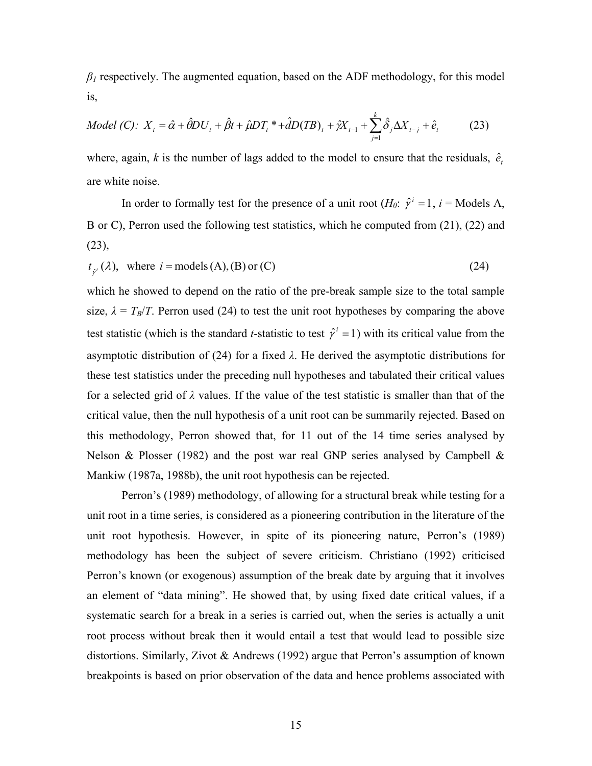$\beta$ <sup>1</sup> respectively. The augmented equation, based on the ADF methodology, for this model is,

Model (C): 
$$
X_t = \hat{\alpha} + \hat{\theta}DU_t + \hat{\beta}t + \hat{\mu}DT_t^* + \hat{d}D(TB)_t + \hat{\gamma}X_{t-1} + \sum_{j=1}^k \hat{\delta}_j \Delta X_{t-j} + \hat{e}_t
$$
 (23)

where, again,  $k$  is the number of lags added to the model to ensure that the residuals,  $\hat{e}_t$ are white noise.

In order to formally test for the presence of a unit root ( $H_0$ :  $\hat{\gamma}^i = 1$ ,  $i =$  Models A, B or C), Perron used the following test statistics, which he computed from (21), (22) and  $(23)$ ,

$$
t_{\hat{r}^i}(\lambda), \text{ where } i = \text{models}(A), (B) \text{ or } (C) \tag{24}
$$

which he showed to depend on the ratio of the pre-break sample size to the total sample size,  $\lambda = T_B/T$ . Perron used (24) to test the unit root hypotheses by comparing the above test statistic (which is the standard *t*-statistic to test  $\hat{\gamma}^i = 1$ ) with its critical value from the asymptotic distribution of (24) for a fixed *λ*. He derived the asymptotic distributions for these test statistics under the preceding null hypotheses and tabulated their critical values for a selected grid of *λ* values. If the value of the test statistic is smaller than that of the critical value, then the null hypothesis of a unit root can be summarily rejected. Based on this methodology, Perron showed that, for 11 out of the 14 time series analysed by Nelson  $\&$  Plosser (1982) and the post war real GNP series analysed by Campbell  $\&$ Mankiw (1987a, 1988b), the unit root hypothesis can be rejected.

Perron's (1989) methodology, of allowing for a structural break while testing for a unit root in a time series, is considered as a pioneering contribution in the literature of the unit root hypothesis. However, in spite of its pioneering nature, Perron's (1989) methodology has been the subject of severe criticism. Christiano (1992) criticised Perron's known (or exogenous) assumption of the break date by arguing that it involves an element of "data mining". He showed that, by using fixed date critical values, if a systematic search for a break in a series is carried out, when the series is actually a unit root process without break then it would entail a test that would lead to possible size distortions. Similarly, Zivot & Andrews (1992) argue that Perron's assumption of known breakpoints is based on prior observation of the data and hence problems associated with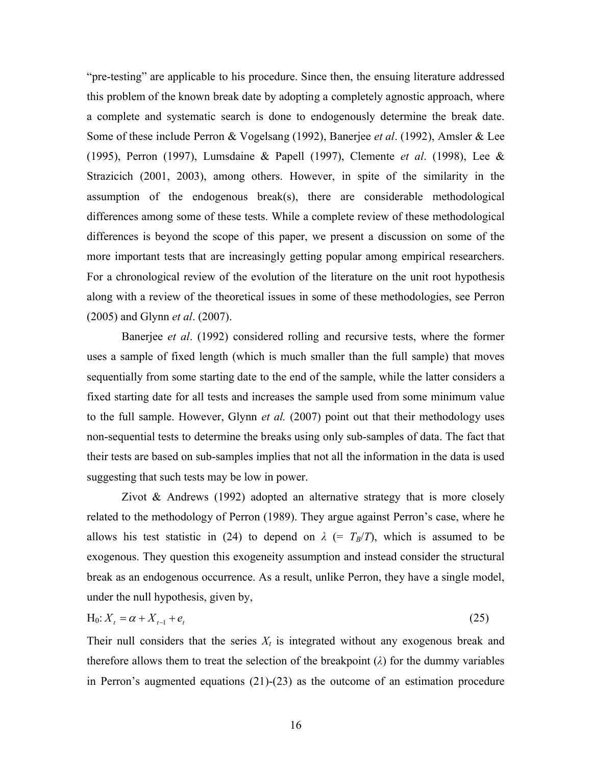"pre-testing" are applicable to his procedure. Since then, the ensuing literature addressed this problem of the known break date by adopting a completely agnostic approach, where a complete and systematic search is done to endogenously determine the break date. Some of these include Perron & Vogelsang (1992), Banerjee *et al*. (1992), Amsler & Lee (1995), Perron (1997), Lumsdaine & Papell (1997), Clemente *et al*. (1998), Lee & Strazicich (2001, 2003), among others. However, in spite of the similarity in the assumption of the endogenous break(s), there are considerable methodological differences among some of these tests. While a complete review of these methodological differences is beyond the scope of this paper, we present a discussion on some of the more important tests that are increasingly getting popular among empirical researchers. For a chronological review of the evolution of the literature on the unit root hypothesis along with a review of the theoretical issues in some of these methodologies, see Perron (2005) and Glynn *et al*. (2007).

Banerjee *et al*. (1992) considered rolling and recursive tests, where the former uses a sample of fixed length (which is much smaller than the full sample) that moves sequentially from some starting date to the end of the sample, while the latter considers a fixed starting date for all tests and increases the sample used from some minimum value to the full sample. However, Glynn *et al.* (2007) point out that their methodology uses non-sequential tests to determine the breaks using only sub-samples of data. The fact that their tests are based on sub-samples implies that not all the information in the data is used suggesting that such tests may be low in power.

Zivot  $\&$  Andrews (1992) adopted an alternative strategy that is more closely related to the methodology of Perron (1989). They argue against Perron's case, where he allows his test statistic in (24) to depend on  $\lambda$  (=  $T_B/T$ ), which is assumed to be exogenous. They question this exogeneity assumption and instead consider the structural break as an endogenous occurrence. As a result, unlike Perron, they have a single model, under the null hypothesis, given by,

$$
H_0: X_t = \alpha + X_{t-1} + e_t \tag{25}
$$

Their null considers that the series  $X_t$  is integrated without any exogenous break and therefore allows them to treat the selection of the breakpoint (*λ*) for the dummy variables in Perron's augmented equations (21)-(23) as the outcome of an estimation procedure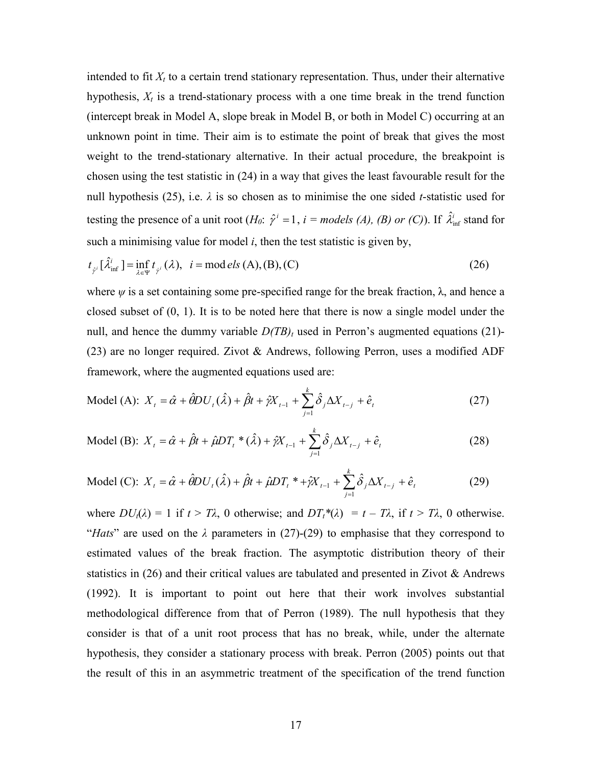intended to fit  $X_t$  to a certain trend stationary representation. Thus, under their alternative hypothesis,  $X_t$  is a trend-stationary process with a one time break in the trend function (intercept break in Model A, slope break in Model B, or both in Model C) occurring at an unknown point in time. Their aim is to estimate the point of break that gives the most weight to the trend-stationary alternative. In their actual procedure, the breakpoint is chosen using the test statistic in (24) in a way that gives the least favourable result for the null hypothesis (25), i.e. *λ* is so chosen as to minimise the one sided *t*-statistic used for testing the presence of a unit root  $(H_0: \hat{\gamma}^i = 1, i = models (A), (B)$  or (C)). If  $\hat{\lambda}_{\text{inf}}^i$  stand for such a minimising value for model  $i$ , then the test statistic is given by,

$$
t_{\hat{\gamma}^i}[\hat{\lambda}_{\inf}^i] = \inf_{\lambda \in \Psi} t_{\hat{\gamma}^i}(\lambda), \quad i = \text{mod} \, els \, (A), (B), (C) \tag{26}
$$

where  $\psi$  is a set containing some pre-specified range for the break fraction,  $\lambda$ , and hence a closed subset of  $(0, 1)$ . It is to be noted here that there is now a single model under the null, and hence the dummy variable  $D(TB)$ <sub>t</sub> used in Perron's augmented equations (21)-(23) are no longer required. Zivot & Andrews, following Perron, uses a modified ADF framework, where the augmented equations used are:

Model (A): 
$$
X_t = \hat{\alpha} + \hat{\theta}DU_t(\hat{\lambda}) + \hat{\beta}t + \hat{\gamma}X_{t-1} + \sum_{j=1}^k \hat{\delta}_j \Delta X_{t-j} + \hat{e}_t
$$
 (27)

Model (B): 
$$
X_t = \hat{\alpha} + \hat{\beta}t + \hat{\mu}DT_t^* (\hat{\lambda}) + \hat{\gamma}X_{t-1} + \sum_{j=1}^k \hat{\delta}_j \Delta X_{t-j} + \hat{e}_t
$$
 (28)

Model (C): 
$$
X_t = \hat{\alpha} + \hat{\theta}DU_t(\hat{\lambda}) + \hat{\beta}t + \hat{\mu}DT_t^* + \hat{\gamma}X_{t-1}^* + \sum_{j=1}^k \hat{\delta}_j \Delta X_{t-j}^* + \hat{e}_t
$$
 (29)

where  $DU_t(\lambda) = 1$  if  $t > T\lambda$ , 0 otherwise; and  $DT_t^*(\lambda) = t - T\lambda$ , if  $t > T\lambda$ , 0 otherwise. "*Hats*" are used on the  $\lambda$  parameters in (27)-(29) to emphasise that they correspond to estimated values of the break fraction. The asymptotic distribution theory of their statistics in  $(26)$  and their critical values are tabulated and presented in Zivot & Andrews (1992). It is important to point out here that their work involves substantial methodological difference from that of Perron (1989). The null hypothesis that they consider is that of a unit root process that has no break, while, under the alternate hypothesis, they consider a stationary process with break. Perron (2005) points out that the result of this in an asymmetric treatment of the specification of the trend function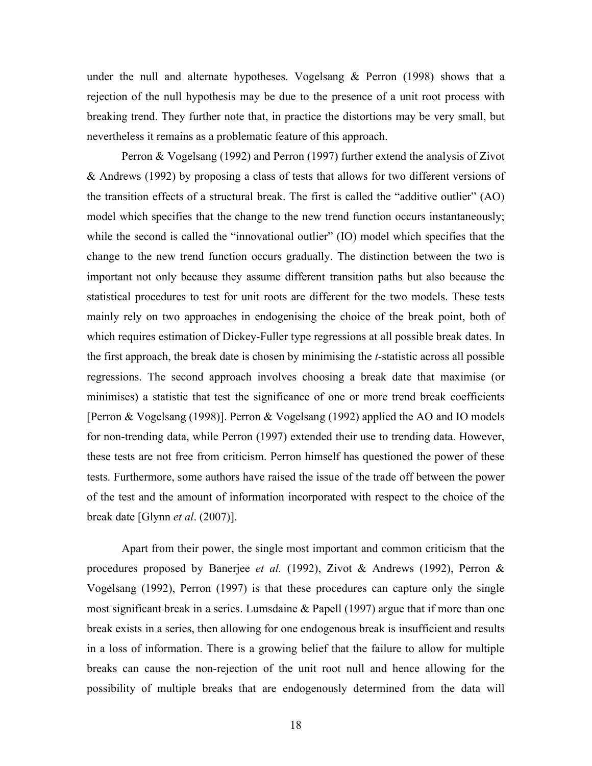under the null and alternate hypotheses. Vogelsang  $&$  Perron (1998) shows that a rejection of the null hypothesis may be due to the presence of a unit root process with breaking trend. They further note that, in practice the distortions may be very small, but nevertheless it remains as a problematic feature of this approach.

Perron & Vogelsang (1992) and Perron (1997) further extend the analysis of Zivot & Andrews (1992) by proposing a class of tests that allows for two different versions of the transition effects of a structural break. The first is called the "additive outlier" (AO) model which specifies that the change to the new trend function occurs instantaneously; while the second is called the "innovational outlier" (IO) model which specifies that the change to the new trend function occurs gradually. The distinction between the two is important not only because they assume different transition paths but also because the statistical procedures to test for unit roots are different for the two models. These tests mainly rely on two approaches in endogenising the choice of the break point, both of which requires estimation of Dickey-Fuller type regressions at all possible break dates. In the first approach, the break date is chosen by minimising the *t*-statistic across all possible regressions. The second approach involves choosing a break date that maximise (or minimises) a statistic that test the significance of one or more trend break coefficients [Perron & Vogelsang (1998)]. Perron & Vogelsang (1992) applied the AO and IO models for non-trending data, while Perron (1997) extended their use to trending data. However, these tests are not free from criticism. Perron himself has questioned the power of these tests. Furthermore, some authors have raised the issue of the trade off between the power of the test and the amount of information incorporated with respect to the choice of the break date [Glynn *et al*. (2007)].

Apart from their power, the single most important and common criticism that the procedures proposed by Banerjee *et al.* (1992), Zivot & Andrews (1992), Perron & Vogelsang (1992), Perron (1997) is that these procedures can capture only the single most significant break in a series. Lumsdaine & Papell (1997) argue that if more than one break exists in a series, then allowing for one endogenous break is insufficient and results in a loss of information. There is a growing belief that the failure to allow for multiple breaks can cause the non-rejection of the unit root null and hence allowing for the possibility of multiple breaks that are endogenously determined from the data will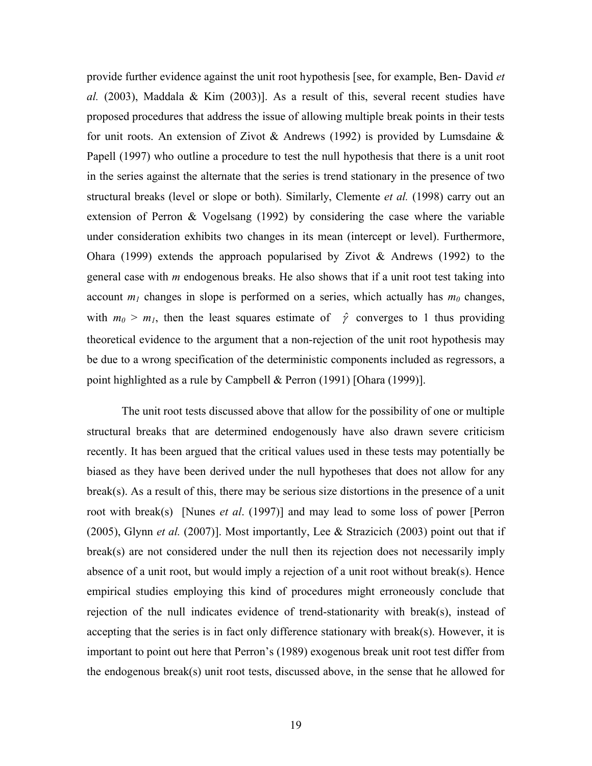provide further evidence against the unit root hypothesis [see, for example, Ben- David *et al.* (2003), Maddala & Kim (2003)]. As a result of this, several recent studies have proposed procedures that address the issue of allowing multiple break points in their tests for unit roots. An extension of Zivot & Andrews (1992) is provided by Lumsdaine  $\&$ Papell (1997) who outline a procedure to test the null hypothesis that there is a unit root in the series against the alternate that the series is trend stationary in the presence of two structural breaks (level or slope or both). Similarly, Clemente *et al.* (1998) carry out an extension of Perron & Vogelsang (1992) by considering the case where the variable under consideration exhibits two changes in its mean (intercept or level). Furthermore, Ohara (1999) extends the approach popularised by Zivot  $\&$  Andrews (1992) to the general case with *m* endogenous breaks. He also shows that if a unit root test taking into account  $m_l$  changes in slope is performed on a series, which actually has  $m_0$  changes, with  $m_0 > m_1$ , then the least squares estimate of  $\hat{\gamma}$  converges to 1 thus providing theoretical evidence to the argument that a non-rejection of the unit root hypothesis may be due to a wrong specification of the deterministic components included as regressors, a point highlighted as a rule by Campbell & Perron (1991) [Ohara (1999)].

The unit root tests discussed above that allow for the possibility of one or multiple structural breaks that are determined endogenously have also drawn severe criticism recently. It has been argued that the critical values used in these tests may potentially be biased as they have been derived under the null hypotheses that does not allow for any break(s). As a result of this, there may be serious size distortions in the presence of a unit root with break(s) [Nunes *et al*. (1997)] and may lead to some loss of power [Perron (2005), Glynn *et al.* (2007)]. Most importantly, Lee & Strazicich (2003) point out that if break(s) are not considered under the null then its rejection does not necessarily imply absence of a unit root, but would imply a rejection of a unit root without break(s). Hence empirical studies employing this kind of procedures might erroneously conclude that rejection of the null indicates evidence of trend-stationarity with break(s), instead of accepting that the series is in fact only difference stationary with break(s). However, it is important to point out here that Perron's (1989) exogenous break unit root test differ from the endogenous break(s) unit root tests, discussed above, in the sense that he allowed for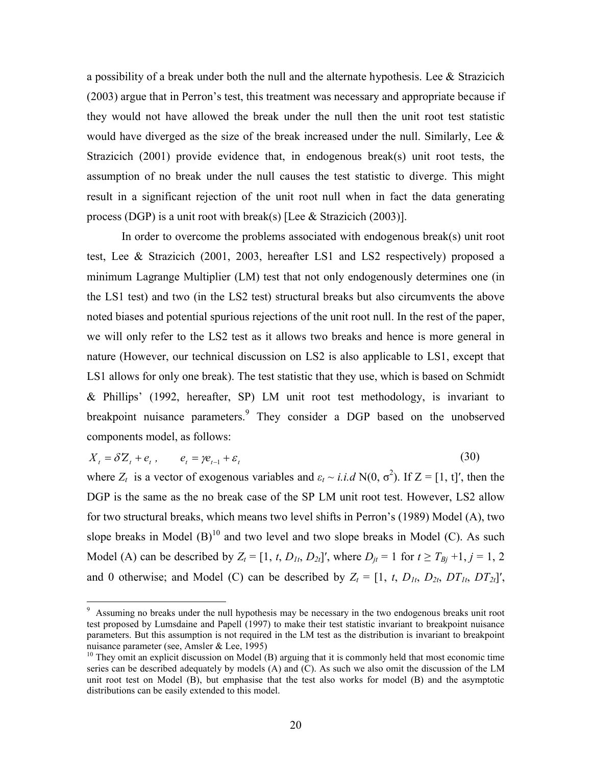a possibility of a break under both the null and the alternate hypothesis. Lee  $\&$  Strazicich (2003) argue that in Perron's test, this treatment was necessary and appropriate because if they would not have allowed the break under the null then the unit root test statistic would have diverged as the size of the break increased under the null. Similarly, Lee  $\&$ Strazicich (2001) provide evidence that, in endogenous break(s) unit root tests, the assumption of no break under the null causes the test statistic to diverge. This might result in a significant rejection of the unit root null when in fact the data generating process (DGP) is a unit root with break(s) [Lee  $&$  Strazicich (2003)].

In order to overcome the problems associated with endogenous break(s) unit root test, Lee & Strazicich (2001, 2003, hereafter LS1 and LS2 respectively) proposed a minimum Lagrange Multiplier (LM) test that not only endogenously determines one (in the LS1 test) and two (in the LS2 test) structural breaks but also circumvents the above noted biases and potential spurious rejections of the unit root null. In the rest of the paper, we will only refer to the LS2 test as it allows two breaks and hence is more general in nature (However, our technical discussion on LS2 is also applicable to LS1, except that LS1 allows for only one break). The test statistic that they use, which is based on Schmidt & Phillips' (1992, hereafter, SP) LM unit root test methodology, is invariant to breakpoint nuisance parameters.<sup>9</sup> They consider a DGP based on the unobserved components model, as follows:

$$
X_t = \delta Z_t + e_t, \qquad e_t = \gamma e_{t-1} + \varepsilon_t \tag{30}
$$

where  $Z_t$  is a vector of exogenous variables and  $\varepsilon_t \sim i.i.d$  N(0,  $\sigma^2$ ). If  $Z = [1, t]$ ', then the DGP is the same as the no break case of the SP LM unit root test. However, LS2 allow for two structural breaks, which means two level shifts in Perron's (1989) Model (A), two slope breaks in Model  $(B)^{10}$  and two level and two slope breaks in Model (C). As such Model (A) can be described by  $Z_t = [1, t, D_{1t}, D_{2t}]'$ , where  $D_{it} = 1$  for  $t \ge T_{Bj} + 1, j = 1, 2$ and 0 otherwise; and Model (C) can be described by  $Z_t = [1, t, D_{1t}, D_{2t}, DT_{1t}, DT_{2t}]'$ ,

<sup>&</sup>lt;sup>9</sup> Assuming no breaks under the null hypothesis may be necessary in the two endogenous breaks unit root test proposed by Lumsdaine and Papell (1997) to make their test statistic invariant to breakpoint nuisance parameters. But this assumption is not required in the LM test as the distribution is invariant to breakpoint nuisance parameter (see, Amsler & Lee, 1995)

 $10$  They omit an explicit discussion on Model (B) arguing that it is commonly held that most economic time series can be described adequately by models (A) and (C). As such we also omit the discussion of the LM unit root test on Model (B), but emphasise that the test also works for model (B) and the asymptotic distributions can be easily extended to this model.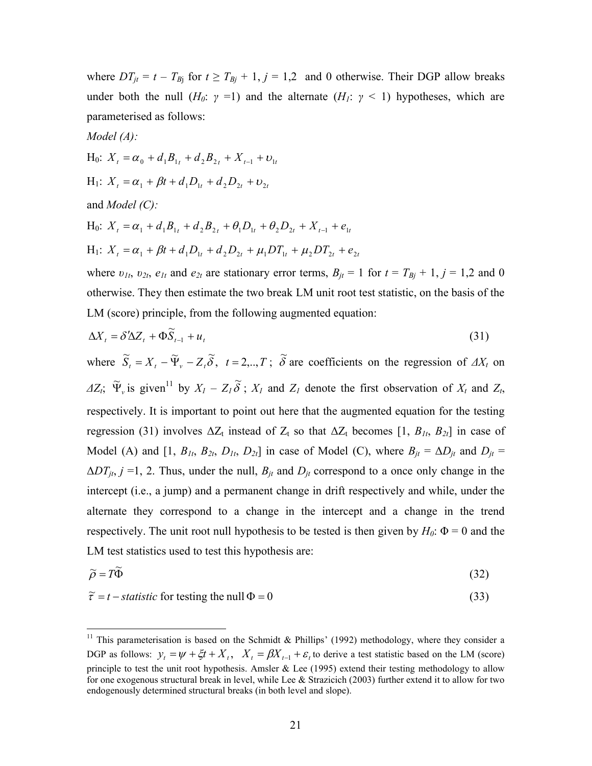where  $DT_{jt} = t - T_{Bj}$  for  $t \geq T_{Bj} + 1$ ,  $j = 1,2$  and 0 otherwise. Their DGP allow breaks under both the null  $(H_0: \gamma = 1)$  and the alternate  $(H_1: \gamma < 1)$  hypotheses, which are parameterised as follows:

Model (A):  
\nH<sub>0</sub>: 
$$
X_t = \alpha_0 + d_1 B_{1t} + d_2 B_{2t} + X_{t-1} + t
$$
  
\nH<sub>1</sub>:  $X_t = \alpha_1 + \beta t + d_1 D_{1t} + d_2 D_{2t} + v_{2t}$ 

and *Model (C):*

 $\overline{a}$ 

H<sub>0</sub>: 
$$
X_t = \alpha_1 + d_1 B_{1t} + d_2 B_{2t} + \theta_1 D_{1t} + \theta_2 D_{2t} + X_{t-1} + e_{1t}
$$
  
\nH<sub>1</sub>:  $X_t = \alpha_1 + \beta t + d_1 D_{1t} + d_2 D_{2t} + \mu_1 DT_{1t} + \mu_2 DT_{2t} + e_{2t}$ 

 $X_{t-1} + U_{1t}$ 

where  $v_{1t}$ ,  $v_{2t}$ ,  $e_{1t}$  and  $e_{2t}$  are stationary error terms,  $B_{jt} = 1$  for  $t = T_{Bj} + 1$ ,  $j = 1,2$  and 0 otherwise. They then estimate the two break LM unit root test statistic, on the basis of the LM (score) principle, from the following augmented equation:

$$
\Delta X_t = \delta' \Delta Z_t + \Phi \widetilde{S}_{t-1} + u_t \tag{31}
$$

where  $\widetilde{S}_t = X_t - \widetilde{\Psi}_v - Z_t \widetilde{\delta}$ ,  $t = 2, ..., T$ ;  $\widetilde{\delta}$  are coefficients on the regression of  $\Delta X_t$  on  $\Delta Z_t$ ;  $\widetilde{\Psi}_v$  is given<sup>11</sup> by  $X_l - Z_l \widetilde{\delta}$ ;  $X_l$  and  $Z_l$  denote the first observation of  $X_t$  and  $Z_t$ , respectively. It is important to point out here that the augmented equation for the testing regression (31) involves  $\Delta Z_t$  instead of  $Z_t$  so that  $\Delta Z_t$  becomes [1,  $B_{1t}$ ,  $B_{2t}$ ] in case of Model (A) and  $[1, B_{1t}, B_{2t}, D_{1t}, D_{2t}]$  in case of Model (C), where  $B_{it} = \Delta D_{it}$  and  $D_{it} =$  $\Delta DT_{jt}$ ,  $j = 1$ , 2. Thus, under the null,  $B_{jt}$  and  $D_{jt}$  correspond to a once only change in the intercept (i.e., a jump) and a permanent change in drift respectively and while, under the alternate they correspond to a change in the intercept and a change in the trend respectively. The unit root null hypothesis to be tested is then given by  $H_0$ :  $\Phi = 0$  and the LM test statistics used to test this hypothesis are:

$$
\widetilde{\rho} = T\widetilde{\Phi} \tag{32}
$$

$$
\tilde{\tau} = t - statistic \text{ for testing the null } \Phi = 0 \tag{33}
$$

<sup>&</sup>lt;sup>11</sup> This parameterisation is based on the Schmidt & Phillips' (1992) methodology, where they consider a DGP as follows:  $y_t = \psi + \xi t + X_t$ ,  $X_t = \beta X_{t-1} + \varepsilon$ , to derive a test statistic based on the LM (score) principle to test the unit root hypothesis. Amsler  $&$  Lee (1995) extend their testing methodology to allow for one exogenous structural break in level, while Lee & Strazicich (2003) further extend it to allow for two endogenously determined structural breaks (in both level and slope).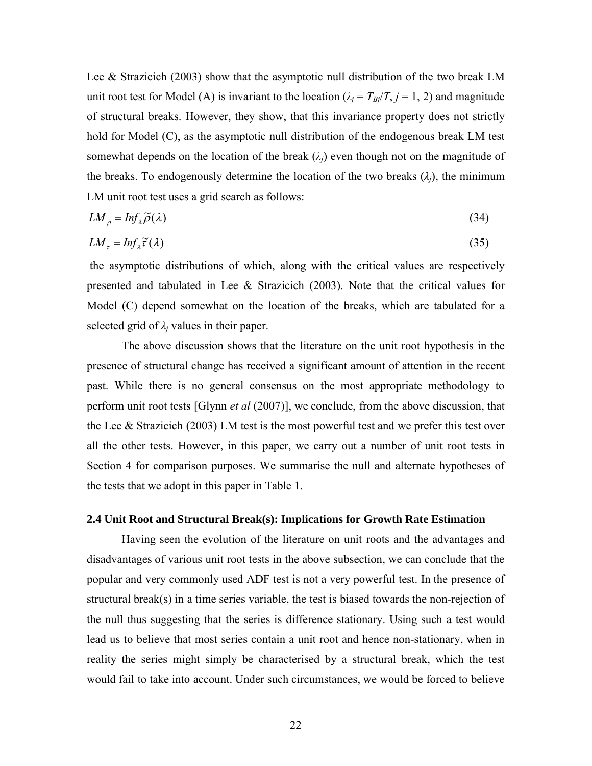Lee & Strazicich (2003) show that the asymptotic null distribution of the two break LM unit root test for Model (A) is invariant to the location ( $\lambda_i = T_{Bi}/T$ ,  $j = 1, 2$ ) and magnitude of structural breaks. However, they show, that this invariance property does not strictly hold for Model (C), as the asymptotic null distribution of the endogenous break LM test somewhat depends on the location of the break  $(\lambda_i)$  even though not on the magnitude of the breaks. To endogenously determine the location of the two breaks  $(\lambda_i)$ , the minimum LM unit root test uses a grid search as follows:

$$
LM_{\rho} = Inf_{\lambda} \widetilde{\rho}(\lambda) \tag{34}
$$

$$
LM_{\tau} = Inf_{\lambda} \widetilde{\tau}(\lambda) \tag{35}
$$

the asymptotic distributions of which, along with the critical values are respectively presented and tabulated in Lee  $\&$  Strazicich (2003). Note that the critical values for Model (C) depend somewhat on the location of the breaks, which are tabulated for a selected grid of  $\lambda_i$  values in their paper.

The above discussion shows that the literature on the unit root hypothesis in the presence of structural change has received a significant amount of attention in the recent past. While there is no general consensus on the most appropriate methodology to perform unit root tests [Glynn *et al* (2007)], we conclude, from the above discussion, that the Lee & Strazicich (2003) LM test is the most powerful test and we prefer this test over all the other tests. However, in this paper, we carry out a number of unit root tests in Section 4 for comparison purposes. We summarise the null and alternate hypotheses of the tests that we adopt in this paper in Table 1.

#### **2.4 Unit Root and Structural Break(s): Implications for Growth Rate Estimation**

Having seen the evolution of the literature on unit roots and the advantages and disadvantages of various unit root tests in the above subsection, we can conclude that the popular and very commonly used ADF test is not a very powerful test. In the presence of structural break(s) in a time series variable, the test is biased towards the non-rejection of the null thus suggesting that the series is difference stationary. Using such a test would lead us to believe that most series contain a unit root and hence non-stationary, when in reality the series might simply be characterised by a structural break, which the test would fail to take into account. Under such circumstances, we would be forced to believe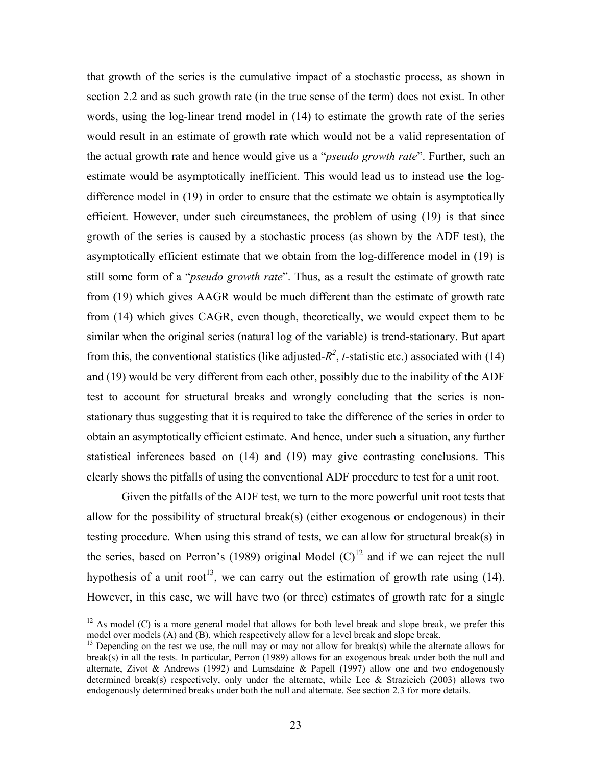that growth of the series is the cumulative impact of a stochastic process, as shown in section 2.2 and as such growth rate (in the true sense of the term) does not exist. In other words, using the log-linear trend model in (14) to estimate the growth rate of the series would result in an estimate of growth rate which would not be a valid representation of the actual growth rate and hence would give us a "*pseudo growth rate*". Further, such an estimate would be asymptotically inefficient. This would lead us to instead use the logdifference model in (19) in order to ensure that the estimate we obtain is asymptotically efficient. However, under such circumstances, the problem of using (19) is that since growth of the series is caused by a stochastic process (as shown by the ADF test), the asymptotically efficient estimate that we obtain from the log-difference model in (19) is still some form of a "*pseudo growth rate*". Thus, as a result the estimate of growth rate from (19) which gives AAGR would be much different than the estimate of growth rate from (14) which gives CAGR, even though, theoretically, we would expect them to be similar when the original series (natural log of the variable) is trend-stationary. But apart from this, the conventional statistics (like adjusted- $R^2$ , *t*-statistic etc.) associated with (14) and (19) would be very different from each other, possibly due to the inability of the ADF test to account for structural breaks and wrongly concluding that the series is nonstationary thus suggesting that it is required to take the difference of the series in order to obtain an asymptotically efficient estimate. And hence, under such a situation, any further statistical inferences based on (14) and (19) may give contrasting conclusions. This clearly shows the pitfalls of using the conventional ADF procedure to test for a unit root.

Given the pitfalls of the ADF test, we turn to the more powerful unit root tests that allow for the possibility of structural break(s) (either exogenous or endogenous) in their testing procedure. When using this strand of tests, we can allow for structural break(s) in the series, based on Perron's (1989) original Model  $(C)^{12}$  and if we can reject the null hypothesis of a unit root<sup>13</sup>, we can carry out the estimation of growth rate using (14). However, in this case, we will have two (or three) estimates of growth rate for a single

 $12$  As model (C) is a more general model that allows for both level break and slope break, we prefer this model over models (A) and (B), which respectively allow for a level break and slope break.

 $13$  Depending on the test we use, the null may or may not allow for break(s) while the alternate allows for break(s) in all the tests. In particular, Perron (1989) allows for an exogenous break under both the null and alternate, Zivot & Andrews (1992) and Lumsdaine & Papell (1997) allow one and two endogenously determined break(s) respectively, only under the alternate, while Lee  $&$  Strazicich (2003) allows two endogenously determined breaks under both the null and alternate. See section 2.3 for more details.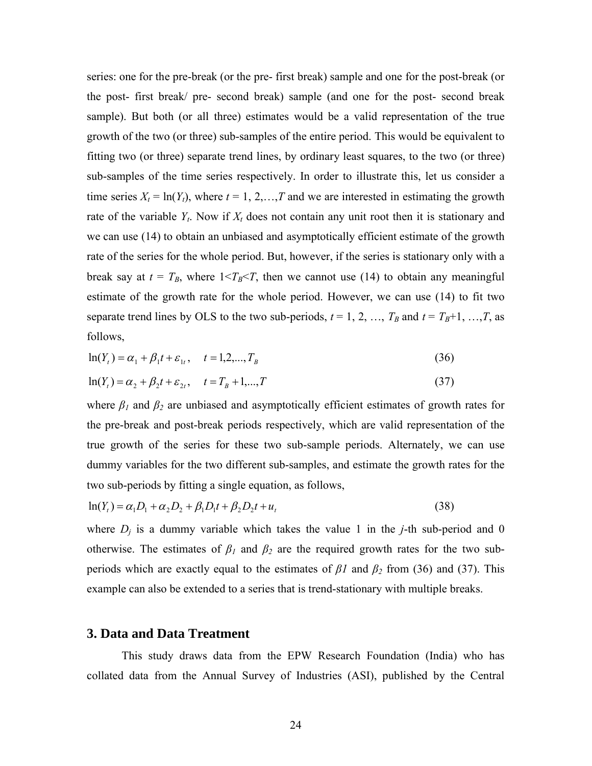series: one for the pre-break (or the pre- first break) sample and one for the post-break (or the post- first break/ pre- second break) sample (and one for the post- second break sample). But both (or all three) estimates would be a valid representation of the true growth of the two (or three) sub-samples of the entire period. This would be equivalent to fitting two (or three) separate trend lines, by ordinary least squares, to the two (or three) sub-samples of the time series respectively. In order to illustrate this, let us consider a time series  $X_t = \ln(Y_t)$ , where  $t = 1, 2, \ldots, T$  and we are interested in estimating the growth rate of the variable  $Y_t$ . Now if  $X_t$  does not contain any unit root then it is stationary and we can use (14) to obtain an unbiased and asymptotically efficient estimate of the growth rate of the series for the whole period. But, however, if the series is stationary only with a break say at  $t = T_B$ , where  $1 \le T_B \le T$ , then we cannot use (14) to obtain any meaningful estimate of the growth rate for the whole period. However, we can use (14) to fit two separate trend lines by OLS to the two sub-periods,  $t = 1, 2, ..., T_B$  and  $t = T_B+1, ..., T$ , as follows,

$$
\ln(Y_t) = \alpha_1 + \beta_1 t + \varepsilon_{1t}, \quad t = 1, 2, ..., T_B
$$
\n(36)

$$
\ln(Y_t) = \alpha_2 + \beta_2 t + \varepsilon_{2t}, \quad t = T_B + 1, ..., T
$$
\n(37)

where  $\beta_1$  and  $\beta_2$  are unbiased and asymptotically efficient estimates of growth rates for the pre-break and post-break periods respectively, which are valid representation of the true growth of the series for these two sub-sample periods. Alternately, we can use dummy variables for the two different sub-samples, and estimate the growth rates for the two sub-periods by fitting a single equation, as follows,

$$
\ln(Y_t) = \alpha_1 D_1 + \alpha_2 D_2 + \beta_1 D_1 t + \beta_2 D_2 t + u_t
$$
\n(38)

where  $D_i$  is a dummy variable which takes the value 1 in the *j*-th sub-period and 0 otherwise. The estimates of  $\beta_1$  and  $\beta_2$  are the required growth rates for the two subperiods which are exactly equal to the estimates of  $\beta$ *l* and  $\beta$ <sub>2</sub> from (36) and (37). This example can also be extended to a series that is trend-stationary with multiple breaks.

## **3. Data and Data Treatment**

This study draws data from the EPW Research Foundation (India) who has collated data from the Annual Survey of Industries (ASI), published by the Central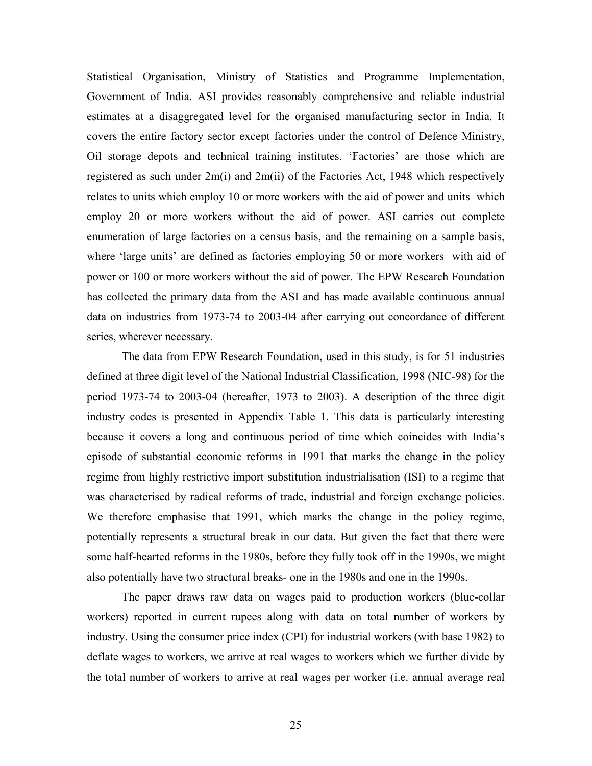Statistical Organisation, Ministry of Statistics and Programme Implementation, Government of India. ASI provides reasonably comprehensive and reliable industrial estimates at a disaggregated level for the organised manufacturing sector in India. It covers the entire factory sector except factories under the control of Defence Ministry, Oil storage depots and technical training institutes. 'Factories' are those which are registered as such under 2m(i) and 2m(ii) of the Factories Act, 1948 which respectively relates to units which employ 10 or more workers with the aid of power and units which employ 20 or more workers without the aid of power. ASI carries out complete enumeration of large factories on a census basis, and the remaining on a sample basis, where 'large units' are defined as factories employing 50 or more workers with aid of power or 100 or more workers without the aid of power. The EPW Research Foundation has collected the primary data from the ASI and has made available continuous annual data on industries from 1973-74 to 2003-04 after carrying out concordance of different series, wherever necessary.

The data from EPW Research Foundation, used in this study, is for 51 industries defined at three digit level of the National Industrial Classification, 1998 (NIC-98) for the period 1973-74 to 2003-04 (hereafter, 1973 to 2003). A description of the three digit industry codes is presented in Appendix Table 1. This data is particularly interesting because it covers a long and continuous period of time which coincides with India's episode of substantial economic reforms in 1991 that marks the change in the policy regime from highly restrictive import substitution industrialisation (ISI) to a regime that was characterised by radical reforms of trade, industrial and foreign exchange policies. We therefore emphasise that 1991, which marks the change in the policy regime, potentially represents a structural break in our data. But given the fact that there were some half-hearted reforms in the 1980s, before they fully took off in the 1990s, we might also potentially have two structural breaks- one in the 1980s and one in the 1990s.

The paper draws raw data on wages paid to production workers (blue-collar workers) reported in current rupees along with data on total number of workers by industry. Using the consumer price index (CPI) for industrial workers (with base 1982) to deflate wages to workers, we arrive at real wages to workers which we further divide by the total number of workers to arrive at real wages per worker (i.e. annual average real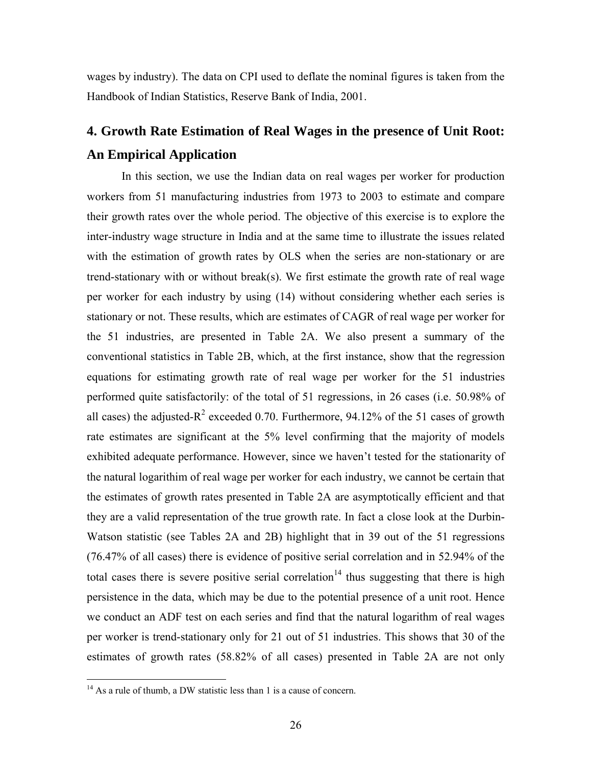wages by industry). The data on CPI used to deflate the nominal figures is taken from the Handbook of Indian Statistics, Reserve Bank of India, 2001.

## **4. Growth Rate Estimation of Real Wages in the presence of Unit Root: An Empirical Application**

In this section, we use the Indian data on real wages per worker for production workers from 51 manufacturing industries from 1973 to 2003 to estimate and compare their growth rates over the whole period. The objective of this exercise is to explore the inter-industry wage structure in India and at the same time to illustrate the issues related with the estimation of growth rates by OLS when the series are non-stationary or are trend-stationary with or without break(s). We first estimate the growth rate of real wage per worker for each industry by using (14) without considering whether each series is stationary or not. These results, which are estimates of CAGR of real wage per worker for the 51 industries, are presented in Table 2A. We also present a summary of the conventional statistics in Table 2B, which, at the first instance, show that the regression equations for estimating growth rate of real wage per worker for the 51 industries performed quite satisfactorily: of the total of 51 regressions, in 26 cases (i.e. 50.98% of all cases) the adjusted- $R^2$  exceeded 0.70. Furthermore, 94.12% of the 51 cases of growth rate estimates are significant at the 5% level confirming that the majority of models exhibited adequate performance. However, since we haven't tested for the stationarity of the natural logarithim of real wage per worker for each industry, we cannot be certain that the estimates of growth rates presented in Table 2A are asymptotically efficient and that they are a valid representation of the true growth rate. In fact a close look at the Durbin-Watson statistic (see Tables 2A and 2B) highlight that in 39 out of the 51 regressions (76.47% of all cases) there is evidence of positive serial correlation and in 52.94% of the total cases there is severe positive serial correlation<sup>14</sup> thus suggesting that there is high persistence in the data, which may be due to the potential presence of a unit root. Hence we conduct an ADF test on each series and find that the natural logarithm of real wages per worker is trend-stationary only for 21 out of 51 industries. This shows that 30 of the estimates of growth rates (58.82% of all cases) presented in Table 2A are not only

 $14$  As a rule of thumb, a DW statistic less than 1 is a cause of concern.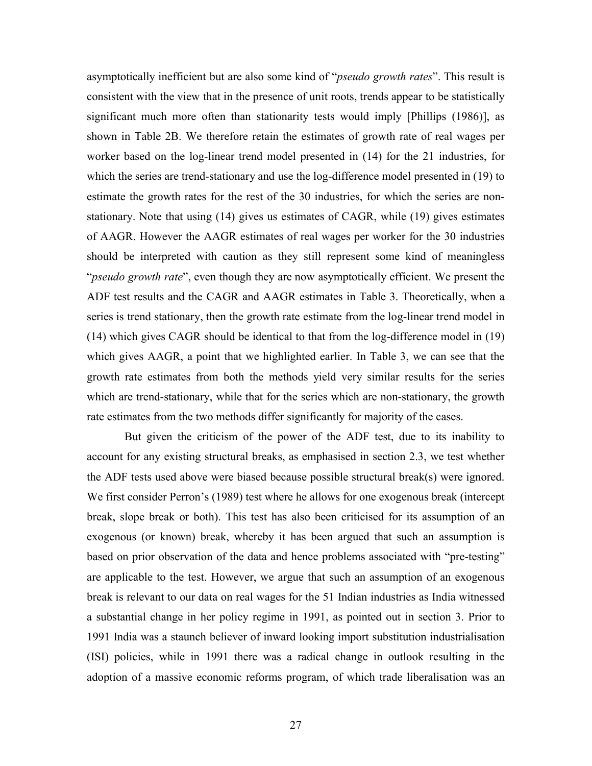asymptotically inefficient but are also some kind of "*pseudo growth rates*". This result is consistent with the view that in the presence of unit roots, trends appear to be statistically significant much more often than stationarity tests would imply [Phillips (1986)], as shown in Table 2B. We therefore retain the estimates of growth rate of real wages per worker based on the log-linear trend model presented in (14) for the 21 industries, for which the series are trend-stationary and use the log-difference model presented in (19) to estimate the growth rates for the rest of the 30 industries, for which the series are nonstationary. Note that using (14) gives us estimates of CAGR, while (19) gives estimates of AAGR. However the AAGR estimates of real wages per worker for the 30 industries should be interpreted with caution as they still represent some kind of meaningless "*pseudo growth rate*", even though they are now asymptotically efficient. We present the ADF test results and the CAGR and AAGR estimates in Table 3. Theoretically, when a series is trend stationary, then the growth rate estimate from the log-linear trend model in (14) which gives CAGR should be identical to that from the log-difference model in (19) which gives AAGR, a point that we highlighted earlier. In Table 3, we can see that the growth rate estimates from both the methods yield very similar results for the series which are trend-stationary, while that for the series which are non-stationary, the growth rate estimates from the two methods differ significantly for majority of the cases.

But given the criticism of the power of the ADF test, due to its inability to account for any existing structural breaks, as emphasised in section 2.3, we test whether the ADF tests used above were biased because possible structural break(s) were ignored. We first consider Perron's (1989) test where he allows for one exogenous break (intercept break, slope break or both). This test has also been criticised for its assumption of an exogenous (or known) break, whereby it has been argued that such an assumption is based on prior observation of the data and hence problems associated with "pre-testing" are applicable to the test. However, we argue that such an assumption of an exogenous break is relevant to our data on real wages for the 51 Indian industries as India witnessed a substantial change in her policy regime in 1991, as pointed out in section 3. Prior to 1991 India was a staunch believer of inward looking import substitution industrialisation (ISI) policies, while in 1991 there was a radical change in outlook resulting in the adoption of a massive economic reforms program, of which trade liberalisation was an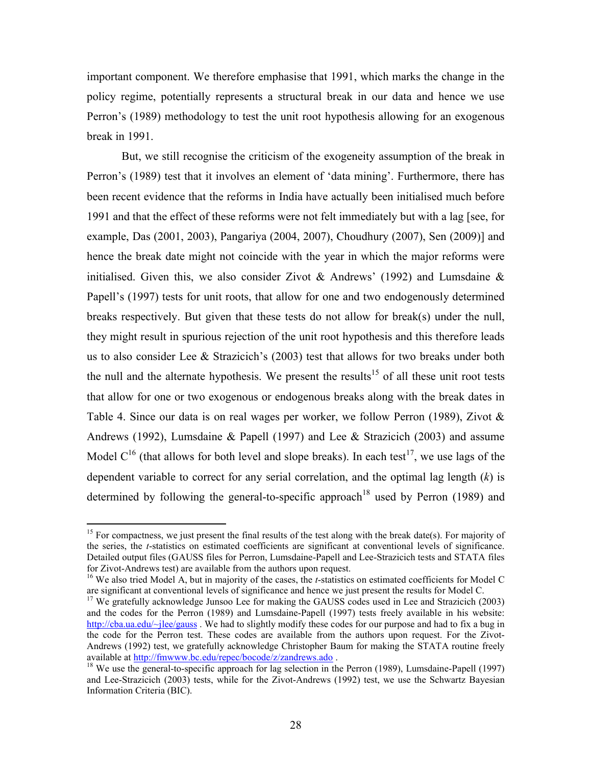important component. We therefore emphasise that 1991, which marks the change in the policy regime, potentially represents a structural break in our data and hence we use Perron's (1989) methodology to test the unit root hypothesis allowing for an exogenous break in 1991.

But, we still recognise the criticism of the exogeneity assumption of the break in Perron's (1989) test that it involves an element of 'data mining'. Furthermore, there has been recent evidence that the reforms in India have actually been initialised much before 1991 and that the effect of these reforms were not felt immediately but with a lag [see, for example, Das (2001, 2003), Pangariya (2004, 2007), Choudhury (2007), Sen (2009)] and hence the break date might not coincide with the year in which the major reforms were initialised. Given this, we also consider Zivot  $\&$  Andrews' (1992) and Lumsdaine  $\&$ Papell's (1997) tests for unit roots, that allow for one and two endogenously determined breaks respectively. But given that these tests do not allow for break(s) under the null, they might result in spurious rejection of the unit root hypothesis and this therefore leads us to also consider Lee  $\&$  Strazicich's (2003) test that allows for two breaks under both the null and the alternate hypothesis. We present the results<sup>15</sup> of all these unit root tests that allow for one or two exogenous or endogenous breaks along with the break dates in Table 4. Since our data is on real wages per worker, we follow Perron (1989), Zivot & Andrews (1992), Lumsdaine & Papell (1997) and Lee & Strazicich (2003) and assume Model  $C^{16}$  (that allows for both level and slope breaks). In each test<sup>17</sup>, we use lags of the dependent variable to correct for any serial correlation, and the optimal lag length (*k*) is determined by following the general-to-specific approach<sup>18</sup> used by Perron (1989) and

<sup>&</sup>lt;sup>15</sup> For compactness, we just present the final results of the test along with the break date(s). For majority of the series, the *t*-statistics on estimated coefficients are significant at conventional levels of significance. Detailed output files (GAUSS files for Perron, Lumsdaine-Papell and Lee-Strazicich tests and STATA files for Zivot-Andrews test) are available from the authors upon request.

<sup>&</sup>lt;sup>16</sup> We also tried Model A, but in majority of the cases, the *t*-statistics on estimated coefficients for Model C are significant at conventional levels of significance and hence we just present the results for Model C.

<sup>&</sup>lt;sup>17</sup> We gratefully acknowledge Junsoo Lee for making the GAUSS codes used in Lee and Strazicich (2003) and the codes for the Perron (1989) and Lumsdaine-Papell (1997) tests freely available in his website: http://cba.ua.edu/~jlee/gauss . We had to slightly modify these codes for our purpose and had to fix a bug in the code for the Perron test. These codes are available from the authors upon request. For the Zivot-Andrews (1992) test, we gratefully acknowledge Christopher Baum for making the STATA routine freely available at http://fmwww.bc.edu/repec/bocode/z/zandrews.ado .<br><sup>18</sup> We use the general-to-specific approach for lag selection in the Perron (1989), Lumsdaine-Papell (1997)

and Lee-Strazicich (2003) tests, while for the Zivot-Andrews (1992) test, we use the Schwartz Bayesian Information Criteria (BIC).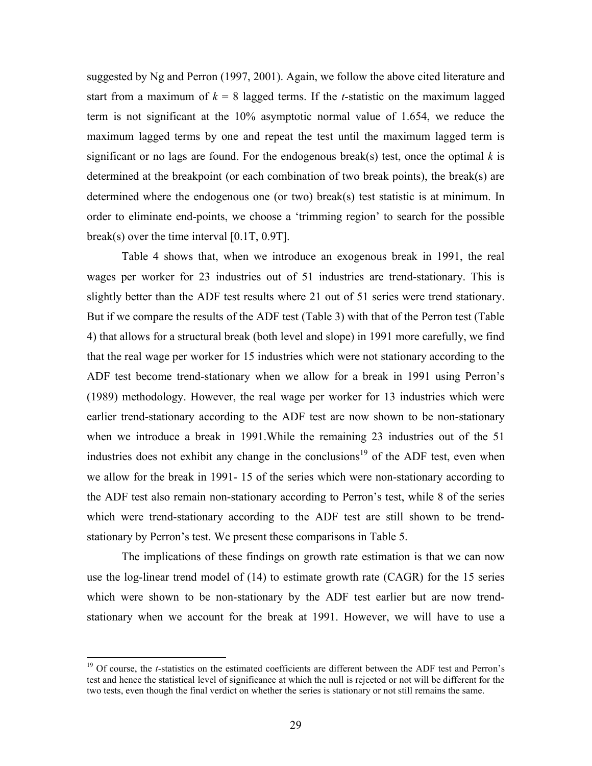suggested by Ng and Perron (1997, 2001). Again, we follow the above cited literature and start from a maximum of  $k = 8$  lagged terms. If the *t*-statistic on the maximum lagged term is not significant at the 10% asymptotic normal value of 1.654, we reduce the maximum lagged terms by one and repeat the test until the maximum lagged term is significant or no lags are found. For the endogenous break(s) test, once the optimal  $k$  is determined at the breakpoint (or each combination of two break points), the break(s) are determined where the endogenous one (or two) break(s) test statistic is at minimum. In order to eliminate end-points, we choose a 'trimming region' to search for the possible break(s) over the time interval [0.1T, 0.9T].

Table 4 shows that, when we introduce an exogenous break in 1991, the real wages per worker for 23 industries out of 51 industries are trend-stationary. This is slightly better than the ADF test results where 21 out of 51 series were trend stationary. But if we compare the results of the ADF test (Table 3) with that of the Perron test (Table 4) that allows for a structural break (both level and slope) in 1991 more carefully, we find that the real wage per worker for 15 industries which were not stationary according to the ADF test become trend-stationary when we allow for a break in 1991 using Perron's (1989) methodology. However, the real wage per worker for 13 industries which were earlier trend-stationary according to the ADF test are now shown to be non-stationary when we introduce a break in 1991.While the remaining 23 industries out of the 51 industries does not exhibit any change in the conclusions<sup>19</sup> of the ADF test, even when we allow for the break in 1991- 15 of the series which were non-stationary according to the ADF test also remain non-stationary according to Perron's test, while 8 of the series which were trend-stationary according to the ADF test are still shown to be trendstationary by Perron's test. We present these comparisons in Table 5.

The implications of these findings on growth rate estimation is that we can now use the log-linear trend model of (14) to estimate growth rate (CAGR) for the 15 series which were shown to be non-stationary by the ADF test earlier but are now trendstationary when we account for the break at 1991. However, we will have to use a

<sup>&</sup>lt;sup>19</sup> Of course, the *t*-statistics on the estimated coefficients are different between the ADF test and Perron's test and hence the statistical level of significance at which the null is rejected or not will be different for the two tests, even though the final verdict on whether the series is stationary or not still remains the same.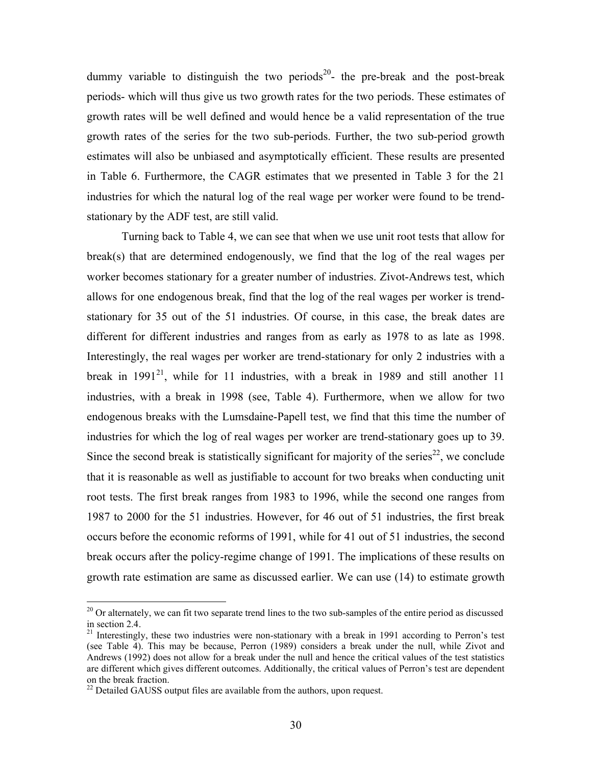dummy variable to distinguish the two periods<sup>20</sup>- the pre-break and the post-break periods- which will thus give us two growth rates for the two periods. These estimates of growth rates will be well defined and would hence be a valid representation of the true growth rates of the series for the two sub-periods. Further, the two sub-period growth estimates will also be unbiased and asymptotically efficient. These results are presented in Table 6. Furthermore, the CAGR estimates that we presented in Table 3 for the 21 industries for which the natural log of the real wage per worker were found to be trendstationary by the ADF test, are still valid.

Turning back to Table 4, we can see that when we use unit root tests that allow for break(s) that are determined endogenously, we find that the log of the real wages per worker becomes stationary for a greater number of industries. Zivot-Andrews test, which allows for one endogenous break, find that the log of the real wages per worker is trendstationary for 35 out of the 51 industries. Of course, in this case, the break dates are different for different industries and ranges from as early as 1978 to as late as 1998. Interestingly, the real wages per worker are trend-stationary for only 2 industries with a break in  $1991^{21}$ , while for 11 industries, with a break in 1989 and still another 11 industries, with a break in 1998 (see, Table 4). Furthermore, when we allow for two endogenous breaks with the Lumsdaine-Papell test, we find that this time the number of industries for which the log of real wages per worker are trend-stationary goes up to 39. Since the second break is statistically significant for majority of the series<sup>22</sup>, we conclude that it is reasonable as well as justifiable to account for two breaks when conducting unit root tests. The first break ranges from 1983 to 1996, while the second one ranges from 1987 to 2000 for the 51 industries. However, for 46 out of 51 industries, the first break occurs before the economic reforms of 1991, while for 41 out of 51 industries, the second break occurs after the policy-regime change of 1991. The implications of these results on growth rate estimation are same as discussed earlier. We can use (14) to estimate growth

 $20$  Or alternately, we can fit two separate trend lines to the two sub-samples of the entire period as discussed in section 2.4.

<sup>&</sup>lt;sup>21</sup> Interestingly, these two industries were non-stationary with a break in 1991 according to Perron's test (see Table 4). This may be because, Perron (1989) considers a break under the null, while Zivot and Andrews (1992) does not allow for a break under the null and hence the critical values of the test statistics are different which gives different outcomes. Additionally, the critical values of Perron's test are dependent on the break fraction.

 $^{22}$  Detailed GAUSS output files are available from the authors, upon request.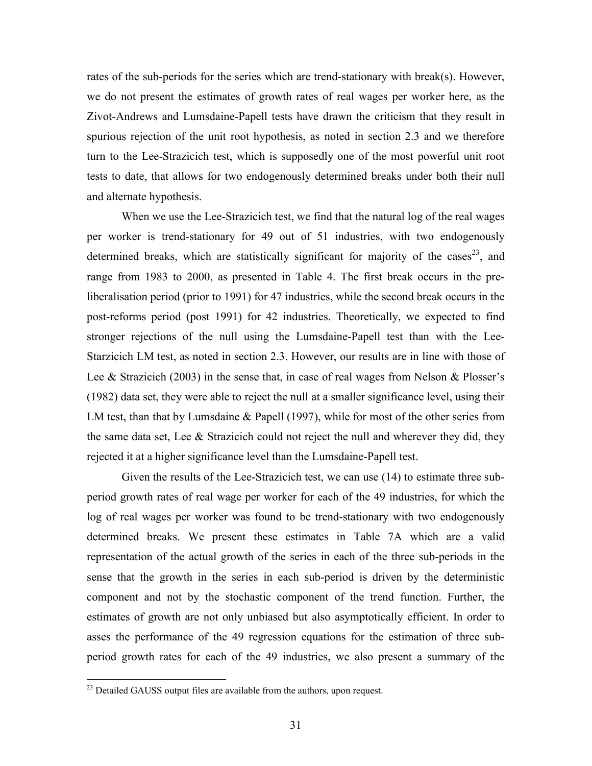rates of the sub-periods for the series which are trend-stationary with break(s). However, we do not present the estimates of growth rates of real wages per worker here, as the Zivot-Andrews and Lumsdaine-Papell tests have drawn the criticism that they result in spurious rejection of the unit root hypothesis, as noted in section 2.3 and we therefore turn to the Lee-Strazicich test, which is supposedly one of the most powerful unit root tests to date, that allows for two endogenously determined breaks under both their null and alternate hypothesis.

When we use the Lee-Strazicich test, we find that the natural log of the real wages per worker is trend-stationary for 49 out of 51 industries, with two endogenously determined breaks, which are statistically significant for majority of the cases<sup>23</sup>, and range from 1983 to 2000, as presented in Table 4. The first break occurs in the preliberalisation period (prior to 1991) for 47 industries, while the second break occurs in the post-reforms period (post 1991) for 42 industries. Theoretically, we expected to find stronger rejections of the null using the Lumsdaine-Papell test than with the Lee-Starzicich LM test, as noted in section 2.3. However, our results are in line with those of Lee & Strazicich (2003) in the sense that, in case of real wages from Nelson & Plosser's (1982) data set, they were able to reject the null at a smaller significance level, using their LM test, than that by Lumsdaine & Papell (1997), while for most of the other series from the same data set, Lee  $\&$  Strazicich could not reject the null and wherever they did, they rejected it at a higher significance level than the Lumsdaine-Papell test.

Given the results of the Lee-Strazicich test, we can use (14) to estimate three subperiod growth rates of real wage per worker for each of the 49 industries, for which the log of real wages per worker was found to be trend-stationary with two endogenously determined breaks. We present these estimates in Table 7A which are a valid representation of the actual growth of the series in each of the three sub-periods in the sense that the growth in the series in each sub-period is driven by the deterministic component and not by the stochastic component of the trend function. Further, the estimates of growth are not only unbiased but also asymptotically efficient. In order to asses the performance of the 49 regression equations for the estimation of three subperiod growth rates for each of the 49 industries, we also present a summary of the

 $^{23}$  Detailed GAUSS output files are available from the authors, upon request.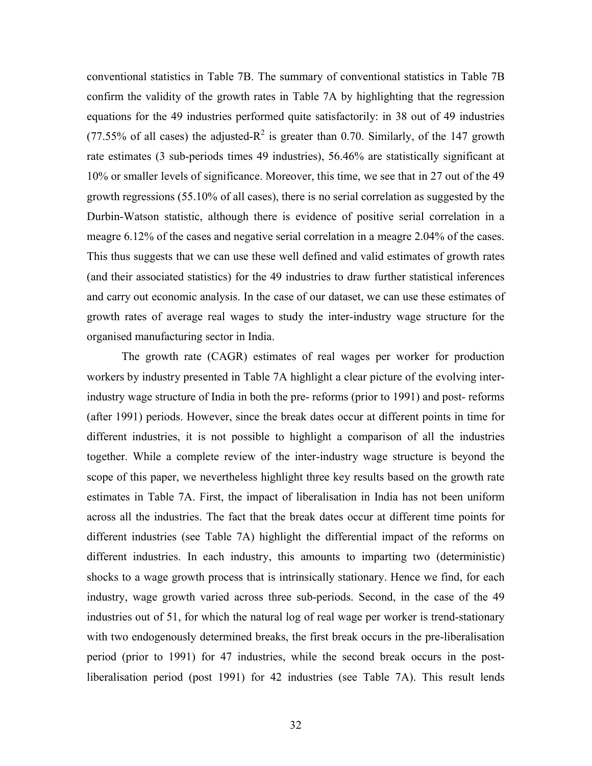conventional statistics in Table 7B. The summary of conventional statistics in Table 7B confirm the validity of the growth rates in Table 7A by highlighting that the regression equations for the 49 industries performed quite satisfactorily: in 38 out of 49 industries (77.55% of all cases) the adjusted- $R^2$  is greater than 0.70. Similarly, of the 147 growth rate estimates (3 sub-periods times 49 industries), 56.46% are statistically significant at 10% or smaller levels of significance. Moreover, this time, we see that in 27 out of the 49 growth regressions (55.10% of all cases), there is no serial correlation as suggested by the Durbin-Watson statistic, although there is evidence of positive serial correlation in a meagre 6.12% of the cases and negative serial correlation in a meagre 2.04% of the cases. This thus suggests that we can use these well defined and valid estimates of growth rates (and their associated statistics) for the 49 industries to draw further statistical inferences and carry out economic analysis. In the case of our dataset, we can use these estimates of growth rates of average real wages to study the inter-industry wage structure for the organised manufacturing sector in India.

The growth rate (CAGR) estimates of real wages per worker for production workers by industry presented in Table 7A highlight a clear picture of the evolving interindustry wage structure of India in both the pre- reforms (prior to 1991) and post- reforms (after 1991) periods. However, since the break dates occur at different points in time for different industries, it is not possible to highlight a comparison of all the industries together. While a complete review of the inter-industry wage structure is beyond the scope of this paper, we nevertheless highlight three key results based on the growth rate estimates in Table 7A. First, the impact of liberalisation in India has not been uniform across all the industries. The fact that the break dates occur at different time points for different industries (see Table 7A) highlight the differential impact of the reforms on different industries. In each industry, this amounts to imparting two (deterministic) shocks to a wage growth process that is intrinsically stationary. Hence we find, for each industry, wage growth varied across three sub-periods. Second, in the case of the 49 industries out of 51, for which the natural log of real wage per worker is trend-stationary with two endogenously determined breaks, the first break occurs in the pre-liberalisation period (prior to 1991) for 47 industries, while the second break occurs in the postliberalisation period (post 1991) for 42 industries (see Table 7A). This result lends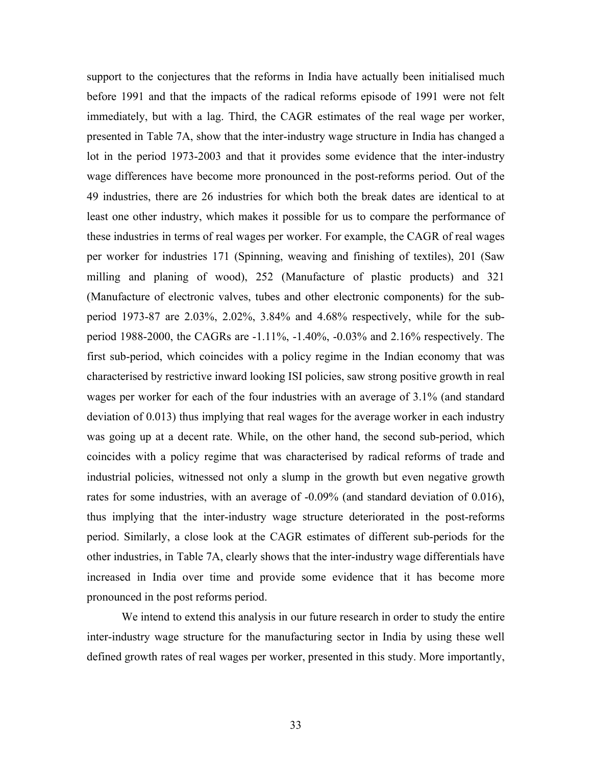support to the conjectures that the reforms in India have actually been initialised much before 1991 and that the impacts of the radical reforms episode of 1991 were not felt immediately, but with a lag. Third, the CAGR estimates of the real wage per worker, presented in Table 7A, show that the inter-industry wage structure in India has changed a lot in the period 1973-2003 and that it provides some evidence that the inter-industry wage differences have become more pronounced in the post-reforms period. Out of the 49 industries, there are 26 industries for which both the break dates are identical to at least one other industry, which makes it possible for us to compare the performance of these industries in terms of real wages per worker. For example, the CAGR of real wages per worker for industries 171 (Spinning, weaving and finishing of textiles), 201 (Saw milling and planing of wood), 252 (Manufacture of plastic products) and 321 (Manufacture of electronic valves, tubes and other electronic components) for the subperiod 1973-87 are 2.03%, 2.02%, 3.84% and 4.68% respectively, while for the subperiod 1988-2000, the CAGRs are -1.11%, -1.40%, -0.03% and 2.16% respectively. The first sub-period, which coincides with a policy regime in the Indian economy that was characterised by restrictive inward looking ISI policies, saw strong positive growth in real wages per worker for each of the four industries with an average of 3.1% (and standard deviation of 0.013) thus implying that real wages for the average worker in each industry was going up at a decent rate. While, on the other hand, the second sub-period, which coincides with a policy regime that was characterised by radical reforms of trade and industrial policies, witnessed not only a slump in the growth but even negative growth rates for some industries, with an average of -0.09% (and standard deviation of 0.016), thus implying that the inter-industry wage structure deteriorated in the post-reforms period. Similarly, a close look at the CAGR estimates of different sub-periods for the other industries, in Table 7A, clearly shows that the inter-industry wage differentials have increased in India over time and provide some evidence that it has become more pronounced in the post reforms period.

We intend to extend this analysis in our future research in order to study the entire inter-industry wage structure for the manufacturing sector in India by using these well defined growth rates of real wages per worker, presented in this study. More importantly,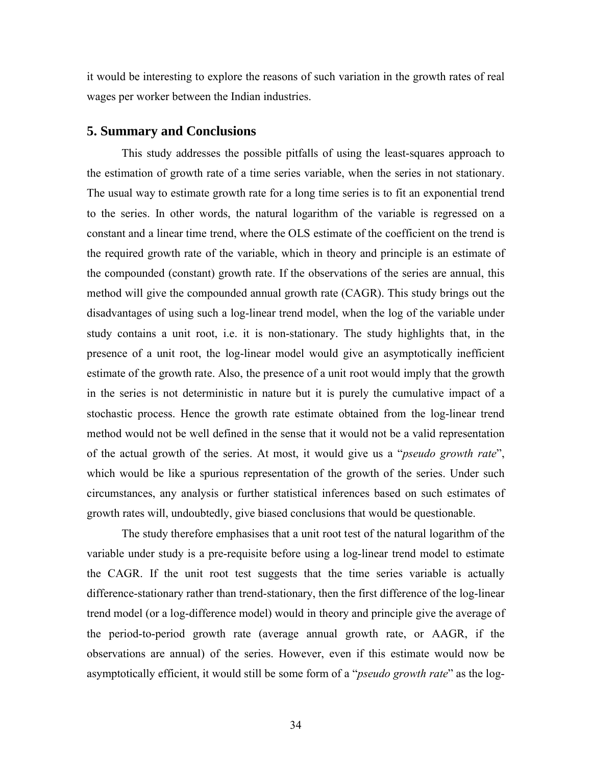it would be interesting to explore the reasons of such variation in the growth rates of real wages per worker between the Indian industries.

## **5. Summary and Conclusions**

This study addresses the possible pitfalls of using the least-squares approach to the estimation of growth rate of a time series variable, when the series in not stationary. The usual way to estimate growth rate for a long time series is to fit an exponential trend to the series. In other words, the natural logarithm of the variable is regressed on a constant and a linear time trend, where the OLS estimate of the coefficient on the trend is the required growth rate of the variable, which in theory and principle is an estimate of the compounded (constant) growth rate. If the observations of the series are annual, this method will give the compounded annual growth rate (CAGR). This study brings out the disadvantages of using such a log-linear trend model, when the log of the variable under study contains a unit root, i.e. it is non-stationary. The study highlights that, in the presence of a unit root, the log-linear model would give an asymptotically inefficient estimate of the growth rate. Also, the presence of a unit root would imply that the growth in the series is not deterministic in nature but it is purely the cumulative impact of a stochastic process. Hence the growth rate estimate obtained from the log-linear trend method would not be well defined in the sense that it would not be a valid representation of the actual growth of the series. At most, it would give us a "*pseudo growth rate*", which would be like a spurious representation of the growth of the series. Under such circumstances, any analysis or further statistical inferences based on such estimates of growth rates will, undoubtedly, give biased conclusions that would be questionable.

The study therefore emphasises that a unit root test of the natural logarithm of the variable under study is a pre-requisite before using a log-linear trend model to estimate the CAGR. If the unit root test suggests that the time series variable is actually difference-stationary rather than trend-stationary, then the first difference of the log-linear trend model (or a log-difference model) would in theory and principle give the average of the period-to-period growth rate (average annual growth rate, or AAGR, if the observations are annual) of the series. However, even if this estimate would now be asymptotically efficient, it would still be some form of a "*pseudo growth rate*" as the log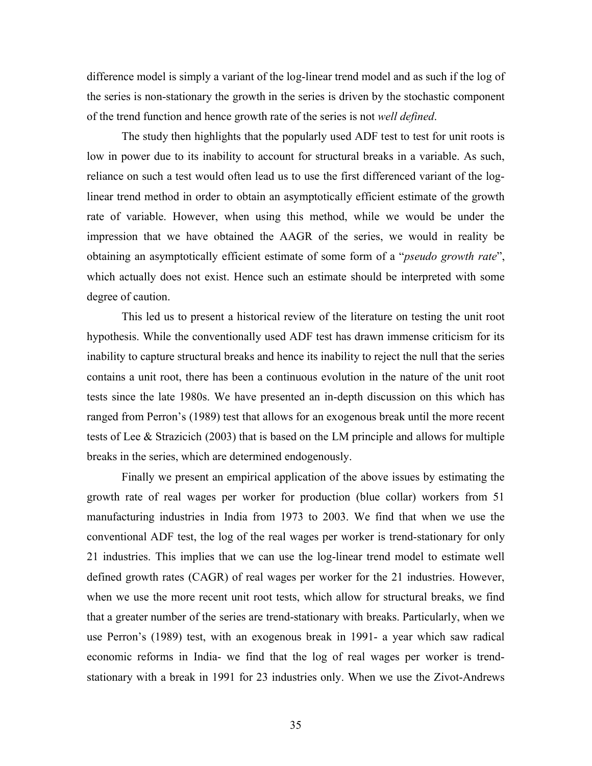difference model is simply a variant of the log-linear trend model and as such if the log of the series is non-stationary the growth in the series is driven by the stochastic component of the trend function and hence growth rate of the series is not *well defined*.

The study then highlights that the popularly used ADF test to test for unit roots is low in power due to its inability to account for structural breaks in a variable. As such, reliance on such a test would often lead us to use the first differenced variant of the loglinear trend method in order to obtain an asymptotically efficient estimate of the growth rate of variable. However, when using this method, while we would be under the impression that we have obtained the AAGR of the series, we would in reality be obtaining an asymptotically efficient estimate of some form of a "*pseudo growth rate*", which actually does not exist. Hence such an estimate should be interpreted with some degree of caution.

This led us to present a historical review of the literature on testing the unit root hypothesis. While the conventionally used ADF test has drawn immense criticism for its inability to capture structural breaks and hence its inability to reject the null that the series contains a unit root, there has been a continuous evolution in the nature of the unit root tests since the late 1980s. We have presented an in-depth discussion on this which has ranged from Perron's (1989) test that allows for an exogenous break until the more recent tests of Lee & Strazicich (2003) that is based on the LM principle and allows for multiple breaks in the series, which are determined endogenously.

Finally we present an empirical application of the above issues by estimating the growth rate of real wages per worker for production (blue collar) workers from 51 manufacturing industries in India from 1973 to 2003. We find that when we use the conventional ADF test, the log of the real wages per worker is trend-stationary for only 21 industries. This implies that we can use the log-linear trend model to estimate well defined growth rates (CAGR) of real wages per worker for the 21 industries. However, when we use the more recent unit root tests, which allow for structural breaks, we find that a greater number of the series are trend-stationary with breaks. Particularly, when we use Perron's (1989) test, with an exogenous break in 1991- a year which saw radical economic reforms in India- we find that the log of real wages per worker is trendstationary with a break in 1991 for 23 industries only. When we use the Zivot-Andrews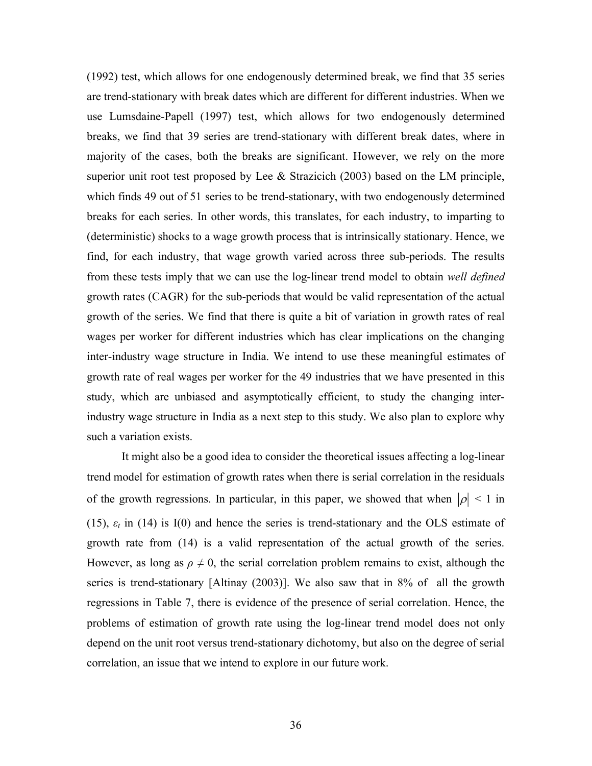(1992) test, which allows for one endogenously determined break, we find that 35 series are trend-stationary with break dates which are different for different industries. When we use Lumsdaine-Papell (1997) test, which allows for two endogenously determined breaks, we find that 39 series are trend-stationary with different break dates, where in majority of the cases, both the breaks are significant. However, we rely on the more superior unit root test proposed by Lee & Strazicich (2003) based on the LM principle, which finds 49 out of 51 series to be trend-stationary, with two endogenously determined breaks for each series. In other words, this translates, for each industry, to imparting to (deterministic) shocks to a wage growth process that is intrinsically stationary. Hence, we find, for each industry, that wage growth varied across three sub-periods. The results from these tests imply that we can use the log-linear trend model to obtain *well defined* growth rates (CAGR) for the sub-periods that would be valid representation of the actual growth of the series. We find that there is quite a bit of variation in growth rates of real wages per worker for different industries which has clear implications on the changing inter-industry wage structure in India. We intend to use these meaningful estimates of growth rate of real wages per worker for the 49 industries that we have presented in this study, which are unbiased and asymptotically efficient, to study the changing interindustry wage structure in India as a next step to this study. We also plan to explore why such a variation exists.

It might also be a good idea to consider the theoretical issues affecting a log-linear trend model for estimation of growth rates when there is serial correlation in the residuals of the growth regressions. In particular, in this paper, we showed that when  $|\rho| < 1$  in (15), *εt* in (14) is I(0) and hence the series is trend-stationary and the OLS estimate of growth rate from (14) is a valid representation of the actual growth of the series. However, as long as  $\rho \neq 0$ , the serial correlation problem remains to exist, although the series is trend-stationary [Altinay (2003)]. We also saw that in 8% of all the growth regressions in Table 7, there is evidence of the presence of serial correlation. Hence, the problems of estimation of growth rate using the log-linear trend model does not only depend on the unit root versus trend-stationary dichotomy, but also on the degree of serial correlation, an issue that we intend to explore in our future work.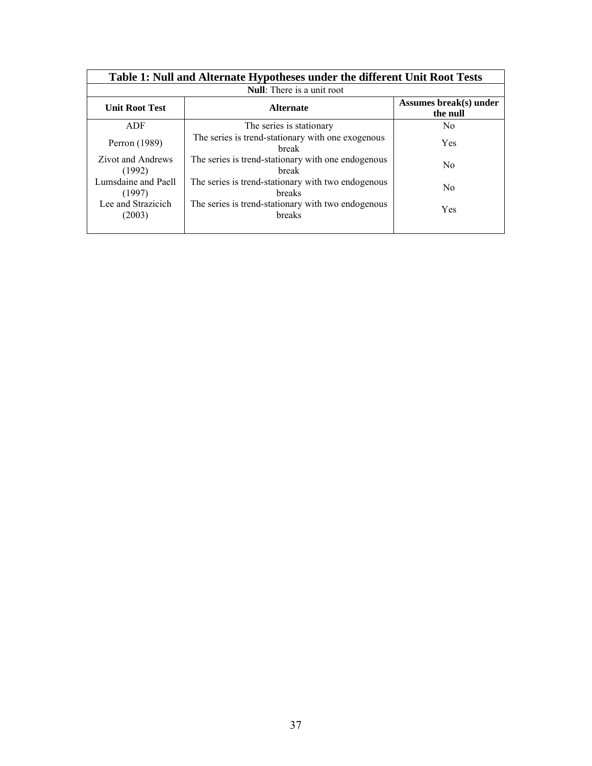|                               | Table 1: Null and Alternate Hypotheses under the different Unit Root Tests |                                    |  |  |  |  |  |  |
|-------------------------------|----------------------------------------------------------------------------|------------------------------------|--|--|--|--|--|--|
|                               | <b>Null:</b> There is a unit root                                          |                                    |  |  |  |  |  |  |
| <b>Unit Root Test</b>         | <b>Alternate</b>                                                           | Assumes break(s) under<br>the null |  |  |  |  |  |  |
| ADF                           | The series is stationary                                                   | N <sub>0</sub>                     |  |  |  |  |  |  |
| Perron (1989)                 | The series is trend-stationary with one exogenous<br><b>break</b>          | <b>Yes</b>                         |  |  |  |  |  |  |
| Zivot and Andrews<br>(1992)   | The series is trend-stationary with one endogenous<br>break                | N <sub>0</sub>                     |  |  |  |  |  |  |
| Lumsdaine and Paell<br>(1997) | The series is trend-stationary with two endogenous<br>breaks               | N <sub>0</sub>                     |  |  |  |  |  |  |
| Lee and Strazicich<br>(2003)  | The series is trend-stationary with two endogenous<br>breaks               | <b>Yes</b>                         |  |  |  |  |  |  |
|                               |                                                                            |                                    |  |  |  |  |  |  |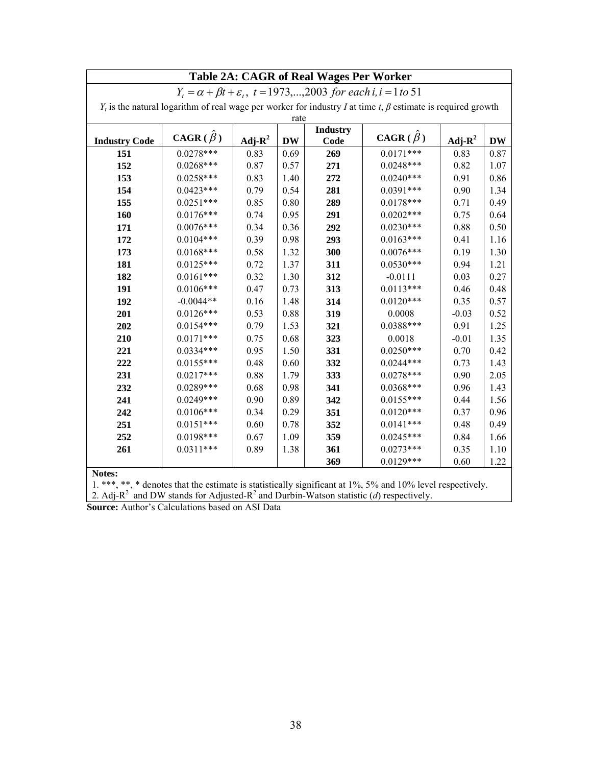|                                                                                   | Table 2A: CAGR of Real Wages Per Worker                                                                              |           |           |                 |               |            |           |
|-----------------------------------------------------------------------------------|----------------------------------------------------------------------------------------------------------------------|-----------|-----------|-----------------|---------------|------------|-----------|
| $Y_t = \alpha + \beta t + \varepsilon_t$ , t = 1973,,2003 for each i, i = 1 to 51 |                                                                                                                      |           |           |                 |               |            |           |
|                                                                                   | $Y_t$ is the natural logarithm of real wage per worker for industry I at time t, $\beta$ estimate is required growth |           |           |                 |               |            |           |
|                                                                                   |                                                                                                                      |           | rate      |                 |               |            |           |
|                                                                                   | $CAGR(\hat{\beta})$                                                                                                  |           |           | <b>Industry</b> | $CAGR(\beta)$ |            |           |
| <b>Industry Code</b>                                                              |                                                                                                                      | $Adj-R^2$ | <b>DW</b> | Code            |               | Adj- $R^2$ | <b>DW</b> |
| 151                                                                               | $0.0278***$                                                                                                          | 0.83      | 0.69      | 269             | $0.0171***$   | 0.83       | 0.87      |
| 152                                                                               | $0.0268***$                                                                                                          | 0.87      | 0.57      | 271             | $0.0248***$   | 0.82       | 1.07      |
| 153                                                                               | $0.0258***$                                                                                                          | 0.83      | 1.40      | 272             | $0.0240***$   | 0.91       | 0.86      |
| 154                                                                               | $0.0423***$                                                                                                          | 0.79      | 0.54      | 281             | $0.0391***$   | 0.90       | 1.34      |
| 155                                                                               | $0.0251***$                                                                                                          | 0.85      | 0.80      | 289             | $0.0178***$   | 0.71       | 0.49      |
| 160                                                                               | $0.0176***$                                                                                                          | 0.74      | 0.95      | 291             | $0.0202***$   | 0.75       | 0.64      |
| 171                                                                               | $0.0076***$                                                                                                          | 0.34      | 0.36      | 292             | $0.0230***$   | 0.88       | 0.50      |
| 172                                                                               | $0.0104***$                                                                                                          | 0.39      | 0.98      | 293             | $0.0163***$   | 0.41       | 1.16      |
| 173                                                                               | $0.0168***$                                                                                                          | 0.58      | 1.32      | 300             | $0.0076***$   | 0.19       | 1.30      |
| 181                                                                               | $0.0125***$                                                                                                          | 0.72      | 1.37      | 311             | $0.0530***$   | 0.94       | 1.21      |
| 182                                                                               | $0.0161***$                                                                                                          | 0.32      | 1.30      | 312             | $-0.0111$     | 0.03       | 0.27      |
| 191                                                                               | $0.0106***$                                                                                                          | 0.47      | 0.73      | 313             | $0.0113***$   | 0.46       | 0.48      |
| 192                                                                               | $-0.0044**$                                                                                                          | 0.16      | 1.48      | 314             | $0.0120***$   | 0.35       | 0.57      |
| 201                                                                               | $0.0126***$                                                                                                          | 0.53      | 0.88      | 319             | 0.0008        | $-0.03$    | 0.52      |
| 202                                                                               | $0.0154***$                                                                                                          | 0.79      | 1.53      | 321             | $0.0388***$   | 0.91       | 1.25      |
| 210                                                                               | $0.0171***$                                                                                                          | 0.75      | 0.68      | 323             | 0.0018        | $-0.01$    | 1.35      |
| 221                                                                               | $0.0334***$                                                                                                          | 0.95      | 1.50      | 331             | $0.0250***$   | 0.70       | 0.42      |
| 222                                                                               | $0.0155***$                                                                                                          | 0.48      | 0.60      | 332             | $0.0244***$   | 0.73       | 1.43      |
| 231                                                                               | $0.0217***$                                                                                                          | 0.88      | 1.79      | 333             | $0.0278***$   | 0.90       | 2.05      |
| 232                                                                               | $0.0289***$                                                                                                          | 0.68      | 0.98      | 341             | $0.0368***$   | 0.96       | 1.43      |
| 241                                                                               | $0.0249***$                                                                                                          | 0.90      | 0.89      | 342             | $0.0155***$   | 0.44       | 1.56      |
| 242                                                                               | $0.0106***$                                                                                                          | 0.34      | 0.29      | 351             | $0.0120***$   | 0.37       | 0.96      |
| 251                                                                               | $0.0151***$                                                                                                          | 0.60      | 0.78      | 352             | $0.0141***$   | 0.48       | 0.49      |
| 252                                                                               | $0.0198***$                                                                                                          | 0.67      | 1.09      | 359             | $0.0245***$   | 0.84       | 1.66      |
| 261                                                                               | $0.0311***$                                                                                                          | 0.89      | 1.38      | 361             | $0.0273***$   | 0.35       | 1.10      |
|                                                                                   |                                                                                                                      |           |           | 369             | $0.0129***$   | 0.60       | 1.22      |

**Notes:**

1. \*\*\*, \*\*, \* denotes that the estimate is statistically significant at 1%, 5% and 10% level respectively. 2. Adj-R<sup>2</sup> and DW stands for Adjusted-R<sup>2</sup> and Durbin-Watson statistic (*d*) respectively.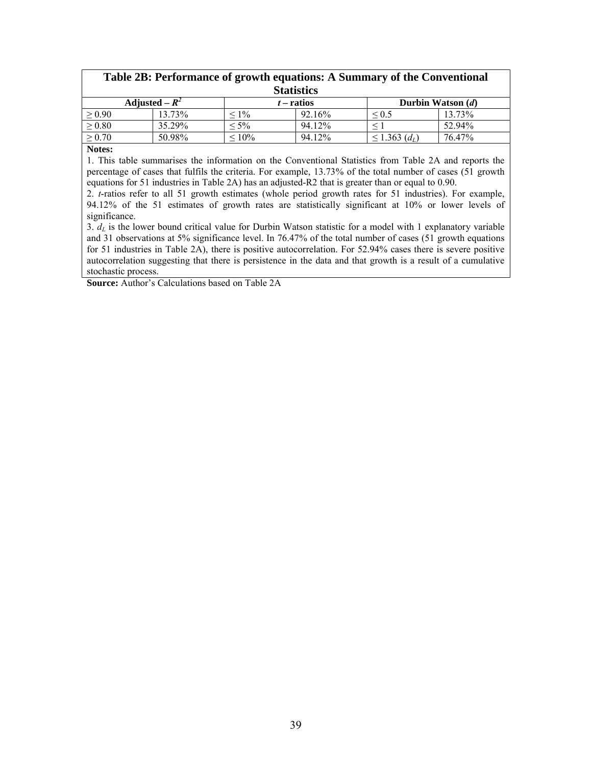| Table 2B: Performance of growth equations: A Summary of the Conventional<br><b>Statistics</b> |        |             |              |                                |        |  |
|-----------------------------------------------------------------------------------------------|--------|-------------|--------------|--------------------------------|--------|--|
| Adjusted – $R^2$                                                                              |        |             | $t$ – ratios | Durbin Watson $(d)$            |        |  |
| $\geq 0.90$                                                                                   | 13.73% | $1\%$       | 92.16%       | $\leq 0.5$                     | 13.73% |  |
| $\geq 0.80$                                                                                   | 35.29% | $< 5\%$     | 94.12%       |                                | 52.94% |  |
| $\geq 0.70$                                                                                   | 50.98% | $\leq 10\%$ | 94.12%       | $\leq$ 1.363 (d <sub>L</sub> ) | 76.47% |  |

**Notes:**

1. This table summarises the information on the Conventional Statistics from Table 2A and reports the percentage of cases that fulfils the criteria. For example, 13.73% of the total number of cases (51 growth equations for 51 industries in Table 2A) has an adjusted-R2 that is greater than or equal to 0.90.

2. *t*-ratios refer to all 51 growth estimates (whole period growth rates for 51 industries). For example, 94.12% of the 51 estimates of growth rates are statistically significant at 10% or lower levels of significance.

3.  $d_l$  is the lower bound critical value for Durbin Watson statistic for a model with 1 explanatory variable and 31 observations at 5% significance level. In 76.47% of the total number of cases (51 growth equations for 51 industries in Table 2A), there is positive autocorrelation. For 52.94% cases there is severe positive autocorrelation suggesting that there is persistence in the data and that growth is a result of a cumulative stochastic process.

**Source:** Author's Calculations based on Table 2A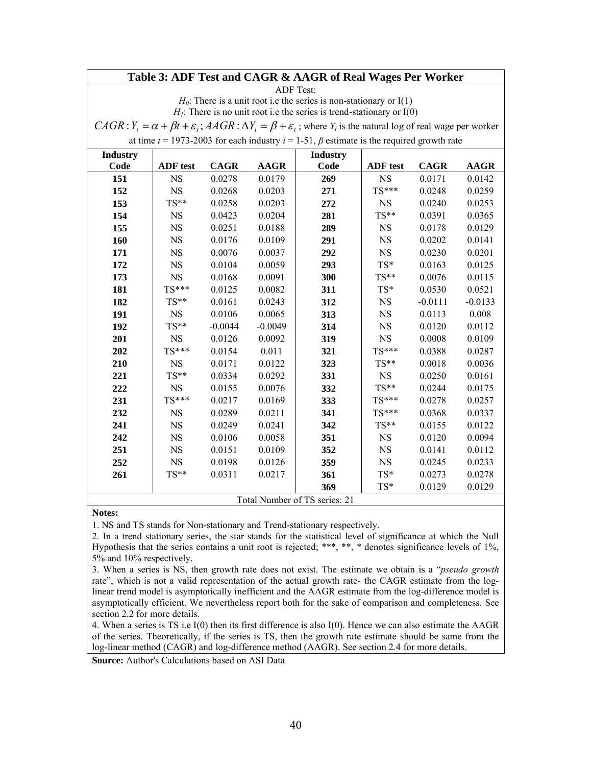## **Table 3: ADF Test and CAGR & AAGR of Real Wages Per Worker**

ADF Test:

 $H<sub>0</sub>$ : There is a unit root i.e the series is non-stationary or I(1)

 $H<sub>1</sub>$ : There is no unit root i.e the series is trend-stationary or  $I(0)$ 

 $CAGR$  :  $Y_t = \alpha + \beta t + \varepsilon_t$ ;  $AAGR$  :  $\Delta Y_t = \beta + \varepsilon_t$ ; where  $Y_t$  is the natural log of real wage per worker

at time  $t = 1973-2003$  for each industry  $i = 1-51$ ,  $\beta$  estimate is the required growth rate

| <b>Industry</b> |                 |             |             | <b>Industry</b>               |                 |             |             |
|-----------------|-----------------|-------------|-------------|-------------------------------|-----------------|-------------|-------------|
| Code            | <b>ADF</b> test | <b>CAGR</b> | <b>AAGR</b> | Code                          | <b>ADF</b> test | <b>CAGR</b> | <b>AAGR</b> |
| 151             | <b>NS</b>       | 0.0278      | 0.0179      | 269                           | <b>NS</b>       | 0.0171      | 0.0142      |
| 152             | <b>NS</b>       | 0.0268      | 0.0203      | 271                           | $TS***$         | 0.0248      | 0.0259      |
| 153             | $TS**$          | 0.0258      | 0.0203      | 272                           | <b>NS</b>       | 0.0240      | 0.0253      |
| 154             | <b>NS</b>       | 0.0423      | 0.0204      | 281                           | $TS**$          | 0.0391      | 0.0365      |
| 155             | <b>NS</b>       | 0.0251      | 0.0188      | 289                           | <b>NS</b>       | 0.0178      | 0.0129      |
| 160             | $_{\rm NS}$     | 0.0176      | 0.0109      | 291                           | <b>NS</b>       | 0.0202      | 0.0141      |
| 171             | <b>NS</b>       | 0.0076      | 0.0037      | 292                           | <b>NS</b>       | 0.0230      | 0.0201      |
| 172             | <b>NS</b>       | 0.0104      | 0.0059      | 293                           | $TS^*$          | 0.0163      | 0.0125      |
| 173             | <b>NS</b>       | 0.0168      | 0.0091      | 300                           | $TS**$          | 0.0076      | 0.0115      |
| 181             | $TS***$         | 0.0125      | 0.0082      | 311                           | TS*             | 0.0530      | 0.0521      |
| 182             | $TS**$          | 0.0161      | 0.0243      | 312                           | $_{\rm NS}$     | $-0.0111$   | $-0.0133$   |
| 191             | <b>NS</b>       | 0.0106      | 0.0065      | 313                           | <b>NS</b>       | 0.0113      | 0.008       |
| 192             | $TS**$          | $-0.0044$   | $-0.0049$   | 314                           | <b>NS</b>       | 0.0120      | 0.0112      |
| 201             | <b>NS</b>       | 0.0126      | 0.0092      | 319                           | <b>NS</b>       | 0.0008      | 0.0109      |
| 202             | $TS***$         | 0.0154      | 0.011       | 321                           | $TS***$         | 0.0388      | 0.0287      |
| 210             | <b>NS</b>       | 0.0171      | 0.0122      | 323                           | $TS**$          | 0.0018      | 0.0036      |
| 221             | TS**            | 0.0334      | 0.0292      | 331                           | <b>NS</b>       | 0.0250      | 0.0161      |
| 222             | <b>NS</b>       | 0.0155      | 0.0076      | 332                           | $TS**$          | 0.0244      | 0.0175      |
| 231             | $TS***$         | 0.0217      | 0.0169      | 333                           | $TS***$         | 0.0278      | 0.0257      |
| 232             | <b>NS</b>       | 0.0289      | 0.0211      | 341                           | $TS***$         | 0.0368      | 0.0337      |
| 241             | $_{\rm NS}$     | 0.0249      | 0.0241      | 342                           | $TS**$          | 0.0155      | 0.0122      |
| 242             | <b>NS</b>       | 0.0106      | 0.0058      | 351                           | <b>NS</b>       | 0.0120      | 0.0094      |
| 251             | <b>NS</b>       | 0.0151      | 0.0109      | 352                           | <b>NS</b>       | 0.0141      | 0.0112      |
| 252             | <b>NS</b>       | 0.0198      | 0.0126      | 359                           | <b>NS</b>       | 0.0245      | 0.0233      |
| 261             | $TS**$          | 0.0311      | 0.0217      | 361                           | TS*             | 0.0273      | 0.0278      |
|                 |                 |             |             | 369                           | TS*             | 0.0129      | 0.0129      |
|                 |                 |             |             | Total Number of TS series: 21 |                 |             |             |

#### **Notes:**

1. NS and TS stands for Non-stationary and Trend-stationary respectively.

2. In a trend stationary series, the star stands for the statistical level of significance at which the Null Hypothesis that the series contains a unit root is rejected; \*\*\*, \*\*, \* denotes significance levels of 1%, 5% and 10% respectively.

3. When a series is NS, then growth rate does not exist. The estimate we obtain is a "*pseudo growth*  rate", which is not a valid representation of the actual growth rate- the CAGR estimate from the loglinear trend model is asymptotically inefficient and the AAGR estimate from the log-difference model is asymptotically efficient. We nevertheless report both for the sake of comparison and completeness. See section 2.2 for more details.

4. When a series is TS i.e I(0) then its first difference is also I(0). Hence we can also estimate the AAGR of the series. Theoretically, if the series is TS, then the growth rate estimate should be same from the log-linear method (CAGR) and log-difference method (AAGR). See section 2.4 for more details.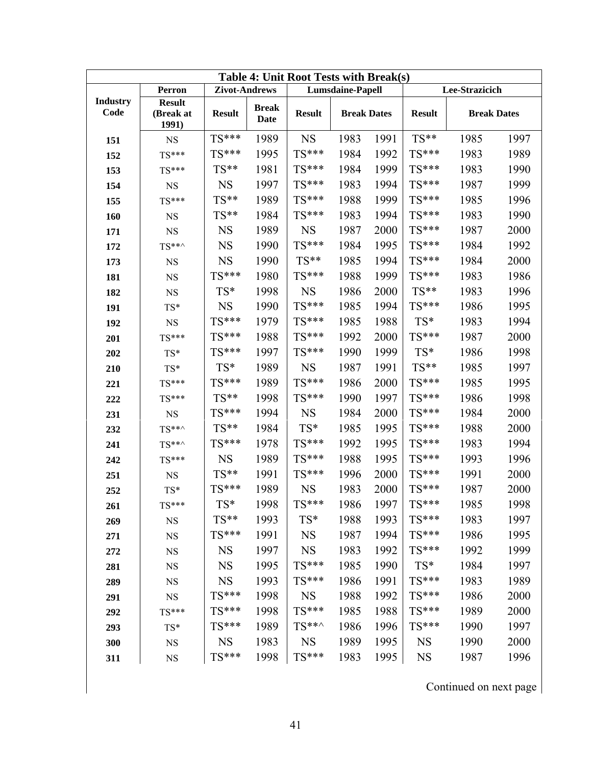| Table 4: Unit Root Tests with Break(s) |                                     |               |                      |               |                         |      |               |                    |      |
|----------------------------------------|-------------------------------------|---------------|----------------------|---------------|-------------------------|------|---------------|--------------------|------|
|                                        | Perron                              | Zivot-Andrews |                      |               | <b>Lumsdaine-Papell</b> |      |               | Lee-Strazicich     |      |
| <b>Industry</b><br>Code                | <b>Result</b><br>(Break at<br>1991) | <b>Result</b> | <b>Break</b><br>Date | <b>Result</b> | <b>Break Dates</b>      |      | <b>Result</b> | <b>Break Dates</b> |      |
| 151                                    | <b>NS</b>                           | TS***         | 1989                 | <b>NS</b>     | 1983                    | 1991 | $TS**$        | 1985               | 1997 |
| 152                                    | $TS***$                             | TS***         | 1995                 | TS***         | 1984                    | 1992 | $TS***$       | 1983               | 1989 |
| 153                                    | $TS***$                             | TS**          | 1981                 | TS***         | 1984                    | 1999 | TS***         | 1983               | 1990 |
| 154                                    | <b>NS</b>                           | <b>NS</b>     | 1997                 | TS***         | 1983                    | 1994 | TS***         | 1987               | 1999 |
| 155                                    | $TS***$                             | TS**          | 1989                 | $TS***$       | 1988                    | 1999 | $TS***$       | 1985               | 1996 |
| 160                                    | <b>NS</b>                           | TS**          | 1984                 | TS***         | 1983                    | 1994 | TS***         | 1983               | 1990 |
| 171                                    | <b>NS</b>                           | <b>NS</b>     | 1989                 | <b>NS</b>     | 1987                    | 2000 | TS***         | 1987               | 2000 |
| 172                                    | $TS***$                             | <b>NS</b>     | 1990                 | TS***         | 1984                    | 1995 | TS***         | 1984               | 1992 |
| 173                                    | <b>NS</b>                           | <b>NS</b>     | 1990                 | $TS**$        | 1985                    | 1994 | TS***         | 1984               | 2000 |
| 181                                    | <b>NS</b>                           | TS***         | 1980                 | TS***         | 1988                    | 1999 | TS***         | 1983               | 1986 |
| 182                                    | <b>NS</b>                           | TS*           | 1998                 | <b>NS</b>     | 1986                    | 2000 | $TS**$        | 1983               | 1996 |
| 191                                    | $TS^*$                              | <b>NS</b>     | 1990                 | TS***         | 1985                    | 1994 | $TS***$       | 1986               | 1995 |
| 192                                    | <b>NS</b>                           | TS***         | 1979                 | $TS***$       | 1985                    | 1988 | $TS^*$        | 1983               | 1994 |
| 201                                    | $TS***$                             | $TS***$       | 1988                 | TS***         | 1992                    | 2000 | $TS***$       | 1987               | 2000 |
| 202                                    | TS*                                 | TS***         | 1997                 | TS***         | 1990                    | 1999 | $TS^*$        | 1986               | 1998 |
| 210                                    | TS*                                 | TS*           | 1989                 | <b>NS</b>     | 1987                    | 1991 | $TS**$        | 1985               | 1997 |
| 221                                    | $TS***$                             | TS***         | 1989                 | TS***         | 1986                    | 2000 | $TS***$       | 1985               | 1995 |
| 222                                    | $TS***$                             | $TS**$        | 1998                 | TS***         | 1990                    | 1997 | $TS***$       | 1986               | 1998 |
| 231                                    | <b>NS</b>                           | TS***         | 1994                 | <b>NS</b>     | 1984                    | 2000 | TS***         | 1984               | 2000 |
| 232                                    | $TS***$                             | $TS**$        | 1984                 | TS*           | 1985                    | 1995 | TS***         | 1988               | 2000 |
| 241                                    | $TS***$                             | TS***         | 1978                 | $TS***$       | 1992                    | 1995 | TS***         | 1983               | 1994 |
| 242                                    | $TS***$                             | <b>NS</b>     | 1989                 | TS***         | 1988                    | 1995 | $TS***$       | 1993               | 1996 |
| 251                                    | <b>NS</b>                           | TS**          | 1991                 | TS***         | 1996                    | 2000 | $TS***$       | 1991               | 2000 |
| 252                                    | TS*                                 | TS***         | 1989                 | <b>NS</b>     | 1983                    | 2000 | $TS***$       | 1987               | 2000 |
| 261                                    | $TS***$                             | TS*           | 1998                 | TS***         | 1986                    | 1997 | TS***         | 1985               | 1998 |
| 269                                    | $_{\rm NS}$                         | TS**          | 1993                 | TS*           | 1988                    | 1993 | TS***         | 1983               | 1997 |
| 271                                    | <b>NS</b>                           | TS***         | 1991                 | <b>NS</b>     | 1987                    | 1994 | TS***         | 1986               | 1995 |
| 272                                    | <b>NS</b>                           | <b>NS</b>     | 1997                 | <b>NS</b>     | 1983                    | 1992 | TS***         | 1992               | 1999 |
| 281                                    | <b>NS</b>                           | <b>NS</b>     | 1995                 | TS***         | 1985                    | 1990 | TS*           | 1984               | 1997 |
| 289                                    | <b>NS</b>                           | <b>NS</b>     | 1993                 | $TS***$       | 1986                    | 1991 | TS***         | 1983               | 1989 |
| 291                                    | <b>NS</b>                           | TS***         | 1998                 | <b>NS</b>     | 1988                    | 1992 | TS***         | 1986               | 2000 |
| 292                                    | $TS***$                             | TS***         | 1998                 | TS***         | 1985                    | 1988 | $TS***$       | 1989               | 2000 |
| 293                                    | TS*                                 | $TS***$       | 1989                 | TS**^         | 1986                    | 1996 | TS***         | 1990               | 1997 |
| 300                                    | <b>NS</b>                           | <b>NS</b>     | 1983                 | <b>NS</b>     | 1989                    | 1995 | <b>NS</b>     | 1990               | 2000 |
| 311                                    | <b>NS</b>                           | TS***         | 1998                 | TS***         | 1983                    | 1995 | <b>NS</b>     | 1987               | 1996 |

Continued on next page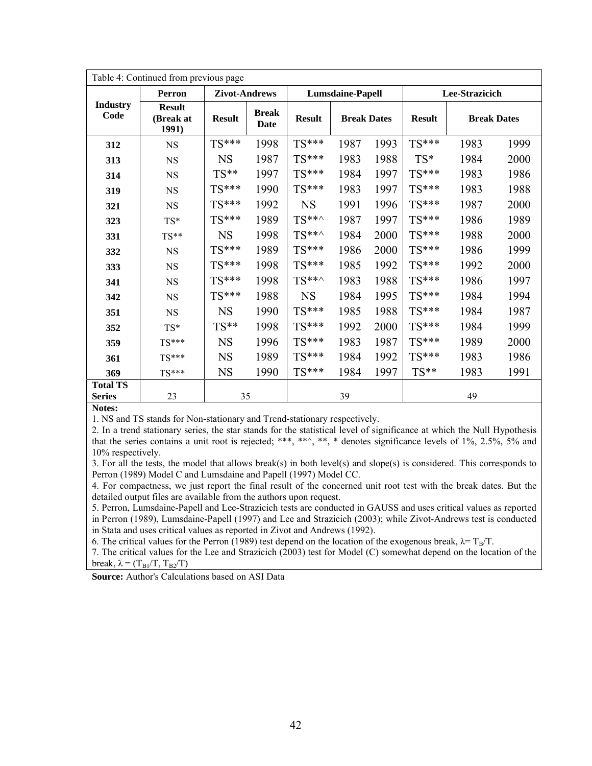|                         | Table 4: Continued from previous page |                      |                      |               |                         |      |               |                    |      |
|-------------------------|---------------------------------------|----------------------|----------------------|---------------|-------------------------|------|---------------|--------------------|------|
|                         | Perron                                | <b>Zivot-Andrews</b> |                      |               | <b>Lumsdaine-Papell</b> |      |               | Lee-Strazicich     |      |
| <b>Industry</b><br>Code | <b>Result</b><br>(Break at<br>1991)   | <b>Result</b>        | <b>Break</b><br>Date | <b>Result</b> | <b>Break Dates</b>      |      | <b>Result</b> | <b>Break Dates</b> |      |
| 312                     | <b>NS</b>                             | $TS***$              | 1998                 | $TS***$       | 1987                    | 1993 | TS***         | 1983               | 1999 |
| 313                     | <b>NS</b>                             | <b>NS</b>            | 1987                 | $TS***$       | 1983                    | 1988 | TS*           | 1984               | 2000 |
| 314                     | $_{\rm NS}$                           | TS**                 | 1997                 | TS***         | 1984                    | 1997 | $TS***$       | 1983               | 1986 |
| 319                     | <b>NS</b>                             | $TS***$              | 1990                 | $TS***$       | 1983                    | 1997 | $TS***$       | 1983               | 1988 |
| 321                     | <b>NS</b>                             | $TS***$              | 1992                 | <b>NS</b>     | 1991                    | 1996 | $TS***$       | 1987               | 2000 |
| 323                     | TS*                                   | TS***                | 1989                 | $TS***$       | 1987                    | 1997 | $TS***$       | 1986               | 1989 |
| 331                     | TS**                                  | <b>NS</b>            | 1998                 | $TS***$       | 1984                    | 2000 | $TS***$       | 1988               | 2000 |
| 332                     | <b>NS</b>                             | $TS***$              | 1989                 | $TS***$       | 1986                    | 2000 | $TS***$       | 1986               | 1999 |
| 333                     | <b>NS</b>                             | TS***                | 1998                 | TS***         | 1985                    | 1992 | $TS***$       | 1992               | 2000 |
| 341                     | <b>NS</b>                             | $TS***$              | 1998                 | $TS***$       | 1983                    | 1988 | $TS***$       | 1986               | 1997 |
| 342                     | <b>NS</b>                             | $TS***$              | 1988                 | <b>NS</b>     | 1984                    | 1995 | $TS***$       | 1984               | 1994 |
| 351                     | $_{\rm NS}$                           | <b>NS</b>            | 1990                 | TS***         | 1985                    | 1988 | $TS***$       | 1984               | 1987 |
| 352                     | TS*                                   | TS**                 | 1998                 | TS***         | 1992                    | 2000 | $TS***$       | 1984               | 1999 |
| 359                     | $TS***$                               | <b>NS</b>            | 1996                 | $TS***$       | 1983                    | 1987 | $TS***$       | 1989               | 2000 |
| 361                     | $TS***$                               | <b>NS</b>            | 1989                 | $TS***$       | 1984                    | 1992 | TS***         | 1983               | 1986 |
| 369                     | $TS***$                               | <b>NS</b>            | 1990                 | $TS***$       | 1984                    | 1997 | $TS**$        | 1983               | 1991 |
| <b>Total TS</b>         |                                       |                      |                      |               |                         |      |               |                    |      |
| <b>Series</b>           | 23                                    | 35                   |                      |               | 39                      |      |               | 49                 |      |

**Notes:**

1. NS and TS stands for Non-stationary and Trend-stationary respectively.

2. In a trend stationary series, the star stands for the statistical level of significance at which the Null Hypothesis that the series contains a unit root is rejected; \*\*\*, \*\*^, \*\*, \* denotes significance levels of 1%, 2.5%, 5% and 10% respectively.

3. For all the tests, the model that allows break(s) in both level(s) and slope(s) is considered. This corresponds to Perron (1989) Model C and Lumsdaine and Papell (1997) Model CC.

4. For compactness, we just report the final result of the concerned unit root test with the break dates. But the detailed output files are available from the authors upon request.

5. Perron, Lumsdaine-Papell and Lee-Strazicich tests are conducted in GAUSS and uses critical values as reported in Perron (1989), Lumsdaine-Papell (1997) and Lee and Strazicich (2003); while Zivot-Andrews test is conducted in Stata and uses critical values as reported in Zivot and Andrews (1992).

6. The critical values for the Perron (1989) test depend on the location of the exogenous break,  $\lambda = T_B/T$ .

7. The critical values for the Lee and Strazicich (2003) test for Model (C) somewhat depend on the location of the break,  $\lambda = (T_{\text{B1}}/T, T_{\text{B2}}/T)$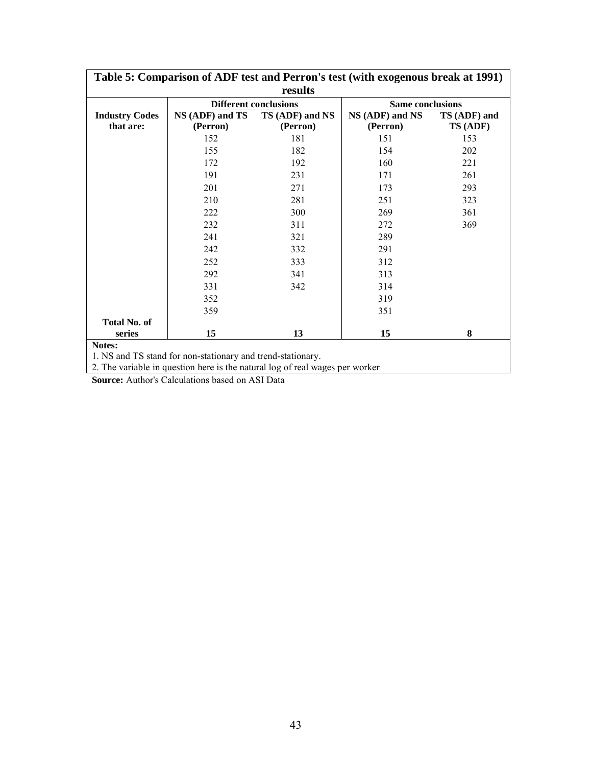| Table 5: Comparison of ADF test and Perron's test (with exogenous break at 1991) |                                                           |                              |                         |              |  |  |
|----------------------------------------------------------------------------------|-----------------------------------------------------------|------------------------------|-------------------------|--------------|--|--|
|                                                                                  |                                                           | results                      |                         |              |  |  |
|                                                                                  |                                                           | <b>Different conclusions</b> | <b>Same conclusions</b> |              |  |  |
| <b>Industry Codes</b>                                                            | NS (ADF) and TS                                           | TS (ADF) and NS              |                         | TS (ADF) and |  |  |
| that are:                                                                        | (Perron)                                                  | (Perron)                     | (Perron)                | TS (ADF)     |  |  |
|                                                                                  | 152                                                       | 181                          | 151                     | 153          |  |  |
|                                                                                  | 155                                                       | 182                          | 154                     | 202          |  |  |
|                                                                                  | 172                                                       | 192                          | 160                     | 221          |  |  |
|                                                                                  | 191                                                       | 231                          | 171                     | 261          |  |  |
|                                                                                  | 201                                                       | 271                          | 173                     | 293          |  |  |
|                                                                                  | 210                                                       | 281                          | 251                     | 323          |  |  |
|                                                                                  | 222                                                       | 300                          | 269                     | 361          |  |  |
|                                                                                  | 232                                                       | 311                          | 272                     | 369          |  |  |
|                                                                                  | 241                                                       | 321                          | 289                     |              |  |  |
|                                                                                  | 242                                                       | 332                          | 291                     |              |  |  |
|                                                                                  | 252                                                       | 333                          | 312                     |              |  |  |
|                                                                                  | 292                                                       | 341                          | 313                     |              |  |  |
|                                                                                  | 331                                                       | 342                          | 314                     |              |  |  |
|                                                                                  | 352                                                       |                              | 319                     |              |  |  |
|                                                                                  | 359                                                       |                              | 351                     |              |  |  |
| <b>Total No. of</b>                                                              |                                                           |                              |                         |              |  |  |
| series                                                                           | 15                                                        | 13                           | 15                      | 8            |  |  |
| Notes:                                                                           |                                                           |                              |                         |              |  |  |
|                                                                                  | 1 NS and TS stand for non-stationary and trend-stationary |                              |                         |              |  |  |

1. NS and TS stand for non-stationary and trend-stationary.

2. The variable in question here is the natural log of real wages per worker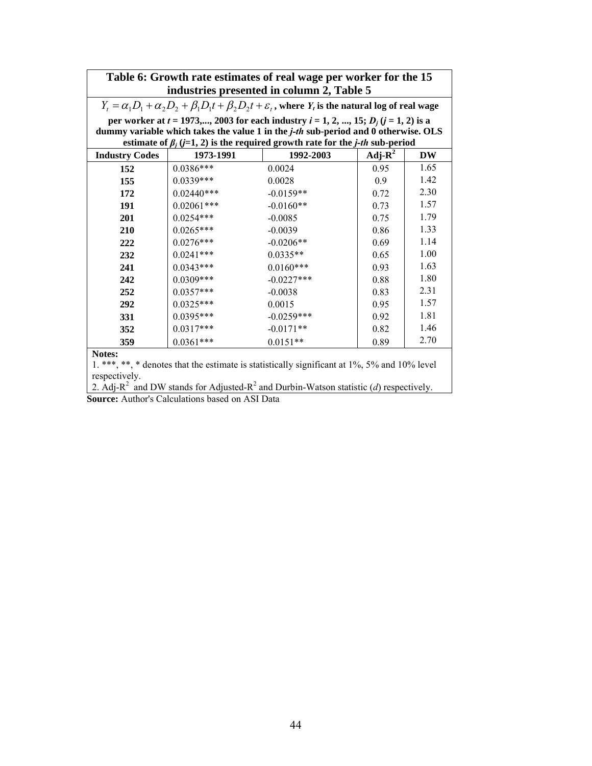|                       |                                           | Table 6: Growth rate estimates of real wage per worker for the 15                                                                 |            |           |  |  |  |  |
|-----------------------|-------------------------------------------|-----------------------------------------------------------------------------------------------------------------------------------|------------|-----------|--|--|--|--|
|                       | industries presented in column 2, Table 5 |                                                                                                                                   |            |           |  |  |  |  |
|                       |                                           | $Y_t = \alpha_1 D_1 + \alpha_2 D_2 + \beta_1 D_1 t + \beta_2 D_2 t + \varepsilon_t$ , where $Y_t$ is the natural log of real wage |            |           |  |  |  |  |
|                       |                                           | per worker at $t = 1973,, 2003$ for each industry $i = 1, 2, , 15; D_i (j = 1, 2)$ is a                                           |            |           |  |  |  |  |
|                       |                                           | dummy variable which takes the value 1 in the <i>j-th</i> sub-period and 0 otherwise. OLS                                         |            |           |  |  |  |  |
|                       |                                           | estimate of $\beta_i$ (j=1, 2) is the required growth rate for the j-th sub-period                                                |            |           |  |  |  |  |
| <b>Industry Codes</b> | 1973-1991                                 | 1992-2003                                                                                                                         | Adj- $R^2$ | <b>DW</b> |  |  |  |  |
| 152                   | $0.0386***$                               | 0.0024                                                                                                                            | 0.95       | 1.65      |  |  |  |  |
| 155                   | $0.0339***$                               | 0.0028                                                                                                                            | 0.9        | 1.42      |  |  |  |  |
| 172                   | $0.02440***$                              | $-0.0159**$                                                                                                                       | 0.72       | 2.30      |  |  |  |  |
| 191                   | $0.02061***$                              | $-0.0160**$                                                                                                                       | 0.73       | 1.57      |  |  |  |  |
| <b>201</b>            | $0.0254***$                               | $-0.0085$                                                                                                                         | 0.75       | 1.79      |  |  |  |  |
| 210                   | $0.0265***$                               | $-0.0039$                                                                                                                         | 0.86       | 1.33      |  |  |  |  |
| 222                   | $0.0276***$                               | $-0.0206**$                                                                                                                       | 0.69       | 1.14      |  |  |  |  |
| 232                   | $0.0241***$                               | $0.0335**$                                                                                                                        | 0.65       | 1.00      |  |  |  |  |
| 241                   | $0.0343***$                               | $0.0160***$                                                                                                                       | 0.93       | 1.63      |  |  |  |  |
| 242                   | $0.0309***$                               | $-0.0227$ ***                                                                                                                     | 0.88       | 1.80      |  |  |  |  |
| 252                   | $0.0357***$                               | $-0.0038$                                                                                                                         | 0.83       | 2.31      |  |  |  |  |
| 292                   | $0.0325***$                               | 0.0015                                                                                                                            | 0.95       | 1.57      |  |  |  |  |
| 331                   | $0.0395***$                               | $-0.0259***$                                                                                                                      | 0.92       | 1.81      |  |  |  |  |
| 352                   | $0.0317***$                               | $-0.0171**$                                                                                                                       | 0.82       | 1.46      |  |  |  |  |
| 359                   | $0.0361***$                               | $0.0151**$                                                                                                                        | 0.89       | 2.70      |  |  |  |  |
| Notes:                |                                           |                                                                                                                                   |            |           |  |  |  |  |

1. \*\*\*, \*\*, \* denotes that the estimate is statistically significant at 1%, 5% and 10% level respectively.

2. Adj-R<sup>2</sup> and DW stands for Adjusted-R<sup>2</sup> and Durbin-Watson statistic (*d*) respectively.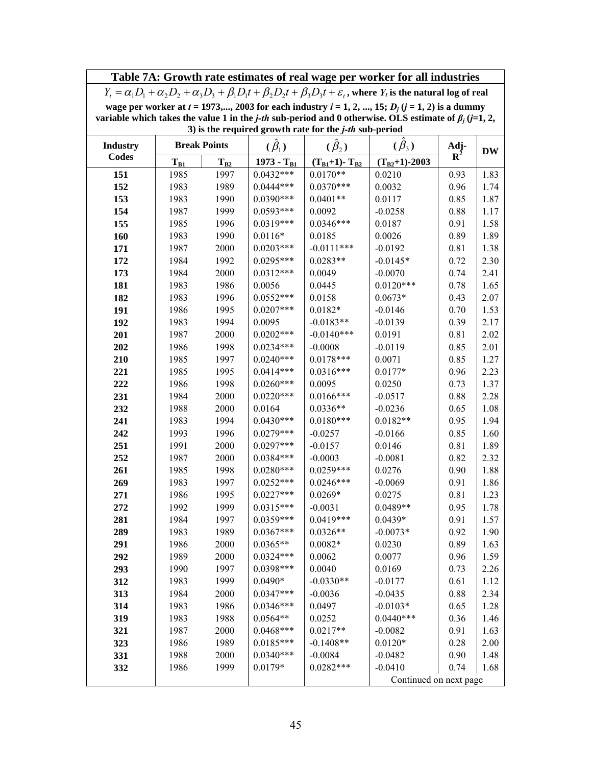|                 | Table 7A: Growth rate estimates of real wage per worker for all industries                                                                                  |                     |                            |                                                           |                                                                                                                             |                |              |
|-----------------|-------------------------------------------------------------------------------------------------------------------------------------------------------------|---------------------|----------------------------|-----------------------------------------------------------|-----------------------------------------------------------------------------------------------------------------------------|----------------|--------------|
|                 | $Y_t = \alpha_1 D_1 + \alpha_2 D_2 + \alpha_3 D_3 + \beta_1 D_1 t + \beta_2 D_2 t + \beta_3 D_3 t + \varepsilon_t$ , where $Y_t$ is the natural log of real |                     |                            |                                                           |                                                                                                                             |                |              |
|                 | wage per worker at $t = 1973,, 2003$ for each industry $i = 1, 2, , 15; D_i (j = 1, 2)$ is a dummy                                                          |                     |                            |                                                           |                                                                                                                             |                |              |
|                 |                                                                                                                                                             |                     |                            |                                                           | variable which takes the value 1 in the <i>j-th</i> sub-period and 0 otherwise. OLS estimate of $\beta_i$ ( <i>j</i> =1, 2, |                |              |
|                 |                                                                                                                                                             |                     |                            | 3) is the required growth rate for the $j$ -th sub-period |                                                                                                                             |                |              |
| <b>Industry</b> |                                                                                                                                                             | <b>Break Points</b> | $(\beta_1)$                | $(\hat{\beta}_2)$                                         | $(\tilde{\beta}_3)$                                                                                                         | Adj-           |              |
| <b>Codes</b>    | $T_{B1}$                                                                                                                                                    | $T_{B2}$            | $1973 - T_{B1}$            | $(T_{B1}+1)$ - T <sub>B2</sub>                            | $(T_{B2}+1) - 2003$                                                                                                         | $\mathbf{R}^2$ | <b>DW</b>    |
| 151             | 1985                                                                                                                                                        | 1997                | $0.0432***$                | $0.0170**$                                                | 0.0210                                                                                                                      | 0.93           | 1.83         |
| 152             | 1983                                                                                                                                                        | 1989                | $0.0444***$                | $0.0370***$                                               | 0.0032                                                                                                                      | 0.96           | 1.74         |
| 153             | 1983                                                                                                                                                        | 1990                | $0.0390***$                | $0.0401**$                                                | 0.0117                                                                                                                      | 0.85           | 1.87         |
| 154             | 1987                                                                                                                                                        | 1999                | $0.0593***$                | 0.0092                                                    | $-0.0258$                                                                                                                   | 0.88           | 1.17         |
| 155             | 1985                                                                                                                                                        | 1996                | $0.0319***$                | $0.0346***$                                               | 0.0187                                                                                                                      | 0.91           | 1.58         |
| 160             | 1983                                                                                                                                                        | 1990                | $0.0116*$                  | 0.0185                                                    | 0.0026                                                                                                                      | 0.89           | 1.89         |
| 171             | 1987                                                                                                                                                        | 2000                | $0.0203***$                | $-0.0111***$                                              | $-0.0192$                                                                                                                   | 0.81           | 1.38         |
| 172             | 1984                                                                                                                                                        | 1992                | $0.0295***$                | $0.0283**$                                                | $-0.0145*$                                                                                                                  | 0.72           | 2.30         |
| 173             | 1984                                                                                                                                                        | 2000                | $0.0312***$                | 0.0049                                                    | $-0.0070$                                                                                                                   | 0.74           | 2.41         |
| 181             | 1983                                                                                                                                                        | 1986                | 0.0056                     | 0.0445                                                    | $0.0120***$                                                                                                                 | 0.78           | 1.65         |
| 182             | 1983                                                                                                                                                        | 1996                | $0.0552***$                | 0.0158                                                    | $0.0673*$                                                                                                                   | 0.43           | 2.07         |
| 191             | 1986                                                                                                                                                        | 1995                | $0.0207***$                | $0.0182*$                                                 | $-0.0146$                                                                                                                   | 0.70           | 1.53         |
| 192             | 1983                                                                                                                                                        | 1994                | 0.0095                     | $-0.0183**$                                               | $-0.0139$                                                                                                                   | 0.39           | 2.17         |
| 201             | 1987                                                                                                                                                        | 2000                | $0.0202***$                | $-0.0140***$                                              | 0.0191                                                                                                                      | 0.81           | 2.02         |
| 202             | 1986                                                                                                                                                        | 1998                | $0.0234***$                | $-0.0008$                                                 | $-0.0119$                                                                                                                   | 0.85           | 2.01         |
| 210             | 1985                                                                                                                                                        | 1997                | $0.0240***$                | $0.0178***$                                               | 0.0071                                                                                                                      | 0.85           | 1.27         |
| 221             | 1985                                                                                                                                                        | 1995                | $0.0414***$                | $0.0316***$                                               | $0.0177*$                                                                                                                   | 0.96           | 2.23         |
| 222             | 1986                                                                                                                                                        | 1998                | $0.0260***$                | 0.0095                                                    | 0.0250                                                                                                                      | 0.73           | 1.37         |
| 231             | 1984                                                                                                                                                        | 2000                | $0.0220***$                | $0.0166***$                                               | $-0.0517$                                                                                                                   | 0.88           | 2.28         |
| 232             | 1988                                                                                                                                                        | 2000                | 0.0164                     | $0.0336**$                                                | $-0.0236$                                                                                                                   | 0.65           | 1.08         |
| 241             | 1983                                                                                                                                                        | 1994                | $0.0430***$                | $0.0180***$                                               | $0.0182**$                                                                                                                  | 0.95           | 1.94         |
| 242             | 1993                                                                                                                                                        | 1996                | $0.0279***$                | $-0.0257$                                                 | $-0.0166$                                                                                                                   | 0.85           | 1.60         |
| 251             | 1991                                                                                                                                                        | 2000                | $0.0297***$                | $-0.0157$                                                 | 0.0146                                                                                                                      | 0.81           | 1.89         |
| 252             | 1987                                                                                                                                                        | 2000                | $0.0384***$                | $-0.0003$                                                 | $-0.0081$                                                                                                                   | 0.82           | 2.32         |
| 261             | 1985                                                                                                                                                        | 1998                | $0.0280***$                | $0.0259***$                                               | 0.0276                                                                                                                      | 0.90           | 1.88         |
| 269             | 1983                                                                                                                                                        | 1997                | $0.0252***$                | $0.0246***$                                               | $-0.0069$                                                                                                                   | 0.91           | 1.86         |
| 271             | 1986                                                                                                                                                        | 1995                | $0.0227***$                | $0.0269*$                                                 | 0.0275                                                                                                                      | 0.81           | 1.23         |
| 272             | 1992                                                                                                                                                        | 1999                | $0.0315***$                | $-0.0031$                                                 | $0.0489**$                                                                                                                  | 0.95           | 1.78         |
| 281             | 1984                                                                                                                                                        | 1997                | $0.0359***$                | $0.0419***$                                               | $0.0439*$                                                                                                                   | 0.91           | 1.57         |
| 289             | 1983                                                                                                                                                        | 1989                | $0.0367***$                | $0.0326**$                                                | $-0.0073*$                                                                                                                  | 0.92           | 1.90         |
| 291             | 1986                                                                                                                                                        | 2000                | $0.0365**$                 | $0.0082*$                                                 | 0.0230                                                                                                                      | 0.89           | 1.63         |
| 292             | 1989                                                                                                                                                        | 2000                | $0.0324***$                | 0.0062                                                    | 0.0077                                                                                                                      | 0.96           | 1.59         |
| 293             | 1990                                                                                                                                                        | 1997                | $0.0398***$                | 0.0040                                                    | 0.0169                                                                                                                      | 0.73           | 2.26         |
| 312             | 1983                                                                                                                                                        | 1999                | $0.0490*$                  | $-0.0330**$                                               | $-0.0177$                                                                                                                   | 0.61           | 1.12         |
| 313             | 1984                                                                                                                                                        | 2000                | $0.0347***$                | $-0.0036$                                                 | $-0.0435$                                                                                                                   | 0.88           | 2.34         |
| 314             | 1983                                                                                                                                                        | 1986                | $0.0346***$                | 0.0497                                                    | $-0.0103*$                                                                                                                  | 0.65           | 1.28         |
| 319             | 1983                                                                                                                                                        | 1988                | $0.0564**$                 | 0.0252                                                    | $0.0440***$                                                                                                                 | 0.36           | 1.46         |
| 321             | 1987<br>1986                                                                                                                                                | 2000<br>1989        | $0.0468***$<br>$0.0185***$ | $0.0217**$                                                | $-0.0082$<br>$0.0120*$                                                                                                      | 0.91<br>0.28   | 1.63<br>2.00 |
| 323             | 1988                                                                                                                                                        | 2000                | $0.0340***$                | $-0.1408**$                                               | $-0.0482$                                                                                                                   | 0.90           |              |
| 331             | 1986                                                                                                                                                        | 1999                | $0.0179*$                  | $-0.0084$<br>$0.0282***$                                  | $-0.0410$                                                                                                                   | 0.74           | 1.48         |
| 332             |                                                                                                                                                             |                     |                            |                                                           | Continued on next page                                                                                                      |                | 1.68         |
|                 |                                                                                                                                                             |                     |                            |                                                           |                                                                                                                             |                |              |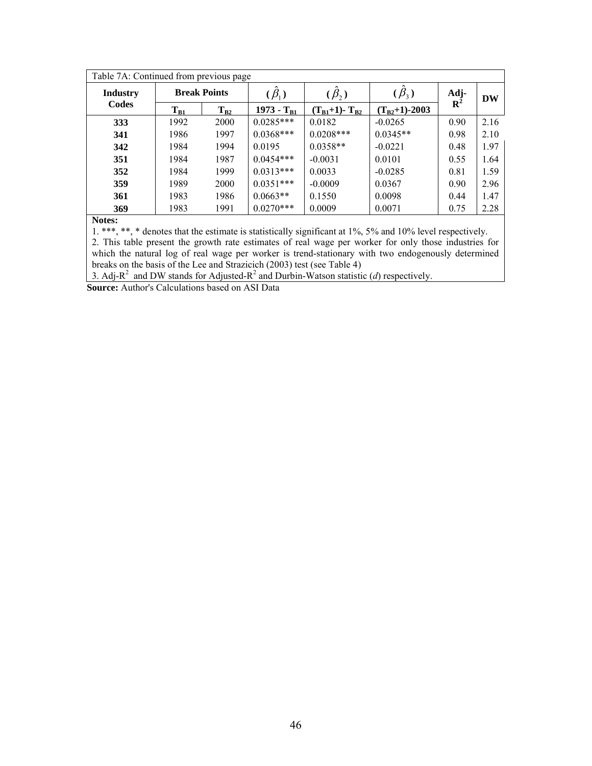|                 | Table 7A: Continued from previous page |          |                 |                     |                       |            |           |
|-----------------|----------------------------------------|----------|-----------------|---------------------|-----------------------|------------|-----------|
| <b>Industry</b> | <b>Break Points</b>                    |          | $(\beta_1)$     | $(\beta_{2})$       | $\sim$<br>$(\beta_3)$ | Adj- $R^2$ | <b>DW</b> |
| Codes           | $T_{B1}$                               | $T_{B2}$ | 1973 - $T_{B1}$ | $(T_{B1}+1)-T_{B2}$ | $(T_{B2}+1) - 2003$   |            |           |
| 333             | 1992                                   | 2000     | $0.0285***$     | 0.0182              | $-0.0265$             | 0.90       | 2.16      |
| 341             | 1986                                   | 1997     | $0.0368***$     | $0.0208***$         | $0.0345**$            | 0.98       | 2.10      |
| 342             | 1984                                   | 1994     | 0.0195          | $0.0358**$          | $-0.0221$             | 0.48       | 1.97      |
| 351             | 1984                                   | 1987     | $0.0454***$     | $-0.0031$           | 0.0101                | 0.55       | 1.64      |
| 352             | 1984                                   | 1999     | $0.0313***$     | 0.0033              | $-0.0285$             | 0.81       | 1.59      |
| 359             | 1989                                   | 2000     | $0.0351***$     | $-0.0009$           | 0.0367                | 0.90       | 2.96      |
| 361             | 1983                                   | 1986     | $0.0663**$      | 0.1550              | 0.0098                | 0.44       | 1.47      |
| 369             | 1983                                   | 1991     | $0.0270***$     | 0.0009              | 0.0071                | 0.75       | 2.28      |

**Notes:**

1. \*\*\*, \*\*, \* denotes that the estimate is statistically significant at 1%, 5% and 10% level respectively.

2. This table present the growth rate estimates of real wage per worker for only those industries for which the natural log of real wage per worker is trend-stationary with two endogenously determined breaks on the basis of the Lee and Strazicich (2003) test (see Table 4)

3. Adj-R<sup>2</sup> and DW stands for Adjusted-R<sup>2</sup> and Durbin-Watson statistic (*d*) respectively.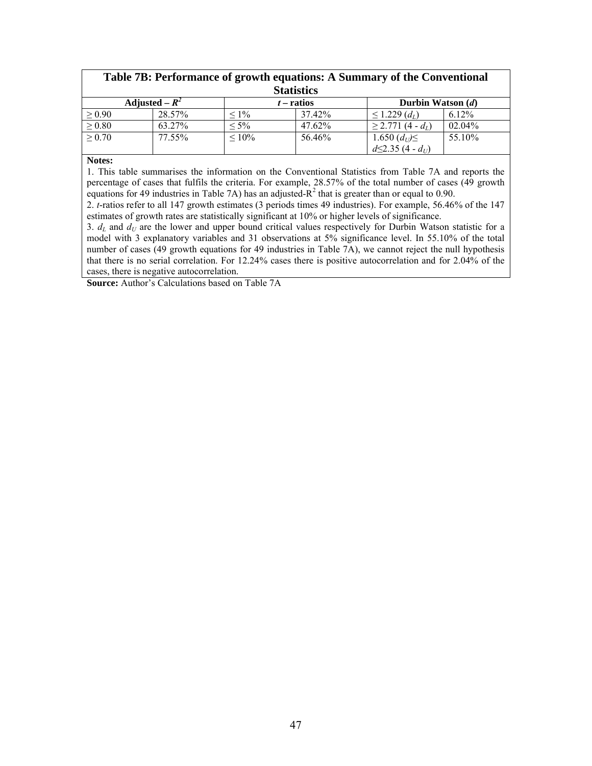| Table 7B: Performance of growth equations: A Summary of the Conventional |                  |             |              |                                    |          |  |
|--------------------------------------------------------------------------|------------------|-------------|--------------|------------------------------------|----------|--|
| <b>Statistics</b>                                                        |                  |             |              |                                    |          |  |
|                                                                          | Adjusted – $R^2$ |             | $t$ – ratios | Durbin Watson $(d)$                |          |  |
| $\geq 0.90$                                                              | 28.57%           | $< 1\%$     | 37.42%       | $\leq$ 1.229 $(d_L)$               | $6.12\%$ |  |
| $\geq 0.80$                                                              | 63.27%           | $< 5\%$     | 47.62%       | $\geq$ 2.771 (4 - d <sub>L</sub> ) | 02.04%   |  |
| $\geq 0.70$                                                              | 77.55%           | $\leq 10\%$ | 56.46%       | 1.650 $(d_U) \leq$                 | 55.10%   |  |
|                                                                          |                  |             |              | $d\leq 2.35(4-d_U)$                |          |  |

#### **Notes:**

1. This table summarises the information on the Conventional Statistics from Table 7A and reports the percentage of cases that fulfils the criteria. For example, 28.57% of the total number of cases (49 growth equations for 49 industries in Table 7A) has an adjusted- $R^2$  that is greater than or equal to 0.90.

2. *t*-ratios refer to all 147 growth estimates (3 periods times 49 industries). For example, 56.46% of the 147 estimates of growth rates are statistically significant at 10% or higher levels of significance.

3.  $d_L$  and  $d_U$  are the lower and upper bound critical values respectively for Durbin Watson statistic for a model with 3 explanatory variables and 31 observations at 5% significance level. In 55.10% of the total number of cases (49 growth equations for 49 industries in Table 7A), we cannot reject the null hypothesis that there is no serial correlation. For 12.24% cases there is positive autocorrelation and for 2.04% of the cases, there is negative autocorrelation.

**Source:** Author's Calculations based on Table 7A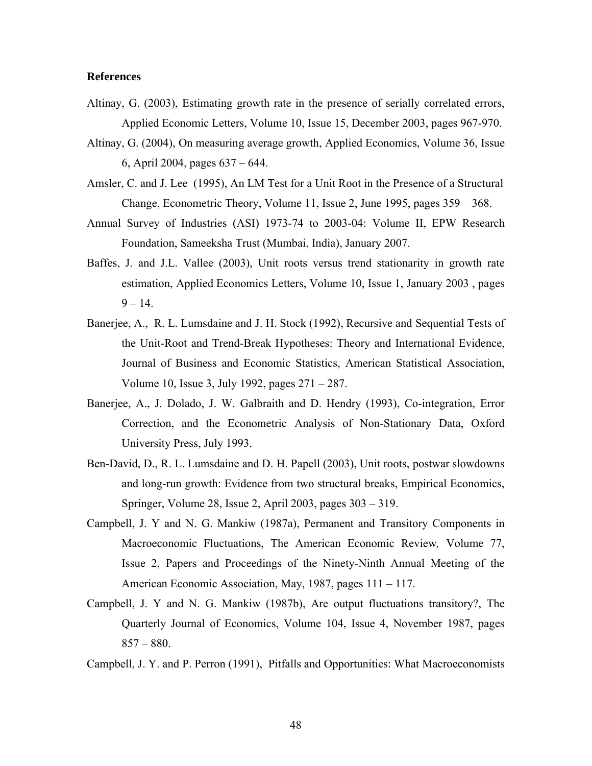### **References**

- Altinay, G. (2003), Estimating growth rate in the presence of serially correlated errors, Applied Economic Letters, Volume 10, Issue 15, December 2003, pages 967-970.
- Altinay, G. (2004), On measuring average growth, Applied Economics, Volume 36, Issue 6, April 2004, pages 637 – 644.
- Amsler, C. and J. Lee (1995), An LM Test for a Unit Root in the Presence of a Structural Change, Econometric Theory, Volume 11, Issue 2, June 1995, pages 359 – 368.
- Annual Survey of Industries (ASI) 1973-74 to 2003-04: Volume II, EPW Research Foundation, Sameeksha Trust (Mumbai, India), January 2007.
- Baffes, J. and J.L. Vallee (2003), Unit roots versus trend stationarity in growth rate estimation, Applied Economics Letters, Volume 10, Issue 1, January 2003 , pages  $9 - 14.$
- Banerjee, A., R. L. Lumsdaine and J. H. Stock (1992), Recursive and Sequential Tests of the Unit-Root and Trend-Break Hypotheses: Theory and International Evidence, Journal of Business and Economic Statistics, American Statistical Association, Volume 10, Issue 3, July 1992, pages 271 – 287.
- Banerjee, A., J. Dolado, J. W. Galbraith and D. Hendry (1993), Co-integration, Error Correction, and the Econometric Analysis of Non-Stationary Data, Oxford University Press, July 1993.
- Ben-David, D., R. L. Lumsdaine and D. H. Papell (2003), Unit roots, postwar slowdowns and long-run growth: Evidence from two structural breaks, Empirical Economics, Springer, Volume 28, Issue 2, April 2003, pages 303 – 319.
- Campbell, J. Y and N. G. Mankiw (1987a), Permanent and Transitory Components in Macroeconomic Fluctuations, The American Economic Review*,* Volume 77, Issue 2, Papers and Proceedings of the Ninety-Ninth Annual Meeting of the American Economic Association, May, 1987, pages 111 – 117.
- Campbell, J. Y and N. G. Mankiw (1987b), Are output fluctuations transitory?, The Quarterly Journal of Economics, Volume 104, Issue 4, November 1987, pages  $857 - 880$ .

Campbell, J. Y. and P. Perron (1991), Pitfalls and Opportunities: What Macroeconomists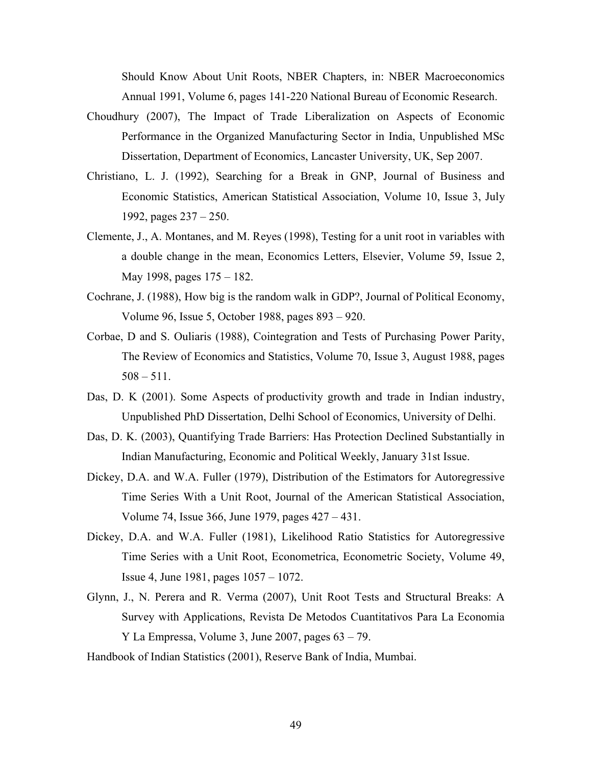Should Know About Unit Roots, NBER Chapters, in: NBER Macroeconomics Annual 1991, Volume 6, pages 141-220 National Bureau of Economic Research.

- Choudhury (2007), The Impact of Trade Liberalization on Aspects of Economic Performance in the Organized Manufacturing Sector in India, Unpublished MSc Dissertation, Department of Economics, Lancaster University, UK, Sep 2007.
- Christiano, L. J. (1992), Searching for a Break in GNP, Journal of Business and Economic Statistics, American Statistical Association, Volume 10, Issue 3, July 1992, pages 237 – 250.
- Clemente, J., A. Montanes, and M. Reyes (1998), Testing for a unit root in variables with a double change in the mean, Economics Letters, Elsevier, Volume 59, Issue 2, May 1998, pages 175 – 182.
- Cochrane, J. (1988), How big is the random walk in GDP?, Journal of Political Economy, Volume 96, Issue 5, October 1988, pages 893 – 920.
- Corbae, D and S. Ouliaris (1988), Cointegration and Tests of Purchasing Power Parity, The Review of Economics and Statistics, Volume 70, Issue 3, August 1988, pages  $508 - 511$ .
- Das, D. K (2001). Some Aspects of productivity growth and trade in Indian industry, Unpublished PhD Dissertation, Delhi School of Economics, University of Delhi.
- Das, D. K. (2003), Quantifying Trade Barriers: Has Protection Declined Substantially in Indian Manufacturing, Economic and Political Weekly, January 31st Issue.
- Dickey, D.A. and W.A. Fuller (1979), Distribution of the Estimators for Autoregressive Time Series With a Unit Root, Journal of the American Statistical Association, Volume 74, Issue 366, June 1979, pages 427 – 431.
- Dickey, D.A. and W.A. Fuller (1981), Likelihood Ratio Statistics for Autoregressive Time Series with a Unit Root, Econometrica, Econometric Society, Volume 49, Issue 4, June 1981, pages 1057 – 1072.
- Glynn, J., N. Perera and R. Verma (2007), Unit Root Tests and Structural Breaks: A Survey with Applications, Revista De Metodos Cuantitativos Para La Economia Y La Empressa, Volume 3, June 2007, pages 63 – 79.
- Handbook of Indian Statistics (2001), Reserve Bank of India, Mumbai.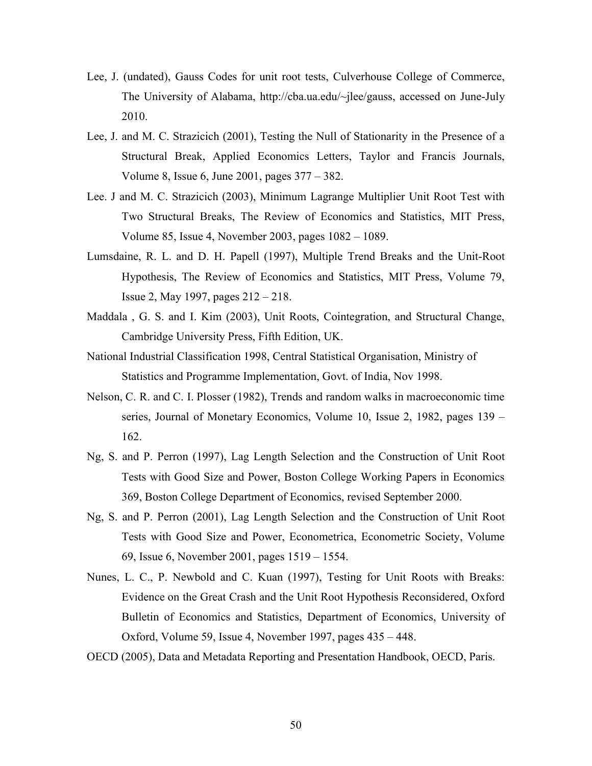- Lee, J. (undated), Gauss Codes for unit root tests, Culverhouse College of Commerce, The University of Alabama, http://cba.ua.edu/~jlee/gauss, accessed on June-July 2010.
- Lee, J. and M. C. Strazicich (2001), Testing the Null of Stationarity in the Presence of a Structural Break, Applied Economics Letters, Taylor and Francis Journals, Volume 8, Issue 6, June 2001, pages 377 – 382.
- Lee. J and M. C. Strazicich (2003), Minimum Lagrange Multiplier Unit Root Test with Two Structural Breaks, The Review of Economics and Statistics, MIT Press, Volume 85, Issue 4, November 2003, pages 1082 – 1089.
- Lumsdaine, R. L. and D. H. Papell (1997), Multiple Trend Breaks and the Unit-Root Hypothesis, The Review of Economics and Statistics, MIT Press, Volume 79, Issue 2, May 1997, pages 212 – 218.
- Maddala , G. S. and I. Kim (2003), Unit Roots, Cointegration, and Structural Change, Cambridge University Press, Fifth Edition, UK.
- National Industrial Classification 1998, Central Statistical Organisation, Ministry of Statistics and Programme Implementation, Govt. of India, Nov 1998.
- Nelson, C. R. and C. I. Plosser (1982), Trends and random walks in macroeconomic time series, Journal of Monetary Economics, Volume 10, Issue 2, 1982, pages 139 – 162.
- Ng, S. and P. Perron (1997), Lag Length Selection and the Construction of Unit Root Tests with Good Size and Power, Boston College Working Papers in Economics 369, Boston College Department of Economics, revised September 2000.
- Ng, S. and P. Perron (2001), Lag Length Selection and the Construction of Unit Root Tests with Good Size and Power, Econometrica, Econometric Society, Volume 69, Issue 6, November 2001, pages 1519 – 1554.
- Nunes, L. C., P. Newbold and C. Kuan (1997), Testing for Unit Roots with Breaks: Evidence on the Great Crash and the Unit Root Hypothesis Reconsidered, Oxford Bulletin of Economics and Statistics, Department of Economics, University of Oxford, Volume 59, Issue 4, November 1997, pages 435 – 448.
- OECD (2005), Data and Metadata Reporting and Presentation Handbook, OECD, Paris.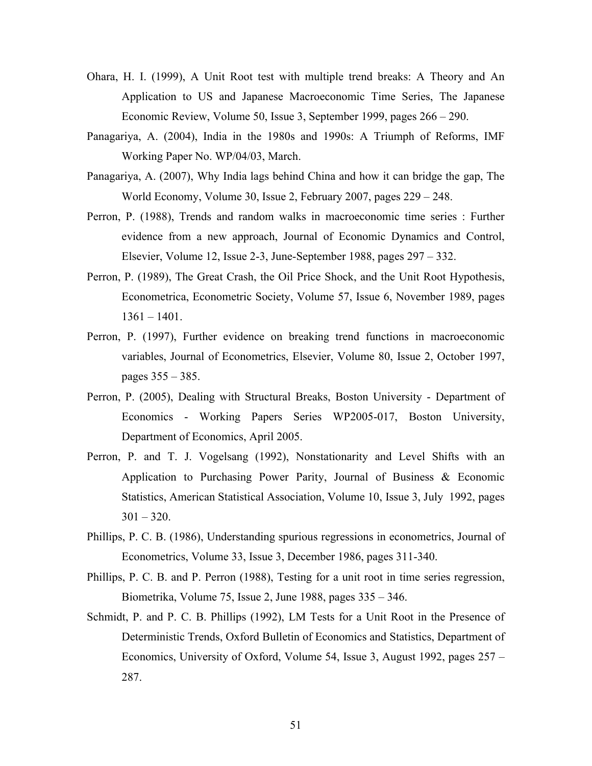- Ohara, H. I. (1999), A Unit Root test with multiple trend breaks: A Theory and An Application to US and Japanese Macroeconomic Time Series, The Japanese Economic Review, Volume 50, Issue 3, September 1999, pages 266 – 290.
- Panagariya, A. (2004), India in the 1980s and 1990s: A Triumph of Reforms, IMF Working Paper No. WP/04/03, March.
- Panagariya, A. (2007), Why India lags behind China and how it can bridge the gap, The World Economy, Volume 30, Issue 2, February 2007, pages 229 – 248.
- Perron, P. (1988), Trends and random walks in macroeconomic time series : Further evidence from a new approach, Journal of Economic Dynamics and Control, Elsevier, Volume 12, Issue 2-3, June-September 1988, pages 297 – 332.
- Perron, P. (1989), The Great Crash, the Oil Price Shock, and the Unit Root Hypothesis, Econometrica, Econometric Society, Volume 57, Issue 6, November 1989, pages 1361 – 1401.
- Perron, P. (1997), Further evidence on breaking trend functions in macroeconomic variables, Journal of Econometrics, Elsevier, Volume 80, Issue 2, October 1997, pages 355 – 385.
- Perron, P. (2005), Dealing with Structural Breaks, Boston University Department of Economics - Working Papers Series WP2005-017, Boston University, Department of Economics, April 2005.
- Perron, P. and T. J. Vogelsang (1992), Nonstationarity and Level Shifts with an Application to Purchasing Power Parity, Journal of Business & Economic Statistics, American Statistical Association, Volume 10, Issue 3, July 1992, pages  $301 - 320$ .
- Phillips, P. C. B. (1986), Understanding spurious regressions in econometrics, Journal of Econometrics, Volume 33, Issue 3, December 1986, pages 311-340.
- Phillips, P. C. B. and P. Perron (1988), Testing for a unit root in time series regression, Biometrika, Volume 75, Issue 2, June 1988, pages 335 – 346.
- Schmidt, P. and P. C. B. Phillips (1992), LM Tests for a Unit Root in the Presence of Deterministic Trends, Oxford Bulletin of Economics and Statistics, Department of Economics, University of Oxford, Volume 54, Issue 3, August 1992, pages 257 – 287.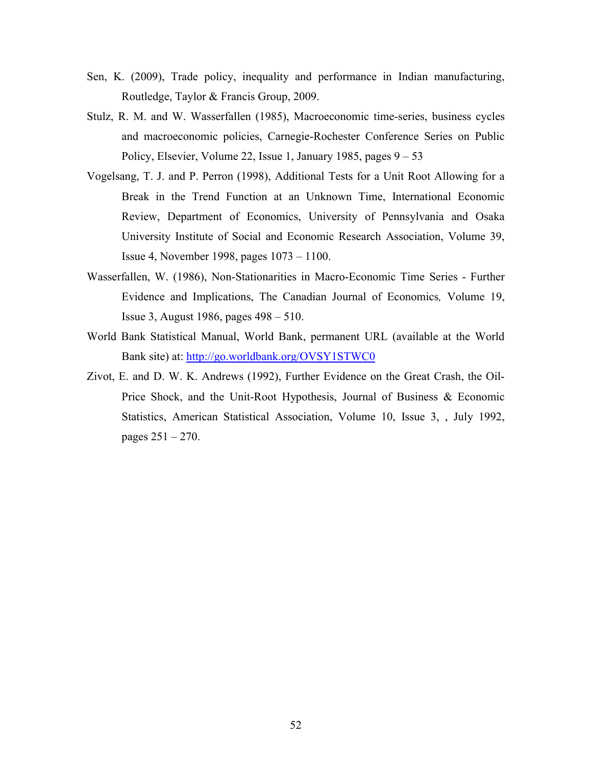- Sen, K. (2009), Trade policy, inequality and performance in Indian manufacturing, Routledge, Taylor & Francis Group, 2009.
- Stulz, R. M. and W. Wasserfallen (1985), Macroeconomic time-series, business cycles and macroeconomic policies, Carnegie-Rochester Conference Series on Public Policy, Elsevier, Volume 22, Issue 1, January 1985, pages 9 – 53
- Vogelsang, T. J. and P. Perron (1998), Additional Tests for a Unit Root Allowing for a Break in the Trend Function at an Unknown Time, International Economic Review, Department of Economics, University of Pennsylvania and Osaka University Institute of Social and Economic Research Association, Volume 39, Issue 4, November 1998, pages 1073 – 1100.
- Wasserfallen, W. (1986), Non-Stationarities in Macro-Economic Time Series Further Evidence and Implications, The Canadian Journal of Economics*,* Volume 19, Issue 3, August 1986, pages 498 – 510.
- World Bank Statistical Manual, World Bank, permanent URL (available at the World Bank site) at: http://go.worldbank.org/OVSY1STWC0
- Zivot, E. and D. W. K. Andrews (1992), Further Evidence on the Great Crash, the Oil-Price Shock, and the Unit-Root Hypothesis, Journal of Business & Economic Statistics, American Statistical Association, Volume 10, Issue 3, , July 1992, pages 251 – 270.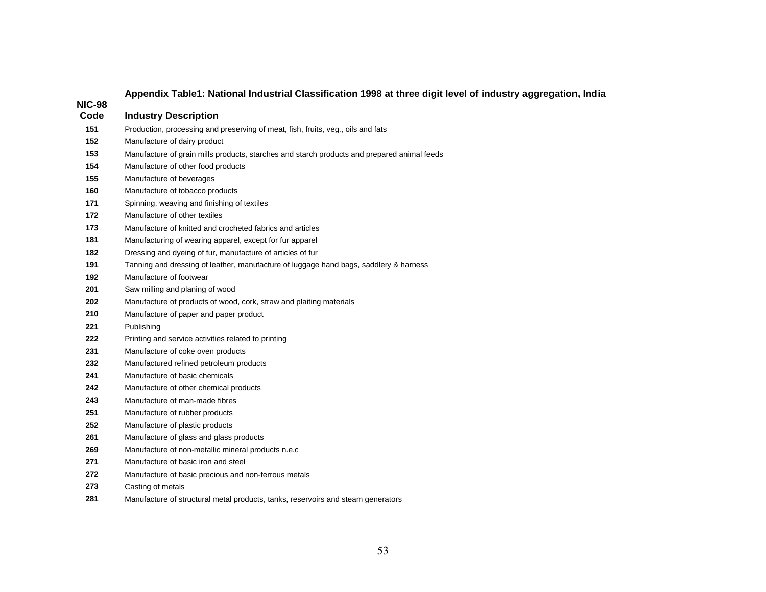| <b>NIC-98</b> |                                                                                             |
|---------------|---------------------------------------------------------------------------------------------|
| Code          | <b>Industry Description</b>                                                                 |
| 151           | Production, processing and preserving of meat, fish, fruits, veg., oils and fats            |
| 152           | Manufacture of dairy product                                                                |
| 153           | Manufacture of grain mills products, starches and starch products and prepared animal feeds |
| 154           | Manufacture of other food products                                                          |
| 155           | Manufacture of beverages                                                                    |
| 160           | Manufacture of tobacco products                                                             |
| 171           | Spinning, weaving and finishing of textiles                                                 |
| 172           | Manufacture of other textiles                                                               |
| 173           | Manufacture of knitted and crocheted fabrics and articles                                   |
| 181           | Manufacturing of wearing apparel, except for fur apparel                                    |
| 182           | Dressing and dyeing of fur, manufacture of articles of fur                                  |
| 191           | Tanning and dressing of leather, manufacture of luggage hand bags, saddlery & harness       |
| 192           | Manufacture of footwear                                                                     |
| 201           | Saw milling and planing of wood                                                             |
| 202           | Manufacture of products of wood, cork, straw and plaiting materials                         |
| 210           | Manufacture of paper and paper product                                                      |
| 221           | Publishing                                                                                  |
| 222           | Printing and service activities related to printing                                         |
| 231           | Manufacture of coke oven products                                                           |
| 232           | Manufactured refined petroleum products                                                     |
| 241           | Manufacture of basic chemicals                                                              |
| 242           | Manufacture of other chemical products                                                      |
| 243           | Manufacture of man-made fibres                                                              |
| 251           | Manufacture of rubber products                                                              |
| 252           | Manufacture of plastic products                                                             |
| 261           | Manufacture of glass and glass products                                                     |
| 269           | Manufacture of non-metallic mineral products n.e.c                                          |
| 271           | Manufacture of basic iron and steel                                                         |
| 272           | Manufacture of basic precious and non-ferrous metals                                        |
| 273           | Casting of metals                                                                           |
| 281           | Manufacture of structural metal products, tanks, reservoirs and steam generators            |

## **Appendix Table1: National Industrial Classification 1998 at three digit level of industry aggregation, India**